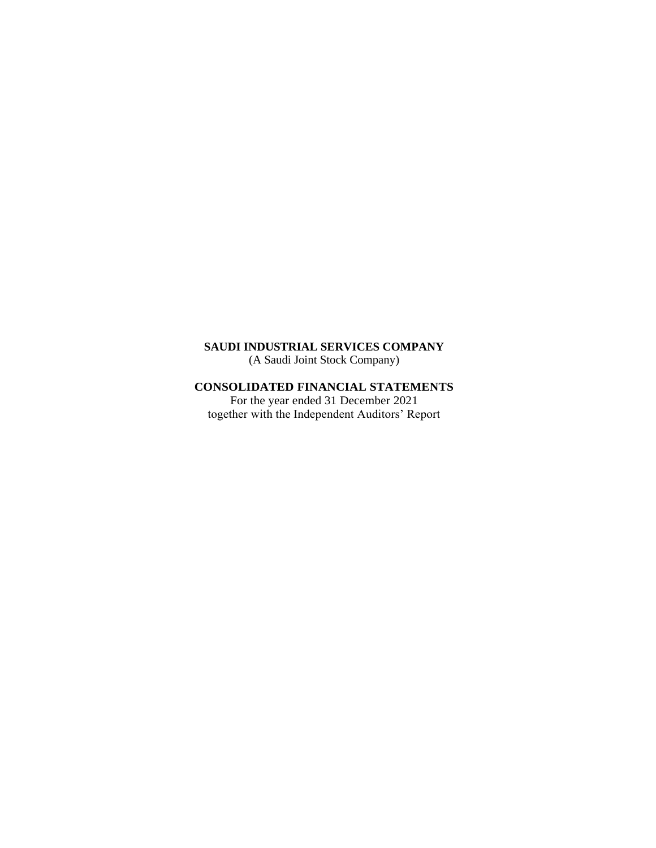(A Saudi Joint Stock Company)

# **CONSOLIDATED FINANCIAL STATEMENTS**

For the year ended 31 December 2021 together with the Independent Auditors' Report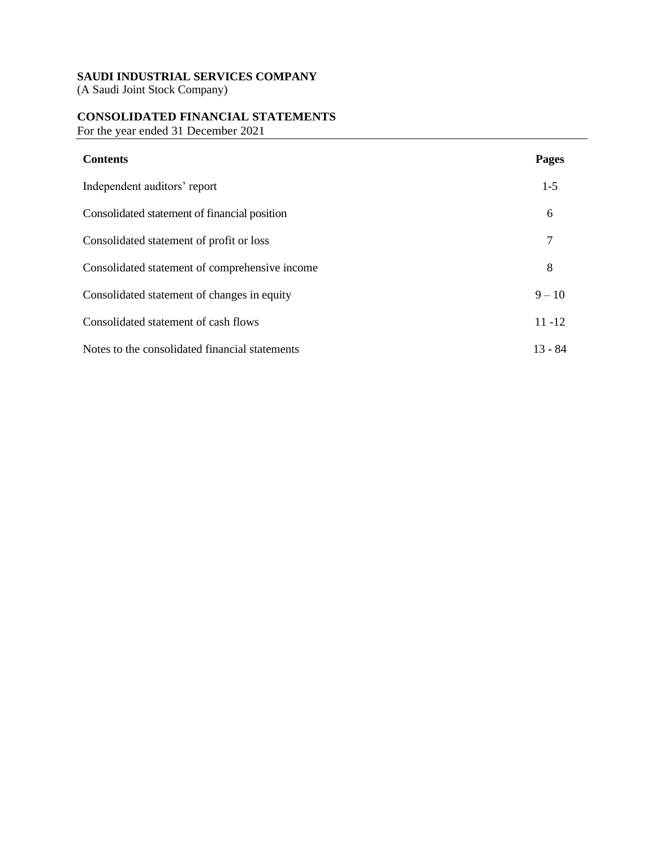(A Saudi Joint Stock Company)

# **CONSOLIDATED FINANCIAL STATEMENTS**

For the year ended 31 December 2021

| <b>Contents</b>                                | <b>Pages</b> |
|------------------------------------------------|--------------|
| Independent auditors' report                   | $1 - 5$      |
| Consolidated statement of financial position   | 6            |
| Consolidated statement of profit or loss       | 7            |
| Consolidated statement of comprehensive income | 8            |
| Consolidated statement of changes in equity    | $9 - 10$     |
| Consolidated statement of cash flows           | $11 - 12$    |
| Notes to the consolidated financial statements | $13 - 84$    |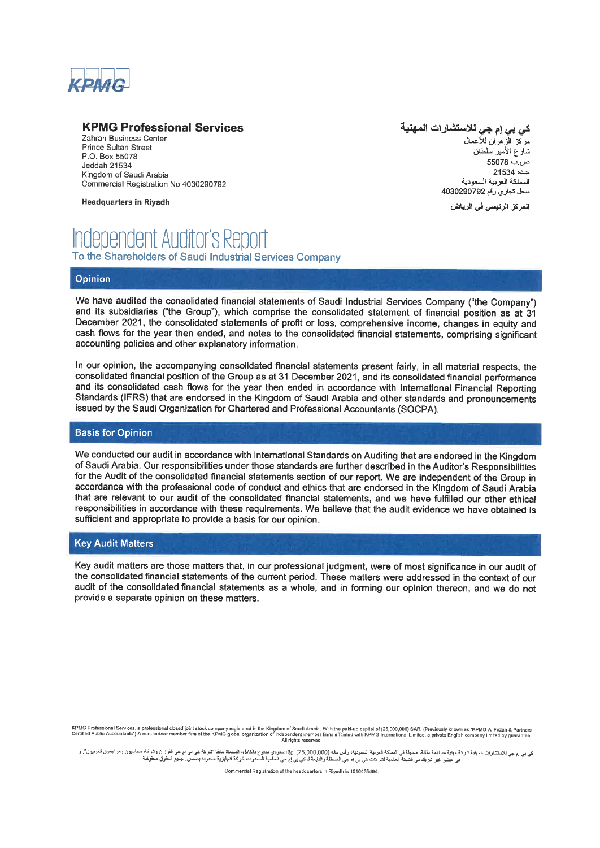

# **KPMG Professional Services**

Zahran Business Center Prince Sultan Street P.O. Box 55078 Jeddah 21534 Kingdom of Saudi Arabia Commercial Registration No 4030290792

**Headquarters in Riyadh** 

# كي بي إم جي للاستشارات المهنية

مركز الزهران للأعمال شآرع الأمير سلطان 55078 من.ب جده 21534 المملكة العريبة السعودية سجل تجاري رقم 4030290792

المركز الرئيسي في الرياض

# **Independent Auditor's Report** To the Shareholders of Saudi Industrial Services Company

#### Opinion

We have audited the consolidated financial statements of Saudi Industrial Services Company ("the Company") and its subsidiaries ("the Group"), which comprise the consolidated statement of financial position as at 31 December 2021, the consolidated statements of profit or loss, comprehensive income, changes in equity and cash flows for the year then ended, and notes to the consolidated financial statements, comprising significant accounting policies and other explanatory information.

In our opinion, the accompanying consolidated financial statements present fairly, in all material respects, the consolidated financial position of the Group as at 31 December 2021, and its consolidated financial performance and its consolidated cash flows for the year then ended in accordance with International Financial Reporting Standards (IFRS) that are endorsed in the Kingdom of Saudi Arabia and other standards and pronouncements issued by the Saudi Organization for Chartered and Professional Accountants (SOCPA).

#### **Basis for Opinion**

We conducted our audit in accordance with International Standards on Auditing that are endorsed in the Kingdom of Saudi Arabia. Our responsibilities under those standards are further described in the Auditor's Responsibilities for the Audit of the consolidated financial statements section of our report. We are independent of the Group in accordance with the professional code of conduct and ethics that are endorsed in the Kingdom of Saudi Arabia that are relevant to our audit of the consolidated financial statements, and we have fulfilled our other ethical responsibilities in accordance with these requirements. We believe that the audit evidence we have obtained is sufficient and appropriate to provide a basis for our opinion.

#### **Key Audit Matters**

Key audit matters are those matters that, in our professional judgment, were of most significance in our audit of the consolidated financial statements of the current period. These matters were addressed in the context of our audit of the consolidated financial statements as a whole, and in forming our opinion thereon, and we do not provide a separate opinion on these matters.

كي بي إم جي للاستشارات المهنية شركة مهند منظلة مسجلة في الملكة المحمد المعاملية المعامري من المسمع المجائز المحمد المعاملية الشركة كي بي المحمد المعامر المعرف محاسبون ومراجع الموسون قفوض معاملية الشركة مع المستخدم المستخد

Commercial Registration of the headquarters in Riyadh is 1010425494

KPMG Professional Services, a professional closed joint stock company registered in the Kingdom of Saudi Arabia. With the paid-up capital of (25,000,000) SAR. (Previously known as "KPMG AI Fozan & Partners<br>Certified Public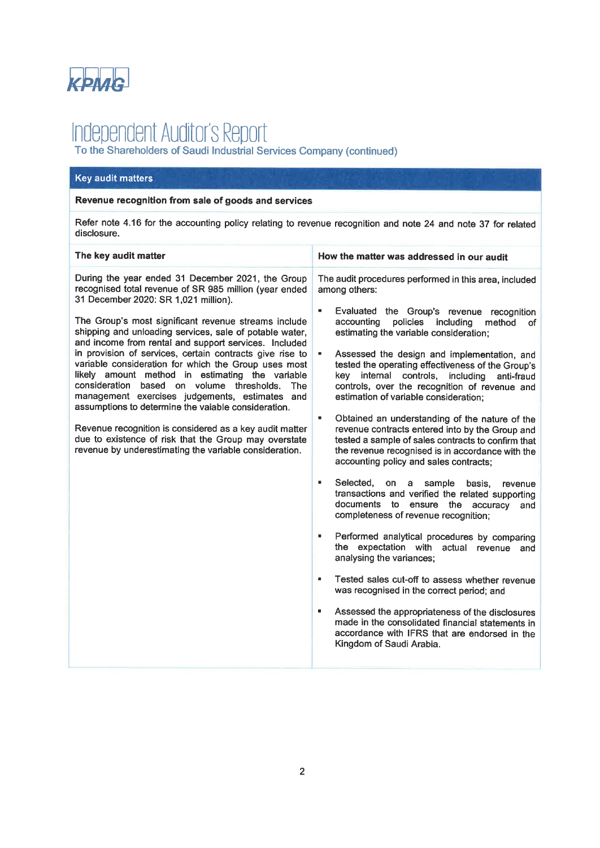

# Independent Auditor's Report<br>To the Shareholders of Saudi Industrial Services Company (continued)

#### **Key audit matters**

#### Revenue recognition from sale of goods and services

Refer note 4.16 for the accounting policy relating to revenue recognition and note 24 and note 37 for related disclosure.

| The key audit matter                                                                                                                                                                                                                                                                                                                                                                                                                                                                                                                                                                                                                                                                                                                                                                                                                                                                                                                                                               | How the matter was addressed in our audit                                                                                                                                                                                                                                                                                                                                                                                                                                                                                                                                                                                                                                                                                                                                                                                                                                                                                                                                                                                                                                                                                                                                                                                                                                                                    |
|------------------------------------------------------------------------------------------------------------------------------------------------------------------------------------------------------------------------------------------------------------------------------------------------------------------------------------------------------------------------------------------------------------------------------------------------------------------------------------------------------------------------------------------------------------------------------------------------------------------------------------------------------------------------------------------------------------------------------------------------------------------------------------------------------------------------------------------------------------------------------------------------------------------------------------------------------------------------------------|--------------------------------------------------------------------------------------------------------------------------------------------------------------------------------------------------------------------------------------------------------------------------------------------------------------------------------------------------------------------------------------------------------------------------------------------------------------------------------------------------------------------------------------------------------------------------------------------------------------------------------------------------------------------------------------------------------------------------------------------------------------------------------------------------------------------------------------------------------------------------------------------------------------------------------------------------------------------------------------------------------------------------------------------------------------------------------------------------------------------------------------------------------------------------------------------------------------------------------------------------------------------------------------------------------------|
| During the year ended 31 December 2021, the Group<br>recognised total revenue of SR 985 million (year ended<br>31 December 2020: SR 1,021 million).<br>$\blacksquare$<br>The Group's most significant revenue streams include<br>shipping and unloading services, sale of potable water,<br>and income from rental and support services. Included<br>in provision of services, certain contracts give rise to<br>×,<br>variable consideration for which the Group uses most<br>likely amount method in estimating the variable<br>consideration based on volume thresholds.<br>The<br>management exercises judgements, estimates and<br>assumptions to determine the vaiable consideration.<br>$\blacksquare$<br>Revenue recognition is considered as a key audit matter<br>due to existence of risk that the Group may overstate<br>revenue by underestimating the variable consideration.<br>$\blacksquare$<br>٠<br>$\blacksquare$<br>$\blacksquare$<br>Kingdom of Saudi Arabia. | The audit procedures performed in this area, included<br>among others:<br>Evaluated the Group's revenue recognition<br>accounting<br>policies<br>including<br>method<br>of<br>estimating the variable consideration;<br>Assessed the design and implementation, and<br>tested the operating effectiveness of the Group's<br>key internal controls, including<br>anti-fraud<br>controls, over the recognition of revenue and<br>estimation of variable consideration;<br>Obtained an understanding of the nature of the<br>revenue contracts entered into by the Group and<br>tested a sample of sales contracts to confirm that<br>the revenue recognised is in accordance with the<br>accounting policy and sales contracts;<br>Selected,<br>on<br>sample<br>a<br>basis.<br>revenue<br>transactions and verified the related supporting<br>documents to ensure the accuracy<br>and<br>completeness of revenue recognition;<br>Performed analytical procedures by comparing<br>the expectation with actual revenue<br>and<br>analysing the variances;<br>Tested sales cut-off to assess whether revenue<br>was recognised in the correct period; and<br>Assessed the appropriateness of the disclosures<br>made in the consolidated financial statements in<br>accordance with IFRS that are endorsed in the |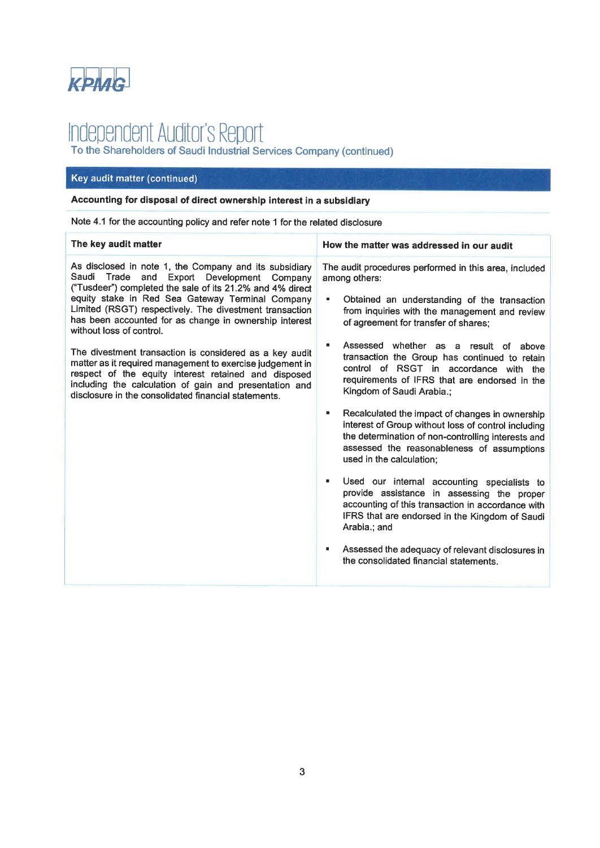

# Independent Auditor's Report<br>To the Shareholders of Saudi Industrial Services Company (continued)

# Key audit matter (continued)

# Accounting for disposal of direct ownership interest in a subsidiary

Note 4.1 for the accounting policy and refer note 1 for the related disclosure

| How the matter was addressed in our audit                                                                                                                                                                                                                                                                                                                                                                                                                                                                                                                                                                                                                                                                                                                                                                                                                   |
|-------------------------------------------------------------------------------------------------------------------------------------------------------------------------------------------------------------------------------------------------------------------------------------------------------------------------------------------------------------------------------------------------------------------------------------------------------------------------------------------------------------------------------------------------------------------------------------------------------------------------------------------------------------------------------------------------------------------------------------------------------------------------------------------------------------------------------------------------------------|
| The audit procedures performed in this area, included<br>Obtained an understanding of the transaction<br>from inquiries with the management and review<br>Assessed whether as a result of above<br>transaction the Group has continued to retain<br>control of RSGT in accordance with the<br>requirements of IFRS that are endorsed in the<br>Recalculated the impact of changes in ownership<br>interest of Group without loss of control including<br>the determination of non-controlling interests and<br>assessed the reasonableness of assumptions<br>Used our internal accounting specialists to<br>provide assistance in assessing the proper<br>accounting of this transaction in accordance with<br>IFRS that are endorsed in the Kingdom of Saudi<br>Assessed the adequacy of relevant disclosures in<br>the consolidated financial statements. |
|                                                                                                                                                                                                                                                                                                                                                                                                                                                                                                                                                                                                                                                                                                                                                                                                                                                             |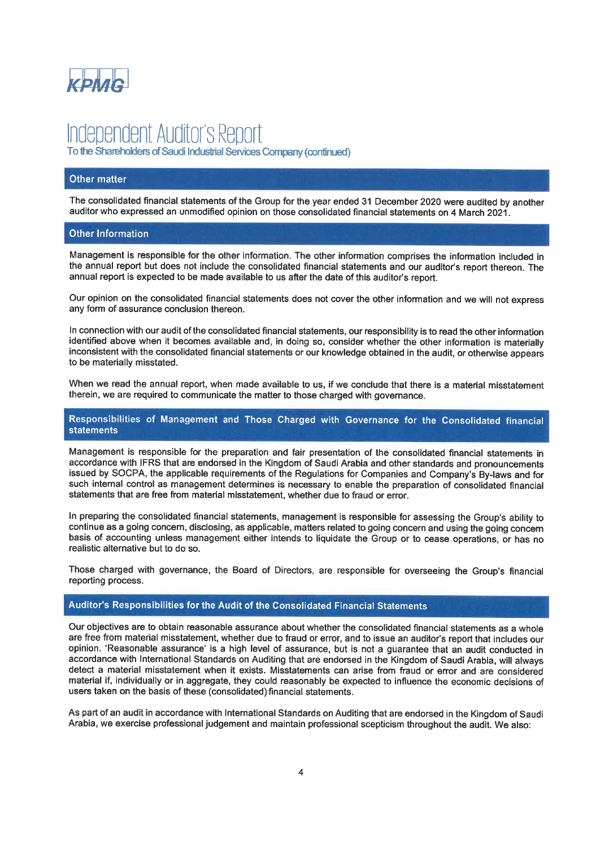

# Independent Auditor's Report

To the Shareholders of Saudi Industrial Services Company (continued)

#### Other matter

The consolidated financial statements of the Group for the year ended 31 December 2020 were audited by another auditor who expressed an unmodified opinion on those consolidated financial statements on 4 March 2021.

#### **Other Information**

Management is responsible for the other information. The other information comprises the information included in the annual report but does not include the consolidated financial statements and our auditor's report thereon. The annual report is expected to be made available to us after the date of this auditor's report.

Our opinion on the consolidated financial statements does not cover the other information and we will not express any form of assurance conclusion thereon.

In connection with our audit of the consolidated financial statements, our responsibility is to read the other information identified above when it becomes available and, in doing so, consider whether the other information is materially inconsistent with the consolidated financial statements or our knowledge obtained in the audit, or otherwise appears to be materially misstated.

When we read the annual report, when made available to us, if we conclude that there is a material misstatement therein, we are required to communicate the matter to those charged with governance.

#### Responsibilities of Management and Those Charged with Governance for the Consolidated financial **statements**

Management is responsible for the preparation and fair presentation of the consolidated financial statements in accordance with IFRS that are endorsed in the Kingdom of Saudi Arabia and other standards and pronouncements issued by SOCPA, the applicable requirements of the Regulations for Companies and Company's By-laws and for such internal control as management determines is necessary to enable the preparation of consolidated financial statements that are free from material misstatement, whether due to fraud or error.

In preparing the consolidated financial statements, management is responsible for assessing the Group's ability to continue as a going concern, disclosing, as applicable, matters related to going concern and using the going concern basis of accounting unless management either intends to liquidate the Group or to cease operations, or has no realistic alternative but to do so.

Those charged with governance, the Board of Directors, are responsible for overseeing the Group's financial reporting process.

#### Auditor's Responsibilities for the Audit of the Consolidated Financial Statements

Our objectives are to obtain reasonable assurance about whether the consolidated financial statements as a whole are free from material misstatement, whether due to fraud or error, and to issue an auditor's report that includes our opinion. 'Reasonable assurance' is a high level of assurance, but is not a guarantee that an audit conducted in accordance with International Standards on Auditing that are endorsed in the Kingdom of Saudi Arabia, will always detect a material misstatement when it exists. Misstatements can arise from fraud or error and are considered material if, individually or in aggregate, they could reasonably be expected to influence the economic decisions of users taken on the basis of these (consolidated) financial statements.

As part of an audit in accordance with International Standards on Auditing that are endorsed in the Kingdom of Saudi Arabia, we exercise professional judgement and maintain professional scepticism throughout the audit. We also: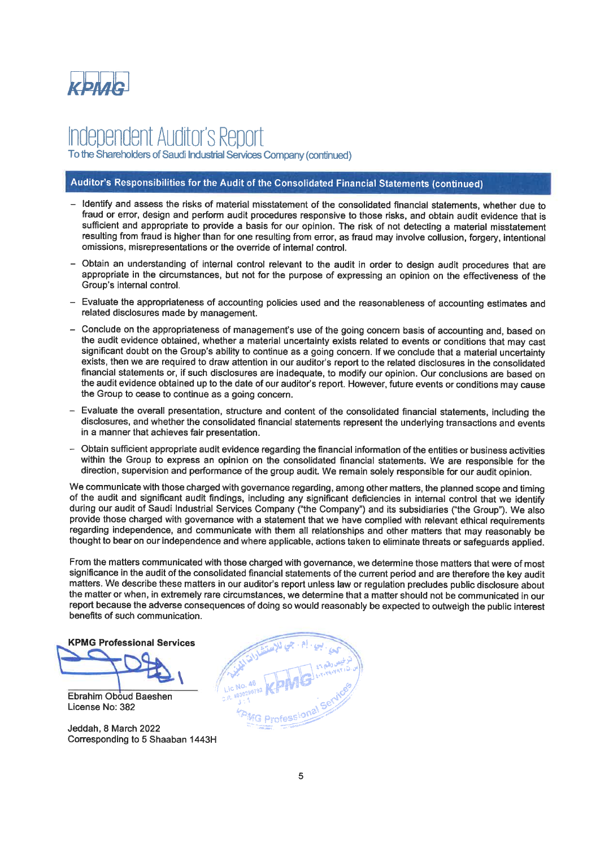

lependent Auditor's Report To the Shareholders of Saudi Industrial Services Company (continued)

# Auditor's Responsibilities for the Audit of the Consolidated Financial Statements (continued)

- Identify and assess the risks of material misstatement of the consolidated financial statements, whether due to fraud or error, design and perform audit procedures responsive to those risks, and obtain audit evidence that is sufficient and appropriate to provide a basis for our opinion. The risk of not detecting a material misstatement resulting from fraud is higher than for one resulting from error, as fraud may involve collusion, forgery, intentional omissions, misrepresentations or the override of internal control.
- Obtain an understanding of internal control relevant to the audit in order to design audit procedures that are appropriate in the circumstances, but not for the purpose of expressing an opinion on the effectiveness of the Group's internal control.
- Evaluate the appropriateness of accounting policies used and the reasonableness of accounting estimates and related disclosures made by management.
- Conclude on the appropriateness of management's use of the going concern basis of accounting and, based on the audit evidence obtained, whether a material uncertainty exists related to events or conditions that may cast significant doubt on the Group's ability to continue as a going concern. If we conclude that a material uncertainty exists, then we are required to draw attention in our auditor's report to the related disclosures in the consolidated financial statements or, if such disclosures are inadequate, to modify our opinion. Our conclusions are based on the audit evidence obtained up to the date of our auditor's report. However, future events or conditions may cause the Group to cease to continue as a going concern.
- Evaluate the overall presentation, structure and content of the consolidated financial statements, including the disclosures, and whether the consolidated financial statements represent the underlying transactions and events in a manner that achieves fair presentation.
- Obtain sufficient appropriate audit evidence regarding the financial information of the entities or business activities within the Group to express an opinion on the consolidated financial statements. We are responsible for the direction, supervision and performance of the group audit. We remain solely responsible for our audit opinion.

We communicate with those charged with governance regarding, among other matters, the planned scope and timing of the audit and significant audit findings, including any significant deficiencies in internal control that we identify during our audit of Saudi Industrial Services Company ("the Company") and its subsidiaries ("the Group"). We also provide those charged with governance with a statement that we have complied with relevant ethical requirements regarding independence, and communicate with them all relationships and other matters that may reasonably be thought to bear on our independence and where applicable, actions taken to eliminate threats or safeguards applied.

From the matters communicated with those charged with governance, we determine those matters that were of most significance in the audit of the consolidated financial statements of the current period and are therefore the key audit matters. We describe these matters in our auditor's report unless law or regulation precludes public disclosure about the matter or when, in extremely rare circumstances, we determine that a matter should not be communicated in our report because the adverse consequences of doing so would reasonably be expected to outweigh the public interest benefits of such communication.

**KPMG Professional Services** 

**Ebrahim Oboud Baeshen** License No: 382

Jeddah, 8 March 2022 Corresponding to 5 Shaaban 1443H

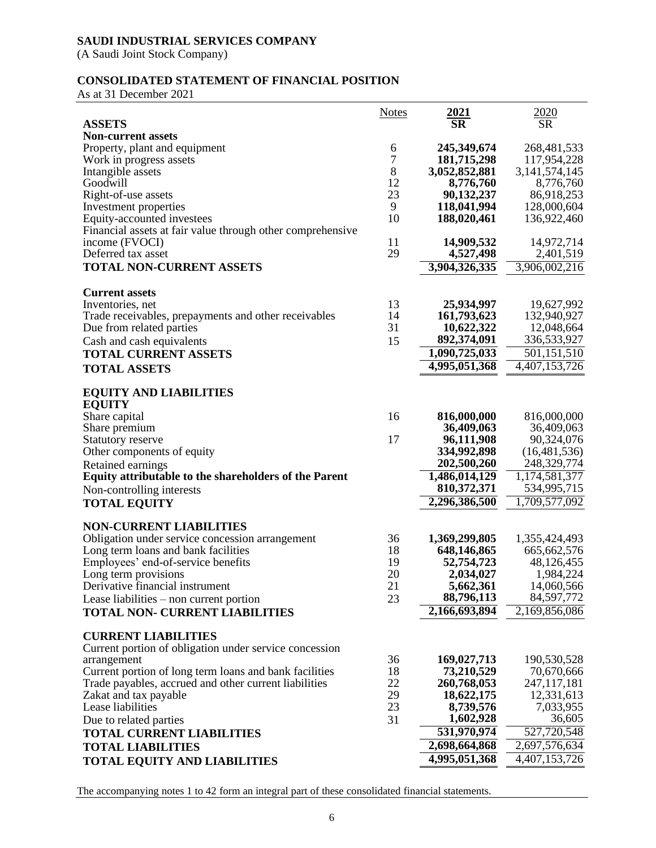(A Saudi Joint Stock Company)

# **CONSOLIDATED STATEMENT OF FINANCIAL POSITION**

As at 31 December 2021

|                                                            | <b>Notes</b> | $\frac{2021}{SR}$              | $\frac{2020}{SR}$            |
|------------------------------------------------------------|--------------|--------------------------------|------------------------------|
| <b>ASSETS</b>                                              |              |                                |                              |
| <b>Non-current assets</b>                                  |              |                                |                              |
| Property, plant and equipment                              | 6            | 245,349,674                    | 268, 481, 533                |
| Work in progress assets                                    | 7            | 181,715,298                    | 117,954,228                  |
| Intangible assets                                          | 8            | 3,052,852,881                  | 3, 141, 574, 145             |
| Goodwill                                                   | 12<br>23     | 8,776,760                      | 8,776,760                    |
| Right-of-use assets<br>Investment properties               | 9            | 90,132,237<br>118,041,994      | 86,918,253<br>128,000,604    |
| Equity-accounted investees                                 | 10           | 188,020,461                    | 136,922,460                  |
| Financial assets at fair value through other comprehensive |              |                                |                              |
| income (FVOCI)                                             | 11           | 14,909,532                     | 14,972,714                   |
| Deferred tax asset                                         | 29           | 4,527,498                      | 2,401,519                    |
| <b>TOTAL NON-CURRENT ASSETS</b>                            |              | 3,904,326,335                  | 3,906,002,216                |
|                                                            |              |                                |                              |
| <b>Current assets</b>                                      |              |                                |                              |
| Inventories, net                                           | 13           | 25,934,997                     | 19,627,992                   |
| Trade receivables, prepayments and other receivables       | 14           | 161,793,623                    | 132,940,927                  |
| Due from related parties                                   | 31           | 10,622,322                     | 12,048,664                   |
| Cash and cash equivalents                                  | 15           | 892,374,091                    | 336,533,927                  |
| <b>TOTAL CURRENT ASSETS</b>                                |              | 1,090,725,033                  | 501,151,510                  |
| <b>TOTAL ASSETS</b>                                        |              | 4,995,051,368                  | 4,407,153,726                |
|                                                            |              |                                |                              |
| <b>EQUITY AND LIABILITIES</b>                              |              |                                |                              |
| <b>EQUITY</b>                                              |              |                                |                              |
| Share capital                                              | 16           | 816,000,000                    | 816,000,000                  |
| Share premium                                              |              | 36,409,063                     | 36,409,063                   |
| Statutory reserve                                          | 17           | 96,111,908                     | 90,324,076                   |
| Other components of equity                                 |              | 334,992,898                    | (16, 481, 536)               |
| Retained earnings                                          |              | 202,500,260                    | 248,329,774                  |
| Equity attributable to the shareholders of the Parent      |              | 1,486,014,129                  | 1,174,581,377                |
| Non-controlling interests                                  |              | 810, 372, 371<br>2,296,386,500 | 534,995,715<br>1,709,577,092 |
| <b>TOTAL EQUITY</b>                                        |              |                                |                              |
| <b>NON-CURRENT LIABILITIES</b>                             |              |                                |                              |
| Obligation under service concession arrangement            | 36           | 1,369,299,805                  | 1,355,424,493                |
| Long term loans and bank facilities                        | 18           | 648,146,865                    | 665, 662, 576                |
| Employees' end-of-service benefits                         | 19           | 52,754,723                     | 48,126,455                   |
| Long term provisions                                       | 20           | 2,034,027                      | 1,984,224                    |
| Derivative financial instrument                            | 21           | 5,662,361                      | 14,060,566                   |
| Lease liabilities – non current portion                    | 23           | 88,796,113                     | 84,597,772                   |
| <b>TOTAL NON- CURRENT LIABILITIES</b>                      |              | 2,166,693,894                  | 2,169,856,086                |
|                                                            |              |                                |                              |
| <b>CURRENT LIABILITIES</b>                                 |              |                                |                              |
| Current portion of obligation under service concession     |              |                                |                              |
| arrangement                                                | 36           | 169,027,713                    | 190,530,528                  |
| Current portion of long term loans and bank facilities     | 18           | 73,210,529                     | 70,670,666                   |
| Trade payables, accrued and other current liabilities      | 22           | 260,768,053                    | 247, 117, 181                |
| Zakat and tax payable                                      | 29           | 18,622,175                     | 12,331,613                   |
| Lease liabilities                                          | 23           | 8,739,576<br>1,602,928         | 7,033,955<br>36,605          |
| Due to related parties                                     | 31           | 531,970,974                    | 527,720,548                  |
| <b>TOTAL CURRENT LIABILITIES</b>                           |              | 2,698,664,868                  |                              |
| <b>TOTAL LIABILITIES</b>                                   |              |                                | 2,697,576,634                |
| <b>TOTAL EQUITY AND LIABILITIES</b>                        |              | 4,995,051,368                  | $\overline{4,407,153,726}$   |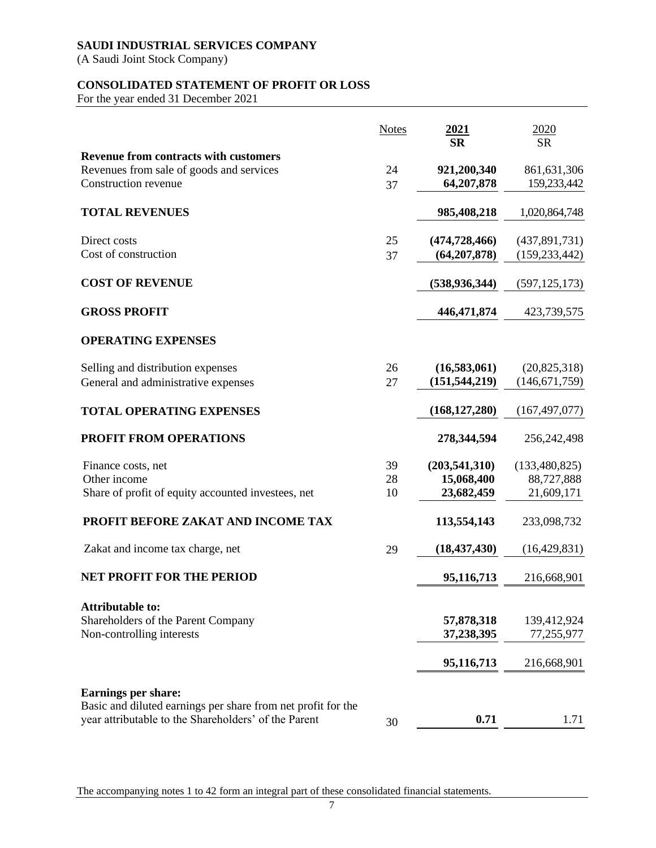(A Saudi Joint Stock Company)

# **CONSOLIDATED STATEMENT OF PROFIT OR LOSS**

For the year ended 31 December 2021

|                                                                                                                      | <b>Notes</b> | 2021<br><b>SR</b> | 2020<br><b>SR</b> |
|----------------------------------------------------------------------------------------------------------------------|--------------|-------------------|-------------------|
| <b>Revenue from contracts with customers</b>                                                                         |              |                   |                   |
| Revenues from sale of goods and services                                                                             | 24           | 921,200,340       | 861, 631, 306     |
| <b>Construction revenue</b>                                                                                          | 37           | 64,207,878        | 159,233,442       |
|                                                                                                                      |              |                   |                   |
| <b>TOTAL REVENUES</b>                                                                                                |              | 985,408,218       | 1,020,864,748     |
| Direct costs                                                                                                         | 25           | (474, 728, 466)   | (437,891,731)     |
| Cost of construction                                                                                                 | 37           | (64, 207, 878)    | (159, 233, 442)   |
| <b>COST OF REVENUE</b>                                                                                               |              | (538, 936, 344)   | (597, 125, 173)   |
| <b>GROSS PROFIT</b>                                                                                                  |              | 446, 471, 874     | 423,739,575       |
| <b>OPERATING EXPENSES</b>                                                                                            |              |                   |                   |
| Selling and distribution expenses                                                                                    | 26           | (16,583,061)      | (20, 825, 318)    |
| General and administrative expenses                                                                                  | 27           | (151, 544, 219)   | (146, 671, 759)   |
| <b>TOTAL OPERATING EXPENSES</b>                                                                                      |              | (168, 127, 280)   | (167, 497, 077)   |
| <b>PROFIT FROM OPERATIONS</b>                                                                                        |              | 278,344,594       | 256, 242, 498     |
| Finance costs, net                                                                                                   | 39           | (203, 541, 310)   | (133, 480, 825)   |
| Other income                                                                                                         | 28           | 15,068,400        | 88,727,888        |
| Share of profit of equity accounted investees, net                                                                   | 10           | 23,682,459        | 21,609,171        |
| PROFIT BEFORE ZAKAT AND INCOME TAX                                                                                   |              | 113,554,143       | 233,098,732       |
| Zakat and income tax charge, net                                                                                     | 29           | (18, 437, 430)    | (16, 429, 831)    |
| <b>NET PROFIT FOR THE PERIOD</b>                                                                                     |              | 95,116,713        | 216,668,901       |
| <b>Attributable to:</b>                                                                                              |              |                   |                   |
| Shareholders of the Parent Company                                                                                   |              | 57,878,318        | 139,412,924       |
| Non-controlling interests                                                                                            |              | 37,238,395        | 77,255,977        |
|                                                                                                                      |              | 95,116,713        | 216,668,901       |
|                                                                                                                      |              |                   |                   |
| Earnings per share:                                                                                                  |              |                   |                   |
| Basic and diluted earnings per share from net profit for the<br>year attributable to the Shareholders' of the Parent |              | 0.71              | 1.71              |
|                                                                                                                      | 30           |                   |                   |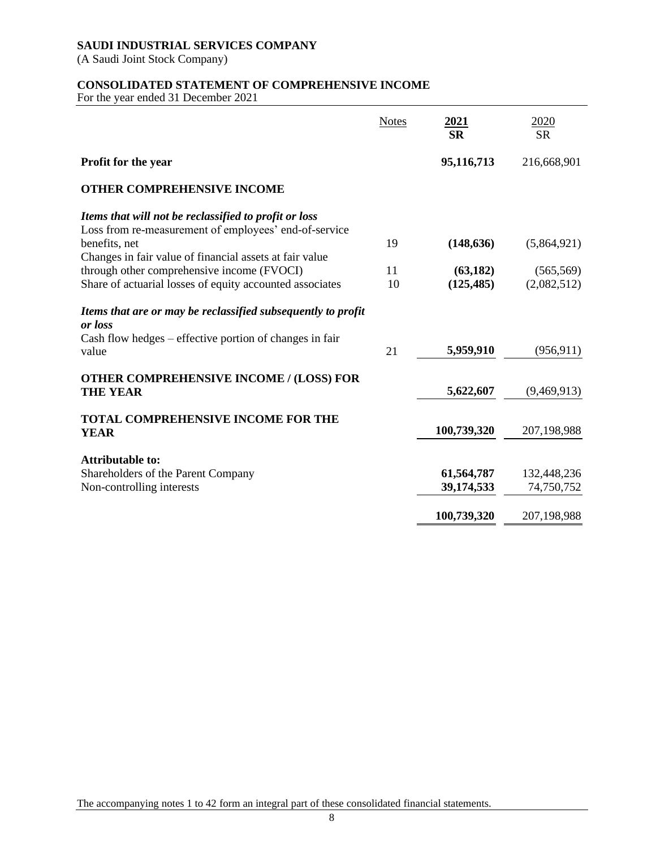(A Saudi Joint Stock Company)

# **CONSOLIDATED STATEMENT OF COMPREHENSIVE INCOME**

For the year ended 31 December 2021

|                                                                         | <b>Notes</b> | 2021<br><b>SR</b> | 2020<br><b>SR</b> |
|-------------------------------------------------------------------------|--------------|-------------------|-------------------|
| <b>Profit for the year</b>                                              |              | 95,116,713        | 216,668,901       |
| <b>OTHER COMPREHENSIVE INCOME</b>                                       |              |                   |                   |
| Items that will not be reclassified to profit or loss                   |              |                   |                   |
| Loss from re-measurement of employees' end-of-service                   |              |                   |                   |
| benefits, net                                                           | 19           | (148, 636)        | (5,864,921)       |
| Changes in fair value of financial assets at fair value                 |              |                   |                   |
| through other comprehensive income (FVOCI)                              | 11           | (63, 182)         | (565, 569)        |
| Share of actuarial losses of equity accounted associates                | 10           | (125, 485)        | (2,082,512)       |
| Items that are or may be reclassified subsequently to profit<br>or loss |              |                   |                   |
| Cash flow hedges – effective portion of changes in fair<br>value        | 21           | 5,959,910         | (956, 911)        |
| <b>OTHER COMPREHENSIVE INCOME / (LOSS) FOR</b><br><b>THE YEAR</b>       |              | 5,622,607         | (9,469,913)       |
|                                                                         |              |                   |                   |
| <b>TOTAL COMPREHENSIVE INCOME FOR THE</b><br><b>YEAR</b>                |              | 100,739,320       | 207,198,988       |
| <b>Attributable to:</b>                                                 |              |                   |                   |
| Shareholders of the Parent Company                                      |              | 61,564,787        | 132,448,236       |
| Non-controlling interests                                               |              | 39,174,533        | 74,750,752        |
|                                                                         |              |                   |                   |
|                                                                         |              | 100,739,320       | 207,198,988       |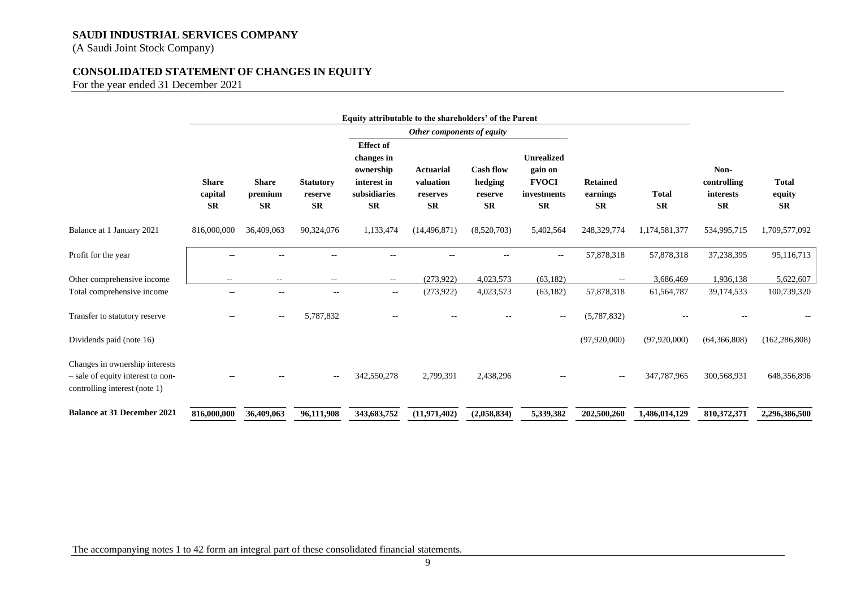(A Saudi Joint Stock Company)

# **CONSOLIDATED STATEMENT OF CHANGES IN EQUITY**

For the year ended 31 December 2021

|                                                                                                      | Equity attributable to the shareholders' of the Parent |                                      |                                          |                                                                                         |                                                        |                                                     |                                                                          |                                          |                           |                                                |                                     |
|------------------------------------------------------------------------------------------------------|--------------------------------------------------------|--------------------------------------|------------------------------------------|-----------------------------------------------------------------------------------------|--------------------------------------------------------|-----------------------------------------------------|--------------------------------------------------------------------------|------------------------------------------|---------------------------|------------------------------------------------|-------------------------------------|
|                                                                                                      |                                                        |                                      |                                          |                                                                                         | Other components of equity                             |                                                     |                                                                          |                                          |                           |                                                |                                     |
|                                                                                                      | <b>Share</b><br>capital<br><b>SR</b>                   | <b>Share</b><br>premium<br><b>SR</b> | <b>Statutory</b><br>reserve<br><b>SR</b> | <b>Effect</b> of<br>changes in<br>ownership<br>interest in<br>subsidiaries<br><b>SR</b> | <b>Actuarial</b><br>valuation<br>reserves<br><b>SR</b> | <b>Cash flow</b><br>hedging<br>reserve<br><b>SR</b> | <b>Unrealized</b><br>gain on<br><b>FVOCI</b><br>investments<br><b>SR</b> | <b>Retained</b><br>earnings<br><b>SR</b> | <b>Total</b><br><b>SR</b> | Non-<br>controlling<br>interests<br>${\bf SR}$ | <b>Total</b><br>equity<br><b>SR</b> |
| Balance at 1 January 2021                                                                            | 816,000,000                                            | 36,409,063                           | 90,324,076                               | 1,133,474                                                                               | (14, 496, 871)                                         | (8,520,703)                                         | 5,402,564                                                                | 248,329,774                              | 1,174,581,377             | 534,995,715                                    | 1,709,577,092                       |
| Profit for the year                                                                                  |                                                        |                                      |                                          |                                                                                         |                                                        |                                                     | $\overline{\phantom{a}}$                                                 | 57,878,318                               | 57,878,318                | 37,238,395                                     | 95,116,713                          |
| Other comprehensive income                                                                           | $\sim$ $\sim$                                          | $\qquad \qquad -$                    | $\overline{\phantom{a}}$                 | $\overline{\phantom{a}}$                                                                | (273,922)                                              | 4,023,573                                           | (63, 182)                                                                | $\overline{\phantom{m}}$                 | 3,686,469                 | 1,936,138                                      | 5,622,607                           |
| Total comprehensive income                                                                           | $- -$                                                  | $- -$                                | $\qquad \qquad -$                        | $\overline{\phantom{a}}$                                                                | (273, 922)                                             | 4,023,573                                           | (63,182)                                                                 | 57,878,318                               | 61,564,787                | 39,174,533                                     | 100,739,320                         |
| Transfer to statutory reserve                                                                        | --                                                     | $\sim$ $\sim$                        | 5,787,832                                |                                                                                         |                                                        |                                                     | $\overline{\phantom{a}}$                                                 | (5,787,832)                              |                           |                                                |                                     |
| Dividends paid (note 16)                                                                             |                                                        |                                      |                                          |                                                                                         |                                                        |                                                     |                                                                          | (97, 920, 000)                           | (97, 920, 000)            | (64,366,808)                                   | (162, 286, 808)                     |
| Changes in ownership interests<br>- sale of equity interest to non-<br>controlling interest (note 1) |                                                        |                                      |                                          | 342,550,278                                                                             | 2,799,391                                              | 2,438,296                                           |                                                                          | --                                       | 347,787,965               | 300,568,931                                    | 648,356,896                         |
| <b>Balance at 31 December 2021</b>                                                                   | 816,000,000                                            | 36,409,063                           | 96,111,908                               | 343,683,752                                                                             | (11, 971, 402)                                         | (2,058,834)                                         | 5,339,382                                                                | 202,500,260                              | 1.486.014.129             | 810,372,371                                    | 2,296,386,500                       |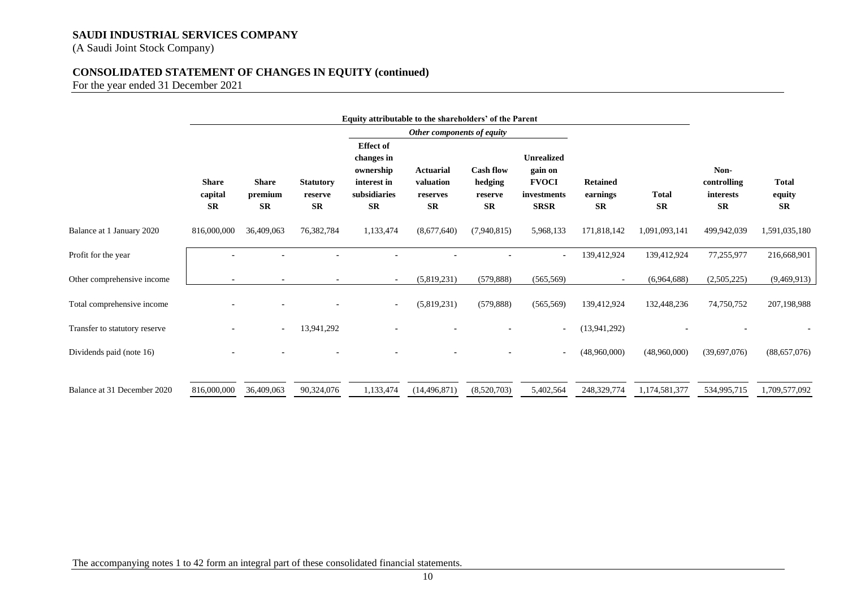(A Saudi Joint Stock Company)

# **CONSOLIDATED STATEMENT OF CHANGES IN EQUITY (continued)**

For the year ended 31 December 2021

|                               |                                      |                                      |                                          | Equity attributable to the shareholders' of the Parent                                  |                                                        |                                                     |                                                                            |                                          |                           |                                               |                                     |
|-------------------------------|--------------------------------------|--------------------------------------|------------------------------------------|-----------------------------------------------------------------------------------------|--------------------------------------------------------|-----------------------------------------------------|----------------------------------------------------------------------------|------------------------------------------|---------------------------|-----------------------------------------------|-------------------------------------|
|                               | Other components of equity           |                                      |                                          |                                                                                         |                                                        |                                                     |                                                                            |                                          |                           |                                               |                                     |
|                               | <b>Share</b><br>capital<br><b>SR</b> | <b>Share</b><br>premium<br><b>SR</b> | <b>Statutory</b><br>reserve<br><b>SR</b> | <b>Effect</b> of<br>changes in<br>ownership<br>interest in<br>subsidiaries<br><b>SR</b> | <b>Actuarial</b><br>valuation<br>reserves<br><b>SR</b> | <b>Cash flow</b><br>hedging<br>reserve<br><b>SR</b> | <b>Unrealized</b><br>gain on<br><b>FVOCI</b><br>investments<br><b>SRSR</b> | <b>Retained</b><br>earnings<br><b>SR</b> | <b>Total</b><br><b>SR</b> | Non-<br>controlling<br>interests<br><b>SR</b> | <b>Total</b><br>equity<br><b>SR</b> |
| Balance at 1 January 2020     | 816,000,000                          | 36,409,063                           | 76,382,784                               | 1,133,474                                                                               | (8,677,640)                                            | (7,940,815)                                         | 5,968,133                                                                  | 171,818,142                              | 1,091,093,141             | 499,942,039                                   | 1,591,035,180                       |
| Profit for the year           |                                      |                                      |                                          |                                                                                         |                                                        |                                                     |                                                                            | 139,412,924                              | 139,412,924               | 77,255,977                                    | 216,668,901                         |
| Other comprehensive income    |                                      |                                      |                                          |                                                                                         | (5,819,231)                                            | (579, 888)                                          | (565, 569)                                                                 |                                          | (6,964,688)               | (2,505,225)                                   | (9,469,913)                         |
| Total comprehensive income    |                                      |                                      |                                          |                                                                                         | (5,819,231)                                            | (579, 888)                                          | (565, 569)                                                                 | 139,412,924                              | 132,448,236               | 74,750,752                                    | 207,198,988                         |
| Transfer to statutory reserve |                                      | $\blacksquare$                       | 13,941,292                               |                                                                                         |                                                        |                                                     | ٠                                                                          | (13, 941, 292)                           |                           |                                               |                                     |
| Dividends paid (note 16)      |                                      |                                      |                                          |                                                                                         |                                                        |                                                     |                                                                            | (48,960,000)                             | (48,960,000)              | (39,697,076)                                  | (88, 657, 076)                      |
| Balance at 31 December 2020   | 816,000,000                          | 36,409,063                           | 90,324,076                               | 1,133,474                                                                               | (14, 496, 871)                                         | (8,520,703)                                         | 5,402,564                                                                  | 248,329,774                              | 1,174,581,377             | 534,995,715                                   | 1,709,577,092                       |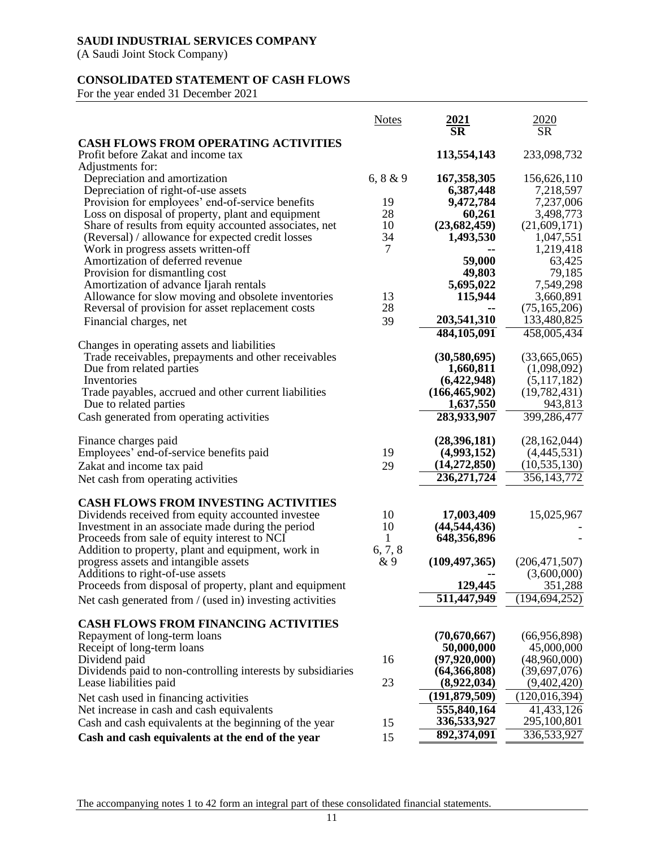(A Saudi Joint Stock Company)

# **CONSOLIDATED STATEMENT OF CASH FLOWS**

For the year ended 31 December 2021

|                                                             | <b>Notes</b> | $\frac{2021}{SR}$ | 2020<br>SR      |
|-------------------------------------------------------------|--------------|-------------------|-----------------|
| <b>CASH FLOWS FROM OPERATING ACTIVITIES</b>                 |              |                   |                 |
| Profit before Zakat and income tax                          |              | 113,554,143       | 233,098,732     |
| Adjustments for:                                            |              |                   |                 |
| Depreciation and amortization                               | 6, 8 & 9     | 167, 358, 305     | 156,626,110     |
| Depreciation of right-of-use assets                         |              | 6,387,448         | 7,218,597       |
| Provision for employees' end-of-service benefits            | 19           | 9,472,784         | 7,237,006       |
| Loss on disposal of property, plant and equipment           | 28           | 60,261            | 3,498,773       |
| Share of results from equity accounted associates, net      | 10           | (23,682,459)      | (21,609,171)    |
| (Reversal) / allowance for expected credit losses           | 34           | 1,493,530         | 1,047,551       |
| Work in progress assets written-off                         | 7            |                   | 1,219,418       |
| Amortization of deferred revenue                            |              | 59,000            | 63,425          |
| Provision for dismantling cost                              |              | 49,803            | 79,185          |
| Amortization of advance Ijarah rentals                      |              | 5,695,022         | 7,549,298       |
| Allowance for slow moving and obsolete inventories          | 13           | 115,944           | 3,660,891       |
| Reversal of provision for asset replacement costs           | 28           |                   | (75, 165, 206)  |
| Financial charges, net                                      | 39           | 203,541,310       | 133,480,825     |
|                                                             |              | 484,105,091       | 458,005,434     |
| Changes in operating assets and liabilities                 |              |                   |                 |
| Trade receivables, prepayments and other receivables        |              | (30,580,695)      | (33,665,065)    |
| Due from related parties                                    |              | 1,660,811         | (1,098,092)     |
| Inventories                                                 |              | (6,422,948)       | (5,117,182)     |
| Trade payables, accrued and other current liabilities       |              | (166, 465, 902)   | (19, 782, 431)  |
| Due to related parties                                      |              | 1,637,550         | 943,813         |
| Cash generated from operating activities                    |              | 283,933,907       | 399,286,477     |
| Finance charges paid                                        |              | (28,396,181)      | (28, 162, 044)  |
| Employees' end-of-service benefits paid                     | 19           | (4,993,152)       | (4,445,531)     |
| Zakat and income tax paid                                   | 29           | (14,272,850)      | (10, 535, 130)  |
| Net cash from operating activities                          |              | 236, 271, 724     | 356, 143, 772   |
|                                                             |              |                   |                 |
| <b>CASH FLOWS FROM INVESTING ACTIVITIES</b>                 |              |                   |                 |
| Dividends received from equity accounted investee           | 10           | 17,003,409        | 15,025,967      |
| Investment in an associate made during the period           | 10           | (44, 544, 436)    |                 |
| Proceeds from sale of equity interest to NCI                | $\mathbf{1}$ | 648,356,896       |                 |
| Addition to property, plant and equipment, work in          | 6, 7, 8      |                   |                 |
| progress assets and intangible assets                       | &9           | (109, 497, 365)   | (206, 471, 507) |
| Additions to right-of-use assets                            |              |                   | (3,600,000)     |
| Proceeds from disposal of property, plant and equipment     |              | 129,445           | 351,288         |
| Net cash generated from / (used in) investing activities    |              | 511,447,949       | (194, 694, 252) |
| <b>CASH FLOWS FROM FINANCING ACTIVITIES</b>                 |              |                   |                 |
| Repayment of long-term loans                                |              | (70,670,667)      | (66,956,898)    |
| Receipt of long-term loans                                  |              | 50,000,000        | 45,000,000      |
| Dividend paid                                               | 16           | (97, 920, 000)    | (48,960,000)    |
| Dividends paid to non-controlling interests by subsidiaries |              | (64,366,808)      | (39,697,076)    |
| Lease liabilities paid                                      | 23           | (8,922,034)       | (9,402,420)     |
| Net cash used in financing activities                       |              | (191, 879, 509)   | (120, 016, 394) |
| Net increase in cash and cash equivalents                   |              | 555,840,164       | 41, 433, 126    |
| Cash and cash equivalents at the beginning of the year      | 15           | 336,533,927       | 295,100,801     |
| Cash and cash equivalents at the end of the year            | 15           | 892,374,091       | 336,533,927     |
|                                                             |              |                   |                 |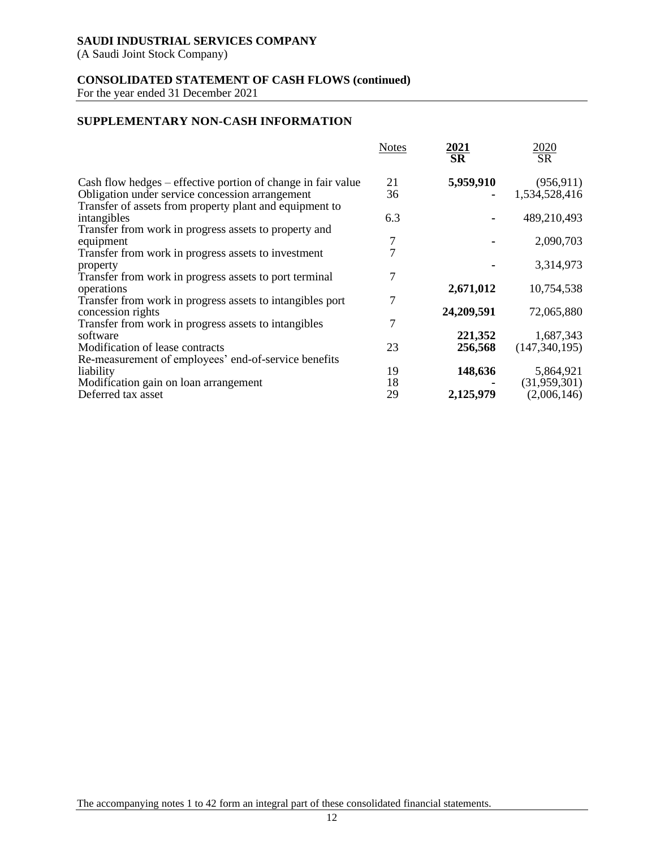(A Saudi Joint Stock Company)

# **CONSOLIDATED STATEMENT OF CASH FLOWS (continued)**

For the year ended 31 December 2021

# **SUPPLEMENTARY NON-CASH INFORMATION**

|                                                                  | <b>Notes</b> | $\frac{2021}{\text{SR}}$ | $\frac{2020}{\text{SR}}$ |
|------------------------------------------------------------------|--------------|--------------------------|--------------------------|
|                                                                  |              |                          |                          |
| Cash flow hedges – effective portion of change in fair value     | 21           | 5,959,910                | (956, 911)               |
| Obligation under service concession arrangement                  | 36           |                          | 1,534,528,416            |
| Transfer of assets from property plant and equipment to          |              |                          |                          |
| intangibles                                                      | 6.3          |                          | 489,210,493              |
| Transfer from work in progress assets to property and            | 7            |                          | 2,090,703                |
| equipment<br>Transfer from work in progress assets to investment | 7            |                          |                          |
| property                                                         |              |                          | 3,314,973                |
| Transfer from work in progress assets to port terminal           | 7            |                          |                          |
| operations                                                       |              | 2,671,012                | 10,754,538               |
| Transfer from work in progress assets to intangibles port        | 7            |                          |                          |
| concession rights                                                |              | 24,209,591               | 72,065,880               |
| Transfer from work in progress assets to intangibles             | 7            |                          |                          |
| software                                                         |              | 221,352                  | 1,687,343                |
| Modification of lease contracts                                  | 23           | 256,568                  | (147, 340, 195)          |
| Re-measurement of employees' end-of-service benefits             |              |                          |                          |
| liability                                                        | 19           | 148,636                  | 5,864,921                |
| Modification gain on loan arrangement                            | 18           |                          | (31,959,301)             |
| Deferred tax asset                                               | 29           | 2,125,979                | (2,006,146)              |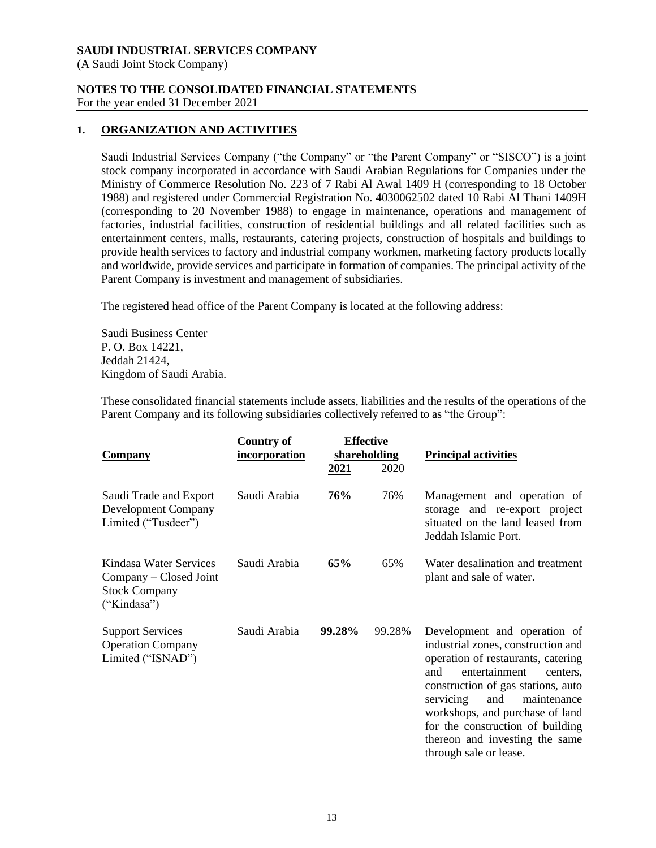(A Saudi Joint Stock Company)

# **NOTES TO THE CONSOLIDATED FINANCIAL STATEMENTS**

For the year ended 31 December 2021

# **1. ORGANIZATION AND ACTIVITIES**

Saudi Industrial Services Company ("the Company" or "the Parent Company" or "SISCO") is a joint stock company incorporated in accordance with Saudi Arabian Regulations for Companies under the Ministry of Commerce Resolution No. 223 of 7 Rabi Al Awal 1409 H (corresponding to 18 October 1988) and registered under Commercial Registration No. 4030062502 dated 10 Rabi Al Thani 1409H (corresponding to 20 November 1988) to engage in maintenance, operations and management of factories, industrial facilities, construction of residential buildings and all related facilities such as entertainment centers, malls, restaurants, catering projects, construction of hospitals and buildings to provide health services to factory and industrial company workmen, marketing factory products locally and worldwide, provide services and participate in formation of companies. The principal activity of the Parent Company is investment and management of subsidiaries.

The registered head office of the Parent Company is located at the following address:

Saudi Business Center P. O. Box 14221, Jeddah 21424, Kingdom of Saudi Arabia.

These consolidated financial statements include assets, liabilities and the results of the operations of the Parent Company and its following subsidiaries collectively referred to as "the Group":

| <b>Company</b>                                                                          | <b>Country of</b><br>incorporation | <b>Effective</b><br>shareholding<br><u>2021</u><br>2020 |        | <b>Principal activities</b>                                                                                                                                                                                                                                                                                                                              |  |
|-----------------------------------------------------------------------------------------|------------------------------------|---------------------------------------------------------|--------|----------------------------------------------------------------------------------------------------------------------------------------------------------------------------------------------------------------------------------------------------------------------------------------------------------------------------------------------------------|--|
| Saudi Trade and Export<br><b>Development Company</b><br>Limited ("Tusdeer")             | Saudi Arabia                       | 76%                                                     | 76%    | Management and operation of<br>storage and re-export project<br>situated on the land leased from<br>Jeddah Islamic Port.                                                                                                                                                                                                                                 |  |
| Kindasa Water Services<br>Company – Closed Joint<br><b>Stock Company</b><br>("Kindasa") | Saudi Arabia                       | 65%                                                     | 65%    | Water desalination and treatment<br>plant and sale of water.                                                                                                                                                                                                                                                                                             |  |
| <b>Support Services</b><br><b>Operation Company</b><br>Limited ("ISNAD")                | Saudi Arabia                       | 99.28%                                                  | 99.28% | Development and operation of<br>industrial zones, construction and<br>operation of restaurants, catering<br>entertainment<br>and<br>centers.<br>construction of gas stations, auto<br>servicing<br>maintenance<br>and<br>workshops, and purchase of land<br>for the construction of building<br>thereon and investing the same<br>through sale or lease. |  |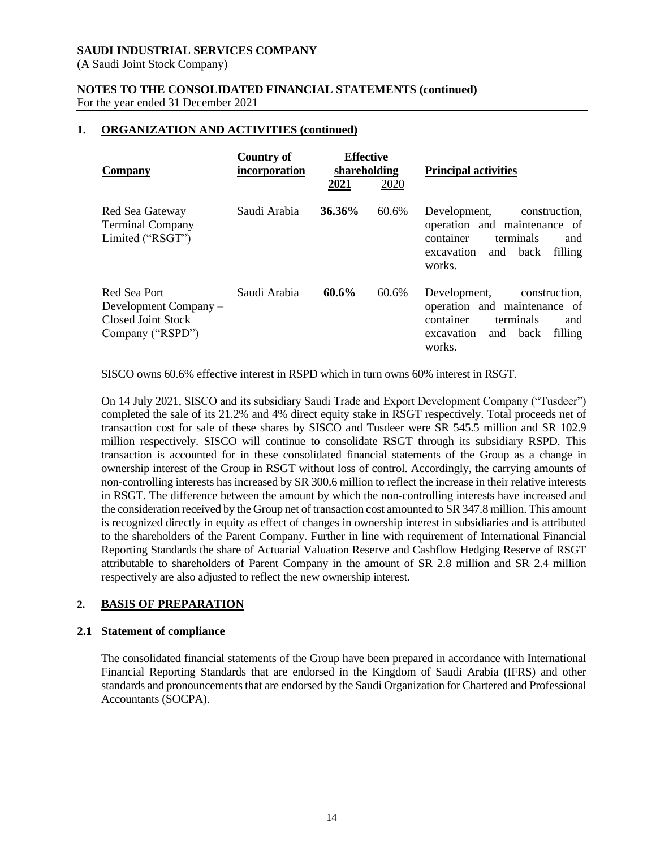(A Saudi Joint Stock Company)

#### **NOTES TO THE CONSOLIDATED FINANCIAL STATEMENTS (continued)** For the year ended 31 December 2021

# **1. ORGANIZATION AND ACTIVITIES (continued)**

| Company                                                                         | <b>Country of</b><br>incorporation | <b>Effective</b><br>shareholding |       | <b>Principal activities</b>                                                                                                                      |  |
|---------------------------------------------------------------------------------|------------------------------------|----------------------------------|-------|--------------------------------------------------------------------------------------------------------------------------------------------------|--|
|                                                                                 |                                    | 2021                             | 2020  |                                                                                                                                                  |  |
| Red Sea Gateway<br><b>Terminal Company</b><br>Limited ("RSGT")                  | Saudi Arabia                       | 36.36%                           | 60.6% | Development,<br>construction.<br>operation and maintenance of<br>container<br>terminals<br>and<br>filling<br>and<br>back<br>excavation<br>works. |  |
| Red Sea Port<br>Development Company –<br>Closed Joint Stock<br>Company ("RSPD") | Saudi Arabia                       | 60.6%                            | 60.6% | Development,<br>construction.<br>operation and maintenance of<br>container<br>terminals<br>and<br>filling<br>and<br>back<br>excavation<br>works. |  |

SISCO owns 60.6% effective interest in RSPD which in turn owns 60% interest in RSGT.

On 14 July 2021, SISCO and its subsidiary Saudi Trade and Export Development Company ("Tusdeer") completed the sale of its 21.2% and 4% direct equity stake in RSGT respectively. Total proceeds net of transaction cost for sale of these shares by SISCO and Tusdeer were SR 545.5 million and SR 102.9 million respectively. SISCO will continue to consolidate RSGT through its subsidiary RSPD. This transaction is accounted for in these consolidated financial statements of the Group as a change in ownership interest of the Group in RSGT without loss of control. Accordingly, the carrying amounts of non-controlling interests has increased by SR 300.6 million to reflect the increase in their relative interests in RSGT. The difference between the amount by which the non-controlling interests have increased and the consideration received by the Group net of transaction cost amounted to SR 347.8 million. This amount is recognized directly in equity as effect of changes in ownership interest in subsidiaries and is attributed to the shareholders of the Parent Company. Further in line with requirement of International Financial Reporting Standards the share of Actuarial Valuation Reserve and Cashflow Hedging Reserve of RSGT attributable to shareholders of Parent Company in the amount of SR 2.8 million and SR 2.4 million respectively are also adjusted to reflect the new ownership interest.

# **2. BASIS OF PREPARATION**

#### **2.1 Statement of compliance**

The consolidated financial statements of the Group have been prepared in accordance with International Financial Reporting Standards that are endorsed in the Kingdom of Saudi Arabia (IFRS) and other standards and pronouncements that are endorsed by the Saudi Organization for Chartered and Professional Accountants (SOCPA).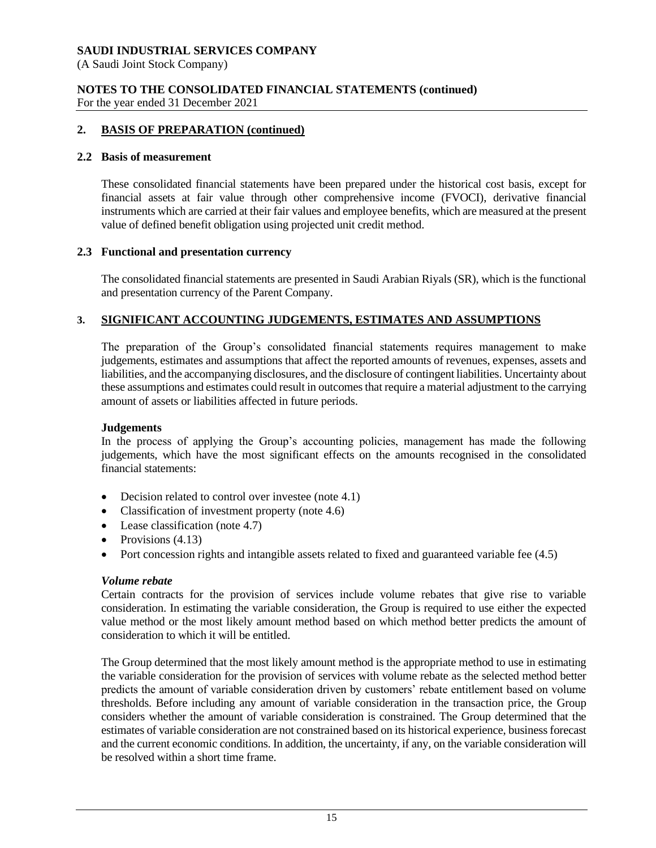(A Saudi Joint Stock Company)

#### **NOTES TO THE CONSOLIDATED FINANCIAL STATEMENTS (continued)** For the year ended 31 December 2021

#### **2. BASIS OF PREPARATION (continued)**

#### **2.2 Basis of measurement**

These consolidated financial statements have been prepared under the historical cost basis, except for financial assets at fair value through other comprehensive income (FVOCI), derivative financial instruments which are carried at their fair values and employee benefits, which are measured at the present value of defined benefit obligation using projected unit credit method.

#### **2.3 Functional and presentation currency**

The consolidated financial statements are presented in Saudi Arabian Riyals (SR), which is the functional and presentation currency of the Parent Company.

#### **3. SIGNIFICANT ACCOUNTING JUDGEMENTS, ESTIMATES AND ASSUMPTIONS**

The preparation of the Group's consolidated financial statements requires management to make judgements, estimates and assumptions that affect the reported amounts of revenues, expenses, assets and liabilities, and the accompanying disclosures, and the disclosure of contingent liabilities. Uncertainty about these assumptions and estimates could result in outcomes that require a material adjustment to the carrying amount of assets or liabilities affected in future periods.

#### **Judgements**

In the process of applying the Group's accounting policies, management has made the following judgements, which have the most significant effects on the amounts recognised in the consolidated financial statements:

- Decision related to control over investee (note 4.1)
- Classification of investment property (note 4.6)
- Lease classification (note 4.7)
- Provisions  $(4.13)$
- Port concession rights and intangible assets related to fixed and guaranteed variable fee (4.5)

#### *Volume rebate*

Certain contracts for the provision of services include volume rebates that give rise to variable consideration. In estimating the variable consideration, the Group is required to use either the expected value method or the most likely amount method based on which method better predicts the amount of consideration to which it will be entitled.

The Group determined that the most likely amount method is the appropriate method to use in estimating the variable consideration for the provision of services with volume rebate as the selected method better predicts the amount of variable consideration driven by customers' rebate entitlement based on volume thresholds. Before including any amount of variable consideration in the transaction price, the Group considers whether the amount of variable consideration is constrained. The Group determined that the estimates of variable consideration are not constrained based on its historical experience, business forecast and the current economic conditions. In addition, the uncertainty, if any, on the variable consideration will be resolved within a short time frame.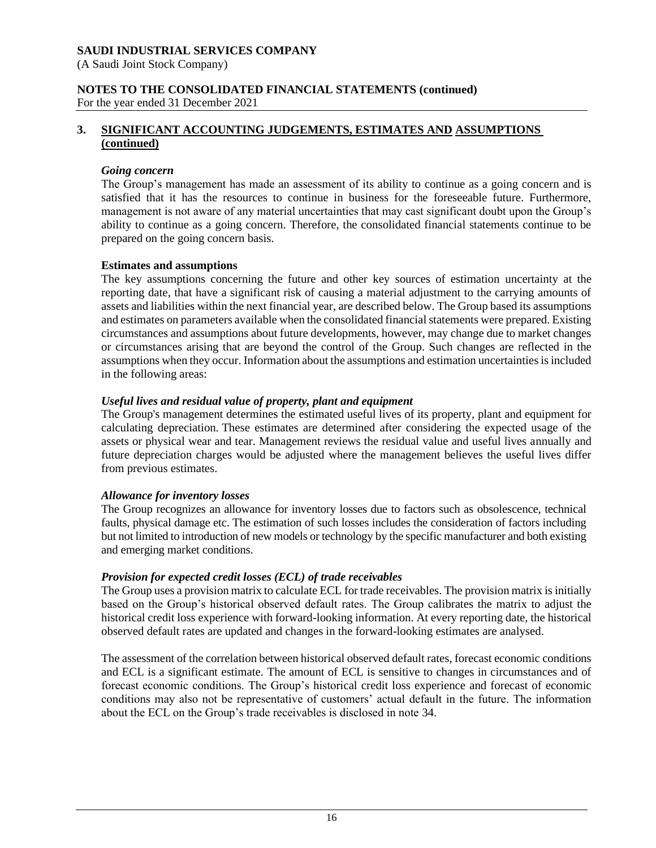(A Saudi Joint Stock Company)

#### **NOTES TO THE CONSOLIDATED FINANCIAL STATEMENTS (continued)** For the year ended 31 December 2021

# **3. SIGNIFICANT ACCOUNTING JUDGEMENTS, ESTIMATES AND ASSUMPTIONS (continued)**

#### *Going concern*

The Group's management has made an assessment of its ability to continue as a going concern and is satisfied that it has the resources to continue in business for the foreseeable future. Furthermore, management is not aware of any material uncertainties that may cast significant doubt upon the Group's ability to continue as a going concern. Therefore, the consolidated financial statements continue to be prepared on the going concern basis.

#### **Estimates and assumptions**

The key assumptions concerning the future and other key sources of estimation uncertainty at the reporting date, that have a significant risk of causing a material adjustment to the carrying amounts of assets and liabilities within the next financial year, are described below. The Group based its assumptions and estimates on parameters available when the consolidated financial statements were prepared. Existing circumstances and assumptions about future developments, however, may change due to market changes or circumstances arising that are beyond the control of the Group. Such changes are reflected in the assumptions when they occur. Information about the assumptions and estimation uncertainties is included in the following areas:

#### *Useful lives and residual value of property, plant and equipment*

The Group's management determines the estimated useful lives of its property, plant and equipment for calculating depreciation. These estimates are determined after considering the expected usage of the assets or physical wear and tear. Management reviews the residual value and useful lives annually and future depreciation charges would be adjusted where the management believes the useful lives differ from previous estimates.

#### *Allowance for inventory losses*

The Group recognizes an allowance for inventory losses due to factors such as obsolescence, technical faults, physical damage etc. The estimation of such losses includes the consideration of factors including but not limited to introduction of new models or technology by the specific manufacturer and both existing and emerging market conditions.

#### *Provision for expected credit losses (ECL) of trade receivables*

The Group uses a provision matrix to calculate ECL for trade receivables. The provision matrix is initially based on the Group's historical observed default rates. The Group calibrates the matrix to adjust the historical credit loss experience with forward-looking information. At every reporting date, the historical observed default rates are updated and changes in the forward-looking estimates are analysed.

The assessment of the correlation between historical observed default rates, forecast economic conditions and ECL is a significant estimate. The amount of ECL is sensitive to changes in circumstances and of forecast economic conditions. The Group's historical credit loss experience and forecast of economic conditions may also not be representative of customers' actual default in the future. The information about the ECL on the Group's trade receivables is disclosed in note 34.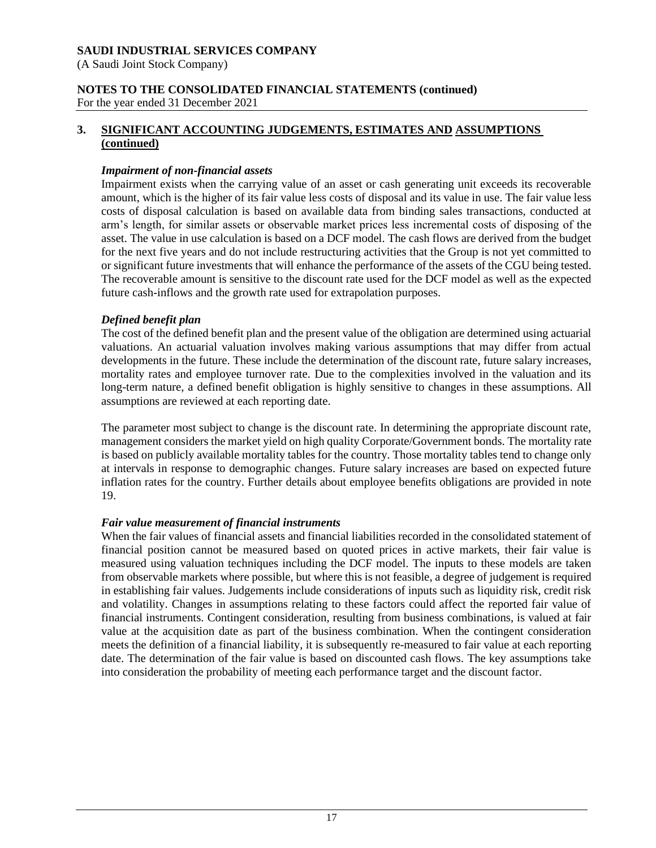(A Saudi Joint Stock Company)

# **NOTES TO THE CONSOLIDATED FINANCIAL STATEMENTS (continued)**

For the year ended 31 December 2021

# **3. SIGNIFICANT ACCOUNTING JUDGEMENTS, ESTIMATES AND ASSUMPTIONS (continued)**

# *Impairment of non-financial assets*

Impairment exists when the carrying value of an asset or cash generating unit exceeds its recoverable amount, which is the higher of its fair value less costs of disposal and its value in use. The fair value less costs of disposal calculation is based on available data from binding sales transactions, conducted at arm's length, for similar assets or observable market prices less incremental costs of disposing of the asset. The value in use calculation is based on a DCF model. The cash flows are derived from the budget for the next five years and do not include restructuring activities that the Group is not yet committed to or significant future investments that will enhance the performance of the assets of the CGU being tested. The recoverable amount is sensitive to the discount rate used for the DCF model as well as the expected future cash-inflows and the growth rate used for extrapolation purposes.

# *Defined benefit plan*

The cost of the defined benefit plan and the present value of the obligation are determined using actuarial valuations. An actuarial valuation involves making various assumptions that may differ from actual developments in the future. These include the determination of the discount rate, future salary increases, mortality rates and employee turnover rate. Due to the complexities involved in the valuation and its long-term nature, a defined benefit obligation is highly sensitive to changes in these assumptions. All assumptions are reviewed at each reporting date.

The parameter most subject to change is the discount rate. In determining the appropriate discount rate, management considers the market yield on high quality Corporate/Government bonds. The mortality rate is based on publicly available mortality tables for the country. Those mortality tables tend to change only at intervals in response to demographic changes. Future salary increases are based on expected future inflation rates for the country. Further details about employee benefits obligations are provided in note 19.

# *Fair value measurement of financial instruments*

When the fair values of financial assets and financial liabilities recorded in the consolidated statement of financial position cannot be measured based on quoted prices in active markets, their fair value is measured using valuation techniques including the DCF model. The inputs to these models are taken from observable markets where possible, but where this is not feasible, a degree of judgement is required in establishing fair values. Judgements include considerations of inputs such as liquidity risk, credit risk and volatility. Changes in assumptions relating to these factors could affect the reported fair value of financial instruments. Contingent consideration, resulting from business combinations, is valued at fair value at the acquisition date as part of the business combination. When the contingent consideration meets the definition of a financial liability, it is subsequently re-measured to fair value at each reporting date. The determination of the fair value is based on discounted cash flows. The key assumptions take into consideration the probability of meeting each performance target and the discount factor.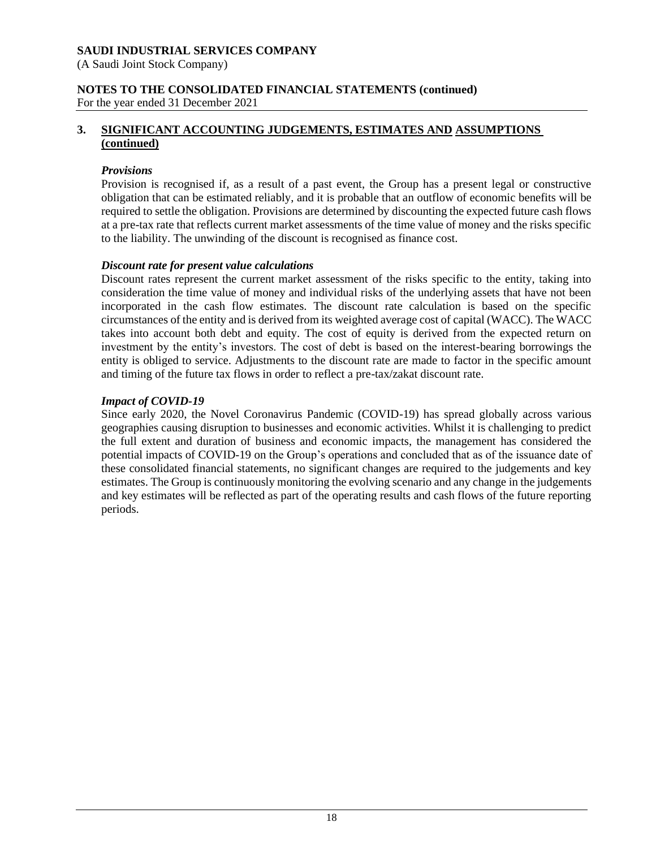(A Saudi Joint Stock Company)

# **NOTES TO THE CONSOLIDATED FINANCIAL STATEMENTS (continued)**

For the year ended 31 December 2021

# **3. SIGNIFICANT ACCOUNTING JUDGEMENTS, ESTIMATES AND ASSUMPTIONS (continued)**

# *Provisions*

Provision is recognised if, as a result of a past event, the Group has a present legal or constructive obligation that can be estimated reliably, and it is probable that an outflow of economic benefits will be required to settle the obligation. Provisions are determined by discounting the expected future cash flows at a pre-tax rate that reflects current market assessments of the time value of money and the risks specific to the liability. The unwinding of the discount is recognised as finance cost.

# *Discount rate for present value calculations*

Discount rates represent the current market assessment of the risks specific to the entity, taking into consideration the time value of money and individual risks of the underlying assets that have not been incorporated in the cash flow estimates. The discount rate calculation is based on the specific circumstances of the entity and is derived from its weighted average cost of capital (WACC). The WACC takes into account both debt and equity. The cost of equity is derived from the expected return on investment by the entity's investors. The cost of debt is based on the interest-bearing borrowings the entity is obliged to service. Adjustments to the discount rate are made to factor in the specific amount and timing of the future tax flows in order to reflect a pre-tax/zakat discount rate.

# *Impact of COVID-19*

Since early 2020, the Novel Coronavirus Pandemic (COVID-19) has spread globally across various geographies causing disruption to businesses and economic activities. Whilst it is challenging to predict the full extent and duration of business and economic impacts, the management has considered the potential impacts of COVID-19 on the Group's operations and concluded that as of the issuance date of these consolidated financial statements, no significant changes are required to the judgements and key estimates. The Group is continuously monitoring the evolving scenario and any change in the judgements and key estimates will be reflected as part of the operating results and cash flows of the future reporting periods.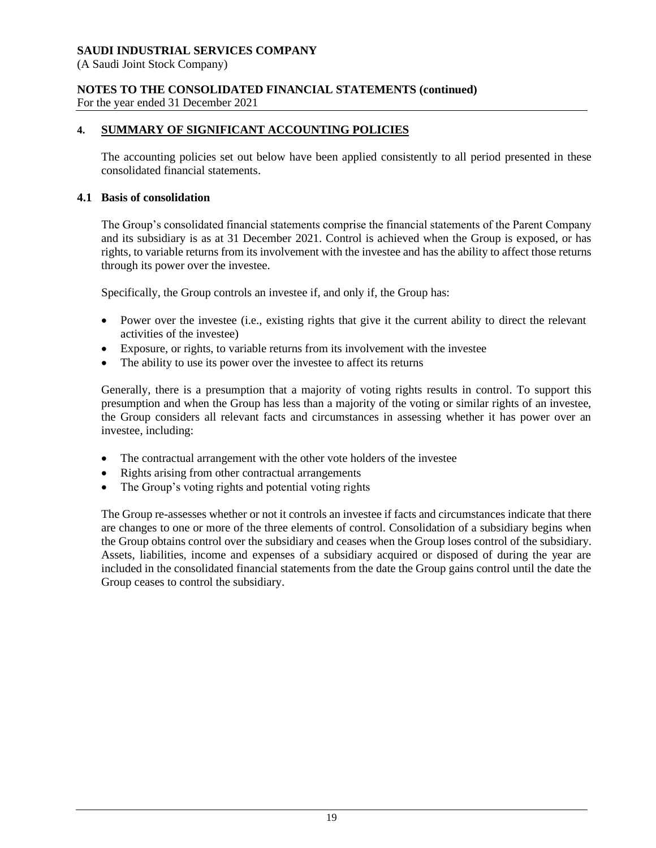(A Saudi Joint Stock Company)

# **NOTES TO THE CONSOLIDATED FINANCIAL STATEMENTS (continued)**

For the year ended 31 December 2021

# **4. SUMMARY OF SIGNIFICANT ACCOUNTING POLICIES**

The accounting policies set out below have been applied consistently to all period presented in these consolidated financial statements.

# **4.1 Basis of consolidation**

The Group's consolidated financial statements comprise the financial statements of the Parent Company and its subsidiary is as at 31 December 2021. Control is achieved when the Group is exposed, or has rights, to variable returns from its involvement with the investee and has the ability to affect those returns through its power over the investee.

Specifically, the Group controls an investee if, and only if, the Group has:

- Power over the investee (i.e., existing rights that give it the current ability to direct the relevant activities of the investee)
- Exposure, or rights, to variable returns from its involvement with the investee
- The ability to use its power over the investee to affect its returns

Generally, there is a presumption that a majority of voting rights results in control. To support this presumption and when the Group has less than a majority of the voting or similar rights of an investee, the Group considers all relevant facts and circumstances in assessing whether it has power over an investee, including:

- The contractual arrangement with the other vote holders of the investee
- Rights arising from other contractual arrangements
- The Group's voting rights and potential voting rights

The Group re-assesses whether or not it controls an investee if facts and circumstances indicate that there are changes to one or more of the three elements of control. Consolidation of a subsidiary begins when the Group obtains control over the subsidiary and ceases when the Group loses control of the subsidiary. Assets, liabilities, income and expenses of a subsidiary acquired or disposed of during the year are included in the consolidated financial statements from the date the Group gains control until the date the Group ceases to control the subsidiary.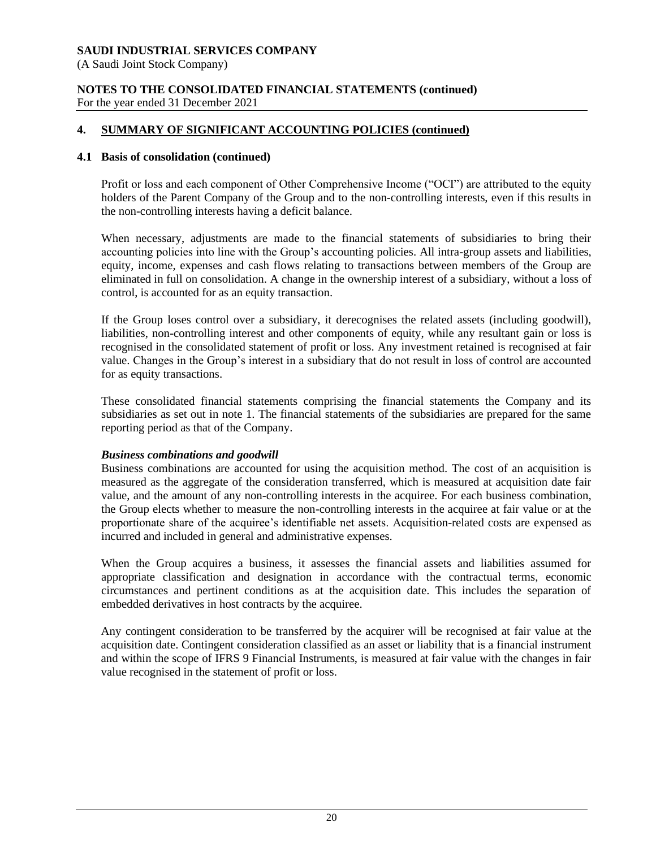(A Saudi Joint Stock Company)

#### **NOTES TO THE CONSOLIDATED FINANCIAL STATEMENTS (continued)** For the year ended 31 December 2021

# **4. SUMMARY OF SIGNIFICANT ACCOUNTING POLICIES (continued)**

#### **4.1 Basis of consolidation (continued)**

Profit or loss and each component of Other Comprehensive Income ("OCI") are attributed to the equity holders of the Parent Company of the Group and to the non-controlling interests, even if this results in the non-controlling interests having a deficit balance.

When necessary, adjustments are made to the financial statements of subsidiaries to bring their accounting policies into line with the Group's accounting policies. All intra-group assets and liabilities, equity, income, expenses and cash flows relating to transactions between members of the Group are eliminated in full on consolidation. A change in the ownership interest of a subsidiary, without a loss of control, is accounted for as an equity transaction.

If the Group loses control over a subsidiary, it derecognises the related assets (including goodwill), liabilities, non-controlling interest and other components of equity, while any resultant gain or loss is recognised in the consolidated statement of profit or loss. Any investment retained is recognised at fair value. Changes in the Group's interest in a subsidiary that do not result in loss of control are accounted for as equity transactions.

These consolidated financial statements comprising the financial statements the Company and its subsidiaries as set out in note 1. The financial statements of the subsidiaries are prepared for the same reporting period as that of the Company.

#### *Business combinations and goodwill*

Business combinations are accounted for using the acquisition method. The cost of an acquisition is measured as the aggregate of the consideration transferred, which is measured at acquisition date fair value, and the amount of any non-controlling interests in the acquiree. For each business combination, the Group elects whether to measure the non-controlling interests in the acquiree at fair value or at the proportionate share of the acquiree's identifiable net assets. Acquisition-related costs are expensed as incurred and included in general and administrative expenses.

When the Group acquires a business, it assesses the financial assets and liabilities assumed for appropriate classification and designation in accordance with the contractual terms, economic circumstances and pertinent conditions as at the acquisition date. This includes the separation of embedded derivatives in host contracts by the acquiree.

Any contingent consideration to be transferred by the acquirer will be recognised at fair value at the acquisition date. Contingent consideration classified as an asset or liability that is a financial instrument and within the scope of IFRS 9 Financial Instruments, is measured at fair value with the changes in fair value recognised in the statement of profit or loss.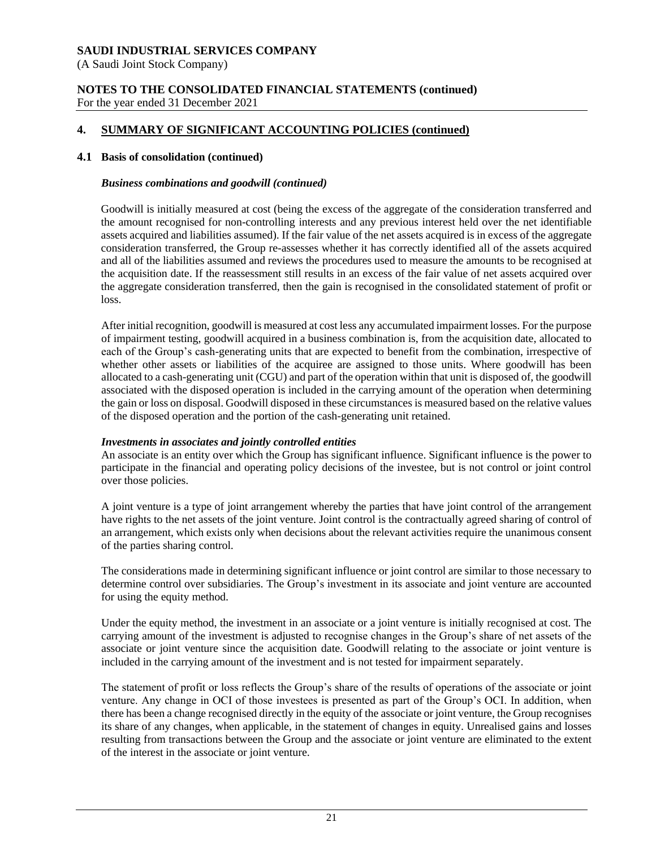(A Saudi Joint Stock Company)

#### **NOTES TO THE CONSOLIDATED FINANCIAL STATEMENTS (continued)** For the year ended 31 December 2021

# **4. SUMMARY OF SIGNIFICANT ACCOUNTING POLICIES (continued)**

#### **4.1 Basis of consolidation (continued)**

#### *Business combinations and goodwill (continued)*

Goodwill is initially measured at cost (being the excess of the aggregate of the consideration transferred and the amount recognised for non-controlling interests and any previous interest held over the net identifiable assets acquired and liabilities assumed). If the fair value of the net assets acquired is in excess of the aggregate consideration transferred, the Group re-assesses whether it has correctly identified all of the assets acquired and all of the liabilities assumed and reviews the procedures used to measure the amounts to be recognised at the acquisition date. If the reassessment still results in an excess of the fair value of net assets acquired over the aggregate consideration transferred, then the gain is recognised in the consolidated statement of profit or loss.

After initial recognition, goodwill is measured at cost less any accumulated impairment losses. For the purpose of impairment testing, goodwill acquired in a business combination is, from the acquisition date, allocated to each of the Group's cash-generating units that are expected to benefit from the combination, irrespective of whether other assets or liabilities of the acquiree are assigned to those units. Where goodwill has been allocated to a cash-generating unit (CGU) and part of the operation within that unit is disposed of, the goodwill associated with the disposed operation is included in the carrying amount of the operation when determining the gain or loss on disposal. Goodwill disposed in these circumstances is measured based on the relative values of the disposed operation and the portion of the cash-generating unit retained.

#### *Investments in associates and jointly controlled entities*

An associate is an entity over which the Group has significant influence. Significant influence is the power to participate in the financial and operating policy decisions of the investee, but is not control or joint control over those policies.

A joint venture is a type of joint arrangement whereby the parties that have joint control of the arrangement have rights to the net assets of the joint venture. Joint control is the contractually agreed sharing of control of an arrangement, which exists only when decisions about the relevant activities require the unanimous consent of the parties sharing control.

The considerations made in determining significant influence or joint control are similar to those necessary to determine control over subsidiaries. The Group's investment in its associate and joint venture are accounted for using the equity method.

Under the equity method, the investment in an associate or a joint venture is initially recognised at cost. The carrying amount of the investment is adjusted to recognise changes in the Group's share of net assets of the associate or joint venture since the acquisition date. Goodwill relating to the associate or joint venture is included in the carrying amount of the investment and is not tested for impairment separately.

The statement of profit or loss reflects the Group's share of the results of operations of the associate or joint venture. Any change in OCI of those investees is presented as part of the Group's OCI. In addition, when there has been a change recognised directly in the equity of the associate or joint venture, the Group recognises its share of any changes, when applicable, in the statement of changes in equity. Unrealised gains and losses resulting from transactions between the Group and the associate or joint venture are eliminated to the extent of the interest in the associate or joint venture.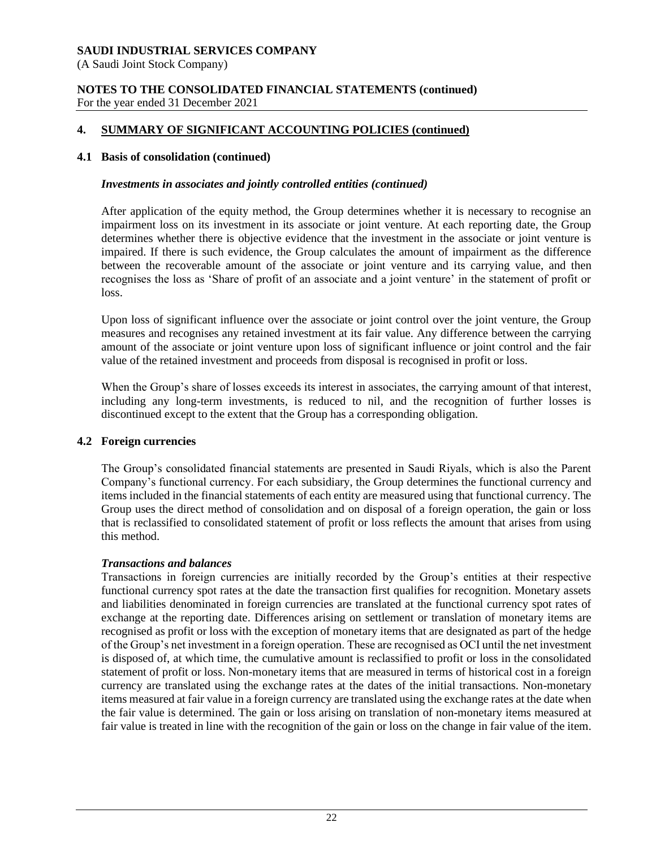(A Saudi Joint Stock Company)

#### **NOTES TO THE CONSOLIDATED FINANCIAL STATEMENTS (continued)** For the year ended 31 December 2021

# **4. SUMMARY OF SIGNIFICANT ACCOUNTING POLICIES (continued)**

#### **4.1 Basis of consolidation (continued)**

#### *Investments in associates and jointly controlled entities (continued)*

After application of the equity method, the Group determines whether it is necessary to recognise an impairment loss on its investment in its associate or joint venture. At each reporting date, the Group determines whether there is objective evidence that the investment in the associate or joint venture is impaired. If there is such evidence, the Group calculates the amount of impairment as the difference between the recoverable amount of the associate or joint venture and its carrying value, and then recognises the loss as 'Share of profit of an associate and a joint venture' in the statement of profit or loss.

Upon loss of significant influence over the associate or joint control over the joint venture, the Group measures and recognises any retained investment at its fair value. Any difference between the carrying amount of the associate or joint venture upon loss of significant influence or joint control and the fair value of the retained investment and proceeds from disposal is recognised in profit or loss.

When the Group's share of losses exceeds its interest in associates, the carrying amount of that interest, including any long-term investments, is reduced to nil, and the recognition of further losses is discontinued except to the extent that the Group has a corresponding obligation.

#### **4.2 Foreign currencies**

The Group's consolidated financial statements are presented in Saudi Riyals, which is also the Parent Company's functional currency. For each subsidiary, the Group determines the functional currency and items included in the financial statements of each entity are measured using that functional currency. The Group uses the direct method of consolidation and on disposal of a foreign operation, the gain or loss that is reclassified to consolidated statement of profit or loss reflects the amount that arises from using this method.

#### *Transactions and balances*

Transactions in foreign currencies are initially recorded by the Group's entities at their respective functional currency spot rates at the date the transaction first qualifies for recognition. Monetary assets and liabilities denominated in foreign currencies are translated at the functional currency spot rates of exchange at the reporting date. Differences arising on settlement or translation of monetary items are recognised as profit or loss with the exception of monetary items that are designated as part of the hedge of the Group's net investment in a foreign operation. These are recognised as OCI until the net investment is disposed of, at which time, the cumulative amount is reclassified to profit or loss in the consolidated statement of profit or loss. Non-monetary items that are measured in terms of historical cost in a foreign currency are translated using the exchange rates at the dates of the initial transactions. Non-monetary items measured at fair value in a foreign currency are translated using the exchange rates at the date when the fair value is determined. The gain or loss arising on translation of non-monetary items measured at fair value is treated in line with the recognition of the gain or loss on the change in fair value of the item.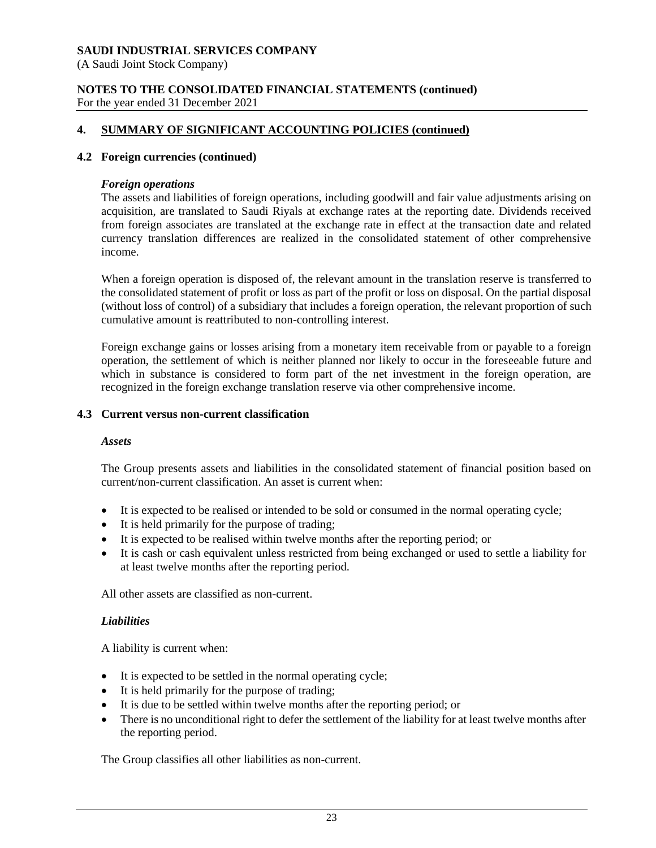(A Saudi Joint Stock Company)

#### **NOTES TO THE CONSOLIDATED FINANCIAL STATEMENTS (continued)** For the year ended 31 December 2021

# **4. SUMMARY OF SIGNIFICANT ACCOUNTING POLICIES (continued)**

#### **4.2 Foreign currencies (continued)**

#### *Foreign operations*

The assets and liabilities of foreign operations, including goodwill and fair value adjustments arising on acquisition, are translated to Saudi Riyals at exchange rates at the reporting date. Dividends received from foreign associates are translated at the exchange rate in effect at the transaction date and related currency translation differences are realized in the consolidated statement of other comprehensive income.

When a foreign operation is disposed of, the relevant amount in the translation reserve is transferred to the consolidated statement of profit or loss as part of the profit or loss on disposal. On the partial disposal (without loss of control) of a subsidiary that includes a foreign operation, the relevant proportion of such cumulative amount is reattributed to non-controlling interest.

Foreign exchange gains or losses arising from a monetary item receivable from or payable to a foreign operation, the settlement of which is neither planned nor likely to occur in the foreseeable future and which in substance is considered to form part of the net investment in the foreign operation, are recognized in the foreign exchange translation reserve via other comprehensive income.

#### **4.3 Current versus non-current classification**

#### *Assets*

The Group presents assets and liabilities in the consolidated statement of financial position based on current/non-current classification. An asset is current when:

- It is expected to be realised or intended to be sold or consumed in the normal operating cycle;
- It is held primarily for the purpose of trading;
- It is expected to be realised within twelve months after the reporting period; or
- It is cash or cash equivalent unless restricted from being exchanged or used to settle a liability for at least twelve months after the reporting period.

All other assets are classified as non-current.

#### *Liabilities*

A liability is current when:

- It is expected to be settled in the normal operating cycle;
- It is held primarily for the purpose of trading;
- It is due to be settled within twelve months after the reporting period; or
- There is no unconditional right to defer the settlement of the liability for at least twelve months after the reporting period.

The Group classifies all other liabilities as non-current.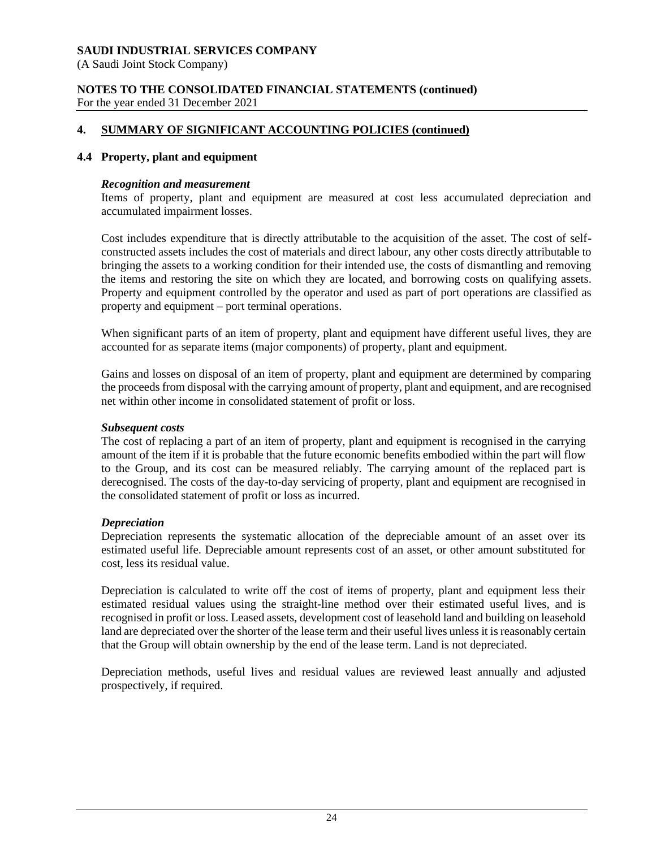(A Saudi Joint Stock Company)

#### **NOTES TO THE CONSOLIDATED FINANCIAL STATEMENTS (continued)** For the year ended 31 December 2021

# **4. SUMMARY OF SIGNIFICANT ACCOUNTING POLICIES (continued)**

#### **4.4 Property, plant and equipment**

#### *Recognition and measurement*

Items of property, plant and equipment are measured at cost less accumulated depreciation and accumulated impairment losses.

Cost includes expenditure that is directly attributable to the acquisition of the asset. The cost of selfconstructed assets includes the cost of materials and direct labour, any other costs directly attributable to bringing the assets to a working condition for their intended use, the costs of dismantling and removing the items and restoring the site on which they are located, and borrowing costs on qualifying assets. Property and equipment controlled by the operator and used as part of port operations are classified as property and equipment – port terminal operations.

When significant parts of an item of property, plant and equipment have different useful lives, they are accounted for as separate items (major components) of property, plant and equipment.

Gains and losses on disposal of an item of property, plant and equipment are determined by comparing the proceeds from disposal with the carrying amount of property, plant and equipment, and are recognised net within other income in consolidated statement of profit or loss.

#### *Subsequent costs*

The cost of replacing a part of an item of property, plant and equipment is recognised in the carrying amount of the item if it is probable that the future economic benefits embodied within the part will flow to the Group, and its cost can be measured reliably. The carrying amount of the replaced part is derecognised. The costs of the day-to-day servicing of property, plant and equipment are recognised in the consolidated statement of profit or loss as incurred.

#### *Depreciation*

Depreciation represents the systematic allocation of the depreciable amount of an asset over its estimated useful life. Depreciable amount represents cost of an asset, or other amount substituted for cost, less its residual value.

Depreciation is calculated to write off the cost of items of property, plant and equipment less their estimated residual values using the straight-line method over their estimated useful lives, and is recognised in profit or loss. Leased assets, development cost of leasehold land and building on leasehold land are depreciated over the shorter of the lease term and their useful lives unless it is reasonably certain that the Group will obtain ownership by the end of the lease term. Land is not depreciated.

Depreciation methods, useful lives and residual values are reviewed least annually and adjusted prospectively, if required.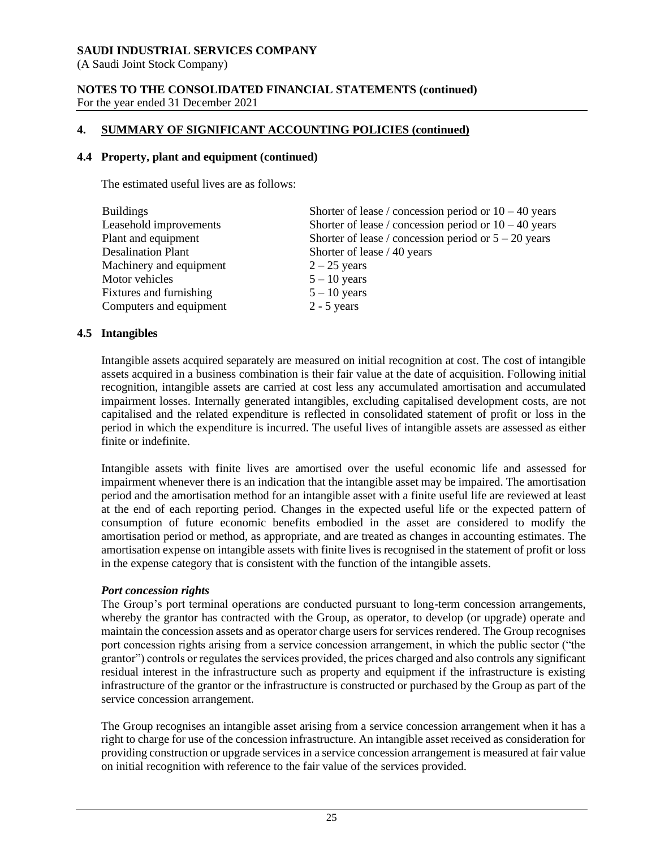(A Saudi Joint Stock Company)

#### **NOTES TO THE CONSOLIDATED FINANCIAL STATEMENTS (continued)** For the year ended 31 December 2021

# **4. SUMMARY OF SIGNIFICANT ACCOUNTING POLICIES (continued)**

#### **4.4 Property, plant and equipment (continued)**

The estimated useful lives are as follows:

| <b>Buildings</b>          | Shorter of lease / concession period or $10 - 40$ years |
|---------------------------|---------------------------------------------------------|
| Leasehold improvements    | Shorter of lease / concession period or $10 - 40$ years |
| Plant and equipment       | Shorter of lease / concession period or $5 - 20$ years  |
| <b>Desalination Plant</b> | Shorter of lease / 40 years                             |
| Machinery and equipment   | $2 - 25$ years                                          |
| Motor vehicles            | $5 - 10$ years                                          |
| Fixtures and furnishing   | $5 - 10$ years                                          |
| Computers and equipment   | $2 - 5$ years                                           |

#### **4.5 Intangibles**

Intangible assets acquired separately are measured on initial recognition at cost. The cost of intangible assets acquired in a business combination is their fair value at the date of acquisition. Following initial recognition, intangible assets are carried at cost less any accumulated amortisation and accumulated impairment losses. Internally generated intangibles, excluding capitalised development costs, are not capitalised and the related expenditure is reflected in consolidated statement of profit or loss in the period in which the expenditure is incurred. The useful lives of intangible assets are assessed as either finite or indefinite.

Intangible assets with finite lives are amortised over the useful economic life and assessed for impairment whenever there is an indication that the intangible asset may be impaired. The amortisation period and the amortisation method for an intangible asset with a finite useful life are reviewed at least at the end of each reporting period. Changes in the expected useful life or the expected pattern of consumption of future economic benefits embodied in the asset are considered to modify the amortisation period or method, as appropriate, and are treated as changes in accounting estimates. The amortisation expense on intangible assets with finite lives is recognised in the statement of profit or loss in the expense category that is consistent with the function of the intangible assets.

#### *Port concession rights*

The Group's port terminal operations are conducted pursuant to long-term concession arrangements, whereby the grantor has contracted with the Group, as operator, to develop (or upgrade) operate and maintain the concession assets and as operator charge users for services rendered. The Group recognises port concession rights arising from a service concession arrangement, in which the public sector ("the grantor") controls or regulates the services provided, the prices charged and also controls any significant residual interest in the infrastructure such as property and equipment if the infrastructure is existing infrastructure of the grantor or the infrastructure is constructed or purchased by the Group as part of the service concession arrangement.

The Group recognises an intangible asset arising from a service concession arrangement when it has a right to charge for use of the concession infrastructure. An intangible asset received as consideration for providing construction or upgrade services in a service concession arrangement is measured at fair value on initial recognition with reference to the fair value of the services provided.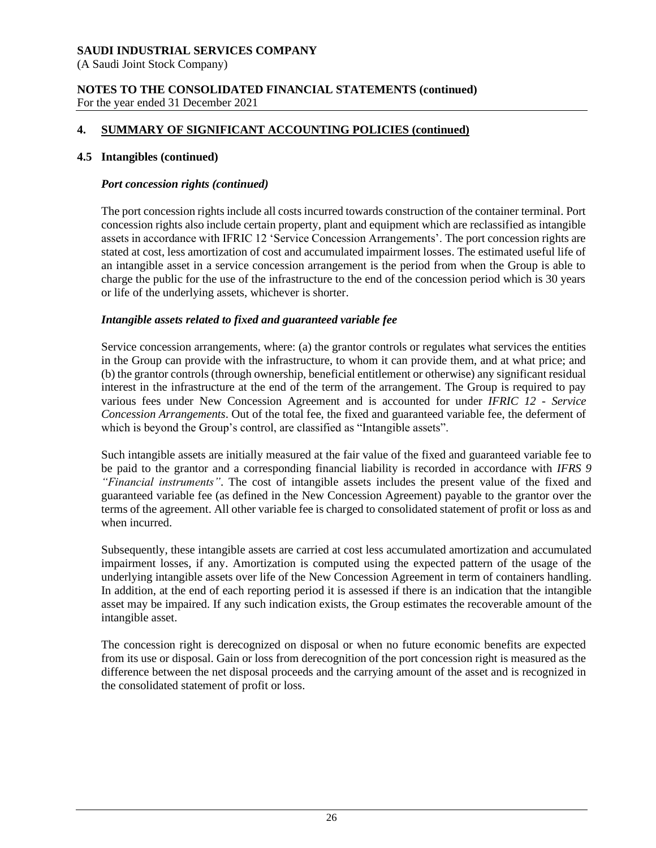(A Saudi Joint Stock Company)

#### **NOTES TO THE CONSOLIDATED FINANCIAL STATEMENTS (continued)** For the year ended 31 December 2021

# **4. SUMMARY OF SIGNIFICANT ACCOUNTING POLICIES (continued)**

#### **4.5 Intangibles (continued)**

#### *Port concession rights (continued)*

The port concession rights include all costs incurred towards construction of the container terminal. Port concession rights also include certain property, plant and equipment which are reclassified as intangible assets in accordance with IFRIC 12 'Service Concession Arrangements'. The port concession rights are stated at cost, less amortization of cost and accumulated impairment losses. The estimated useful life of an intangible asset in a service concession arrangement is the period from when the Group is able to charge the public for the use of the infrastructure to the end of the concession period which is 30 years or life of the underlying assets, whichever is shorter.

#### *Intangible assets related to fixed and guaranteed variable fee*

Service concession arrangements, where: (a) the grantor controls or regulates what services the entities in the Group can provide with the infrastructure, to whom it can provide them, and at what price; and (b) the grantor controls (through ownership, beneficial entitlement or otherwise) any significant residual interest in the infrastructure at the end of the term of the arrangement. The Group is required to pay various fees under New Concession Agreement and is accounted for under *IFRIC 12 - Service Concession Arrangements*. Out of the total fee, the fixed and guaranteed variable fee, the deferment of which is beyond the Group's control, are classified as "Intangible assets".

Such intangible assets are initially measured at the fair value of the fixed and guaranteed variable fee to be paid to the grantor and a corresponding financial liability is recorded in accordance with *IFRS 9 "Financial instruments"*. The cost of intangible assets includes the present value of the fixed and guaranteed variable fee (as defined in the New Concession Agreement) payable to the grantor over the terms of the agreement. All other variable fee is charged to consolidated statement of profit or loss as and when incurred.

Subsequently, these intangible assets are carried at cost less accumulated amortization and accumulated impairment losses, if any. Amortization is computed using the expected pattern of the usage of the underlying intangible assets over life of the New Concession Agreement in term of containers handling. In addition, at the end of each reporting period it is assessed if there is an indication that the intangible asset may be impaired. If any such indication exists, the Group estimates the recoverable amount of the intangible asset.

The concession right is derecognized on disposal or when no future economic benefits are expected from its use or disposal. Gain or loss from derecognition of the port concession right is measured as the difference between the net disposal proceeds and the carrying amount of the asset and is recognized in the consolidated statement of profit or loss.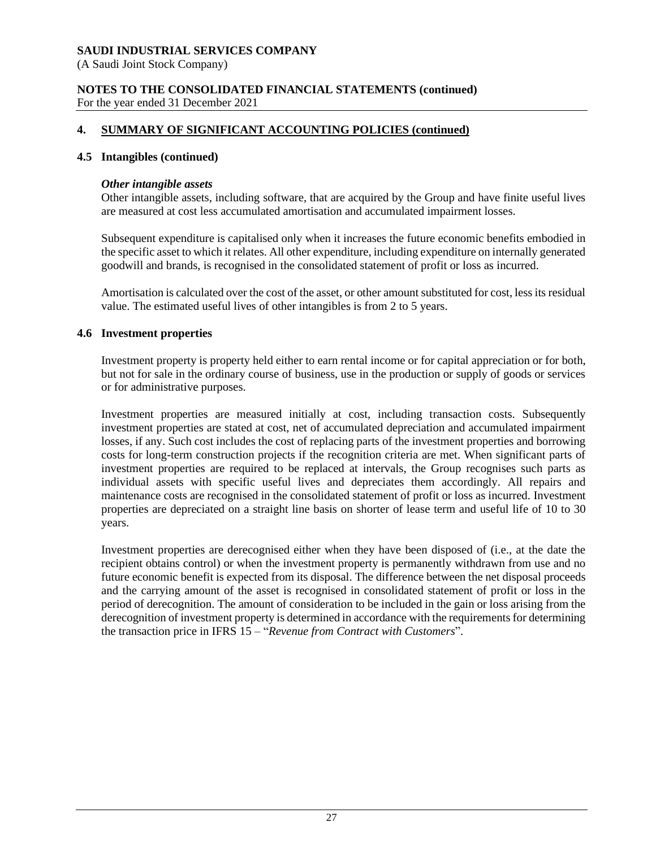(A Saudi Joint Stock Company)

#### **NOTES TO THE CONSOLIDATED FINANCIAL STATEMENTS (continued)** For the year ended 31 December 2021

# **4. SUMMARY OF SIGNIFICANT ACCOUNTING POLICIES (continued)**

#### **4.5 Intangibles (continued)**

#### *Other intangible assets*

Other intangible assets, including software, that are acquired by the Group and have finite useful lives are measured at cost less accumulated amortisation and accumulated impairment losses.

Subsequent expenditure is capitalised only when it increases the future economic benefits embodied in the specific asset to which it relates. All other expenditure, including expenditure on internally generated goodwill and brands, is recognised in the consolidated statement of profit or loss as incurred.

Amortisation is calculated over the cost of the asset, or other amount substituted for cost, less its residual value. The estimated useful lives of other intangibles is from 2 to 5 years.

#### **4.6 Investment properties**

Investment property is property held either to earn rental income or for capital appreciation or for both, but not for sale in the ordinary course of business, use in the production or supply of goods or services or for administrative purposes.

Investment properties are measured initially at cost, including transaction costs. Subsequently investment properties are stated at cost, net of accumulated depreciation and accumulated impairment losses, if any. Such cost includes the cost of replacing parts of the investment properties and borrowing costs for long-term construction projects if the recognition criteria are met. When significant parts of investment properties are required to be replaced at intervals, the Group recognises such parts as individual assets with specific useful lives and depreciates them accordingly. All repairs and maintenance costs are recognised in the consolidated statement of profit or loss as incurred. Investment properties are depreciated on a straight line basis on shorter of lease term and useful life of 10 to 30 years.

Investment properties are derecognised either when they have been disposed of (i.e., at the date the recipient obtains control) or when the investment property is permanently withdrawn from use and no future economic benefit is expected from its disposal. The difference between the net disposal proceeds and the carrying amount of the asset is recognised in consolidated statement of profit or loss in the period of derecognition. The amount of consideration to be included in the gain or loss arising from the derecognition of investment property is determined in accordance with the requirements for determining the transaction price in IFRS 15 – "*Revenue from Contract with Customers*".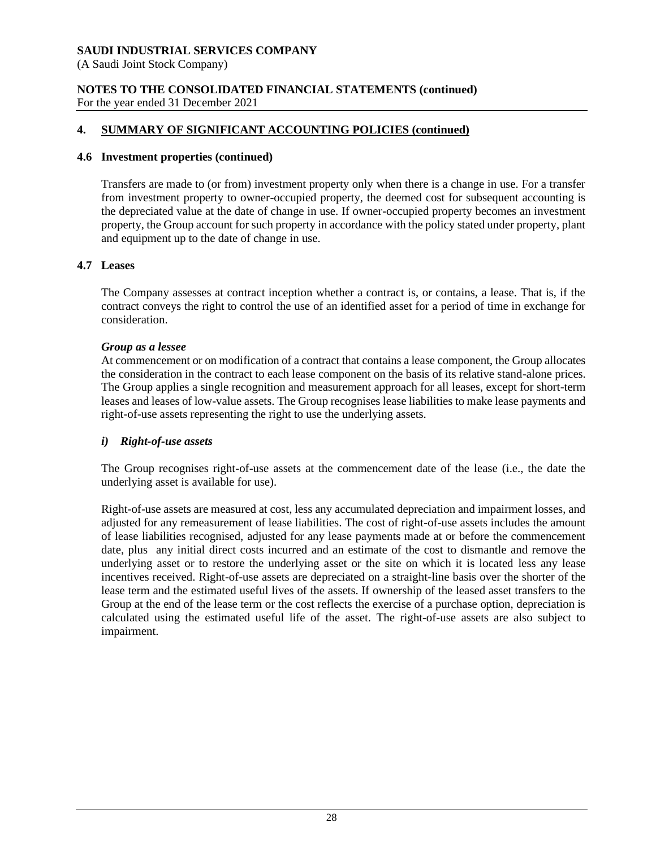(A Saudi Joint Stock Company)

#### **NOTES TO THE CONSOLIDATED FINANCIAL STATEMENTS (continued)** For the year ended 31 December 2021

# **4. SUMMARY OF SIGNIFICANT ACCOUNTING POLICIES (continued)**

# **4.6 Investment properties (continued)**

Transfers are made to (or from) investment property only when there is a change in use. For a transfer from investment property to owner-occupied property, the deemed cost for subsequent accounting is the depreciated value at the date of change in use. If owner-occupied property becomes an investment property, the Group account for such property in accordance with the policy stated under property, plant and equipment up to the date of change in use.

# **4.7 Leases**

The Company assesses at contract inception whether a contract is, or contains, a lease. That is, if the contract conveys the right to control the use of an identified asset for a period of time in exchange for consideration.

# *Group as a lessee*

At commencement or on modification of a contract that contains a lease component, the Group allocates the consideration in the contract to each lease component on the basis of its relative stand-alone prices. The Group applies a single recognition and measurement approach for all leases, except for short-term leases and leases of low-value assets. The Group recognises lease liabilities to make lease payments and right-of-use assets representing the right to use the underlying assets.

# *i) Right-of-use assets*

The Group recognises right-of-use assets at the commencement date of the lease (i.e., the date the underlying asset is available for use).

Right-of-use assets are measured at cost, less any accumulated depreciation and impairment losses, and adjusted for any remeasurement of lease liabilities. The cost of right-of-use assets includes the amount of lease liabilities recognised, adjusted for any lease payments made at or before the commencement date, plus any initial direct costs incurred and an estimate of the cost to dismantle and remove the underlying asset or to restore the underlying asset or the site on which it is located less any lease incentives received. Right-of-use assets are depreciated on a straight-line basis over the shorter of the lease term and the estimated useful lives of the assets. If ownership of the leased asset transfers to the Group at the end of the lease term or the cost reflects the exercise of a purchase option, depreciation is calculated using the estimated useful life of the asset. The right-of-use assets are also subject to impairment.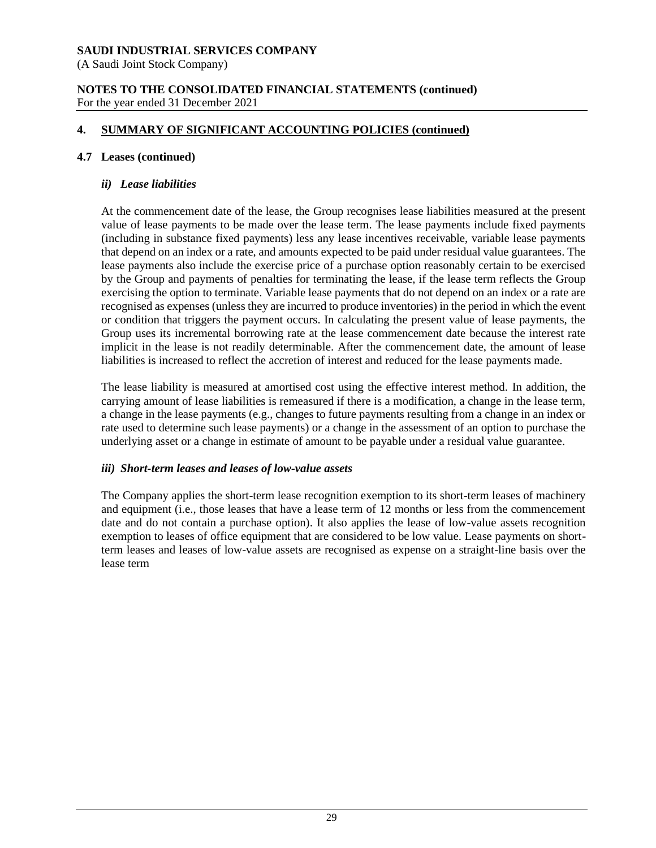(A Saudi Joint Stock Company)

#### **NOTES TO THE CONSOLIDATED FINANCIAL STATEMENTS (continued)** For the year ended 31 December 2021

# **4. SUMMARY OF SIGNIFICANT ACCOUNTING POLICIES (continued)**

#### **4.7 Leases (continued)**

#### *ii) Lease liabilities*

At the commencement date of the lease, the Group recognises lease liabilities measured at the present value of lease payments to be made over the lease term. The lease payments include fixed payments (including in substance fixed payments) less any lease incentives receivable, variable lease payments that depend on an index or a rate, and amounts expected to be paid under residual value guarantees. The lease payments also include the exercise price of a purchase option reasonably certain to be exercised by the Group and payments of penalties for terminating the lease, if the lease term reflects the Group exercising the option to terminate. Variable lease payments that do not depend on an index or a rate are recognised as expenses (unless they are incurred to produce inventories) in the period in which the event or condition that triggers the payment occurs. In calculating the present value of lease payments, the Group uses its incremental borrowing rate at the lease commencement date because the interest rate implicit in the lease is not readily determinable. After the commencement date, the amount of lease liabilities is increased to reflect the accretion of interest and reduced for the lease payments made.

The lease liability is measured at amortised cost using the effective interest method. In addition, the carrying amount of lease liabilities is remeasured if there is a modification, a change in the lease term, a change in the lease payments (e.g., changes to future payments resulting from a change in an index or rate used to determine such lease payments) or a change in the assessment of an option to purchase the underlying asset or a change in estimate of amount to be payable under a residual value guarantee.

#### *iii) Short-term leases and leases of low-value assets*

The Company applies the short-term lease recognition exemption to its short-term leases of machinery and equipment (i.e., those leases that have a lease term of 12 months or less from the commencement date and do not contain a purchase option). It also applies the lease of low-value assets recognition exemption to leases of office equipment that are considered to be low value. Lease payments on shortterm leases and leases of low-value assets are recognised as expense on a straight-line basis over the lease term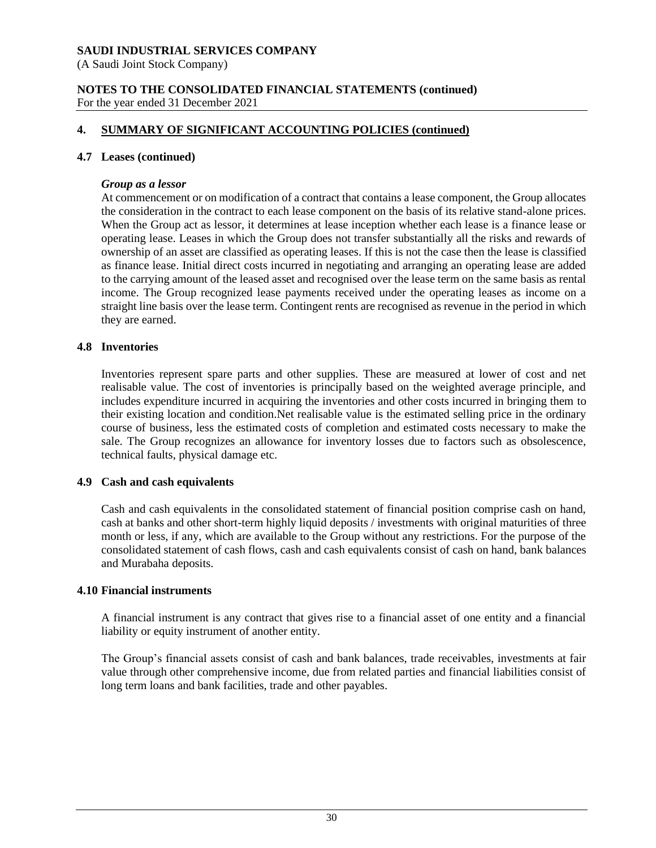(A Saudi Joint Stock Company)

#### **NOTES TO THE CONSOLIDATED FINANCIAL STATEMENTS (continued)** For the year ended 31 December 2021

# **4. SUMMARY OF SIGNIFICANT ACCOUNTING POLICIES (continued)**

#### **4.7 Leases (continued)**

#### *Group as a lessor*

At commencement or on modification of a contract that contains a lease component, the Group allocates the consideration in the contract to each lease component on the basis of its relative stand-alone prices. When the Group act as lessor, it determines at lease inception whether each lease is a finance lease or operating lease. Leases in which the Group does not transfer substantially all the risks and rewards of ownership of an asset are classified as operating leases. If this is not the case then the lease is classified as finance lease. Initial direct costs incurred in negotiating and arranging an operating lease are added to the carrying amount of the leased asset and recognised over the lease term on the same basis as rental income. The Group recognized lease payments received under the operating leases as income on a straight line basis over the lease term. Contingent rents are recognised as revenue in the period in which they are earned.

#### **4.8 Inventories**

Inventories represent spare parts and other supplies. These are measured at lower of cost and net realisable value. The cost of inventories is principally based on the weighted average principle, and includes expenditure incurred in acquiring the inventories and other costs incurred in bringing them to their existing location and condition.Net realisable value is the estimated selling price in the ordinary course of business, less the estimated costs of completion and estimated costs necessary to make the sale. The Group recognizes an allowance for inventory losses due to factors such as obsolescence, technical faults, physical damage etc.

#### **4.9 Cash and cash equivalents**

Cash and cash equivalents in the consolidated statement of financial position comprise cash on hand, cash at banks and other short-term highly liquid deposits / investments with original maturities of three month or less, if any, which are available to the Group without any restrictions. For the purpose of the consolidated statement of cash flows, cash and cash equivalents consist of cash on hand, bank balances and Murabaha deposits.

#### **4.10 Financial instruments**

A financial instrument is any contract that gives rise to a financial asset of one entity and a financial liability or equity instrument of another entity.

The Group's financial assets consist of cash and bank balances, trade receivables, investments at fair value through other comprehensive income, due from related parties and financial liabilities consist of long term loans and bank facilities, trade and other payables.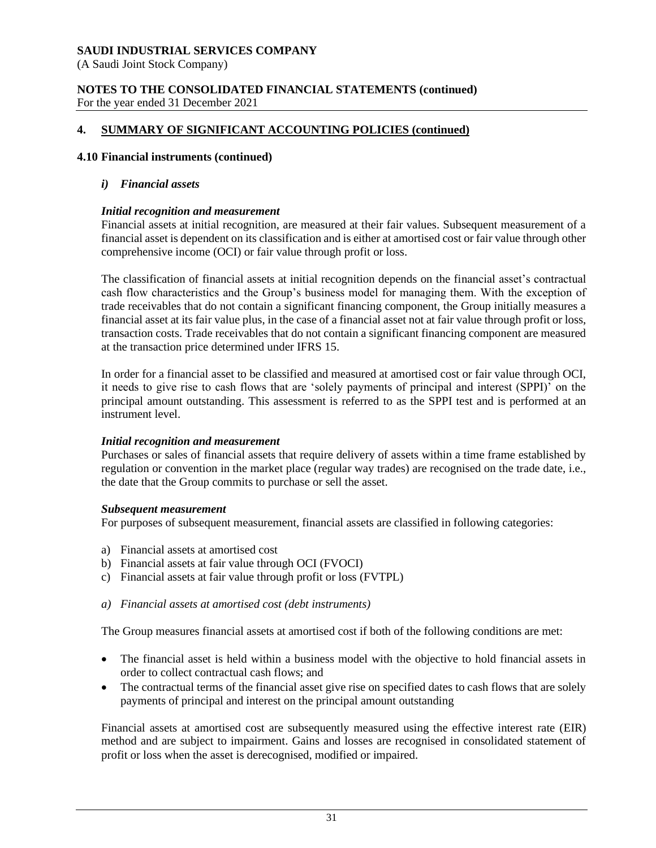(A Saudi Joint Stock Company)

#### **NOTES TO THE CONSOLIDATED FINANCIAL STATEMENTS (continued)** For the year ended 31 December 2021

# **4. SUMMARY OF SIGNIFICANT ACCOUNTING POLICIES (continued)**

#### **4.10 Financial instruments (continued)**

#### *i) Financial assets*

#### *Initial recognition and measurement*

Financial assets at initial recognition, are measured at their fair values. Subsequent measurement of a financial asset is dependent on its classification and is either at amortised cost or fair value through other comprehensive income (OCI) or fair value through profit or loss.

The classification of financial assets at initial recognition depends on the financial asset's contractual cash flow characteristics and the Group's business model for managing them. With the exception of trade receivables that do not contain a significant financing component, the Group initially measures a financial asset at its fair value plus, in the case of a financial asset not at fair value through profit or loss, transaction costs. Trade receivables that do not contain a significant financing component are measured at the transaction price determined under IFRS 15.

In order for a financial asset to be classified and measured at amortised cost or fair value through OCI, it needs to give rise to cash flows that are 'solely payments of principal and interest (SPPI)' on the principal amount outstanding. This assessment is referred to as the SPPI test and is performed at an instrument level.

#### *Initial recognition and measurement*

Purchases or sales of financial assets that require delivery of assets within a time frame established by regulation or convention in the market place (regular way trades) are recognised on the trade date, i.e., the date that the Group commits to purchase or sell the asset.

#### *Subsequent measurement*

For purposes of subsequent measurement, financial assets are classified in following categories:

- a) Financial assets at amortised cost
- b) Financial assets at fair value through OCI (FVOCI)
- c) Financial assets at fair value through profit or loss (FVTPL)
- *a) Financial assets at amortised cost (debt instruments)*

The Group measures financial assets at amortised cost if both of the following conditions are met:

- The financial asset is held within a business model with the objective to hold financial assets in order to collect contractual cash flows; and
- The contractual terms of the financial asset give rise on specified dates to cash flows that are solely payments of principal and interest on the principal amount outstanding

Financial assets at amortised cost are subsequently measured using the effective interest rate (EIR) method and are subject to impairment. Gains and losses are recognised in consolidated statement of profit or loss when the asset is derecognised, modified or impaired.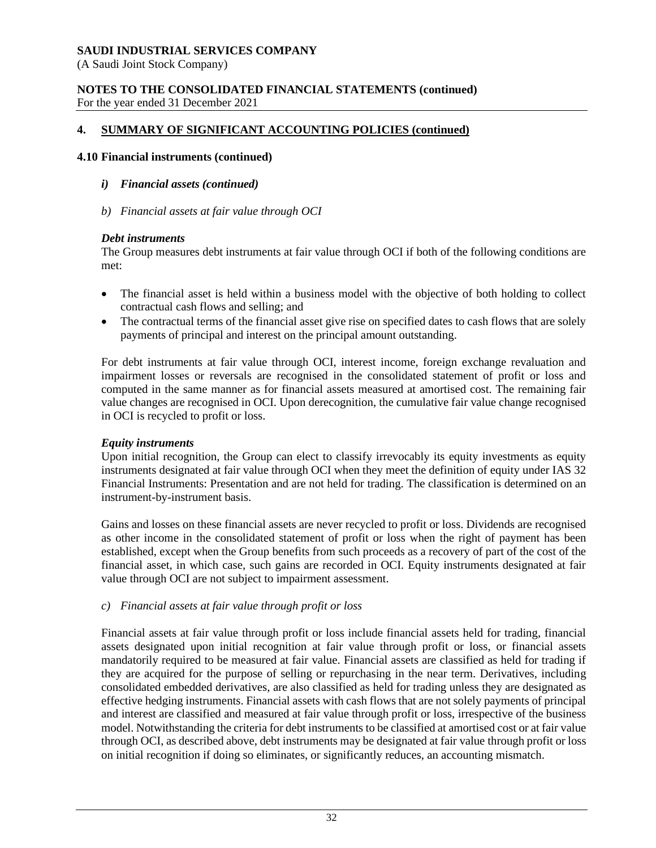(A Saudi Joint Stock Company)

#### **NOTES TO THE CONSOLIDATED FINANCIAL STATEMENTS (continued)** For the year ended 31 December 2021

# **4. SUMMARY OF SIGNIFICANT ACCOUNTING POLICIES (continued)**

# **4.10 Financial instruments (continued)**

- *i) Financial assets (continued)*
- *b) Financial assets at fair value through OCI*

# *Debt instruments*

The Group measures debt instruments at fair value through OCI if both of the following conditions are met:

- The financial asset is held within a business model with the objective of both holding to collect contractual cash flows and selling; and
- The contractual terms of the financial asset give rise on specified dates to cash flows that are solely payments of principal and interest on the principal amount outstanding.

For debt instruments at fair value through OCI, interest income, foreign exchange revaluation and impairment losses or reversals are recognised in the consolidated statement of profit or loss and computed in the same manner as for financial assets measured at amortised cost. The remaining fair value changes are recognised in OCI. Upon derecognition, the cumulative fair value change recognised in OCI is recycled to profit or loss.

# *Equity instruments*

Upon initial recognition, the Group can elect to classify irrevocably its equity investments as equity instruments designated at fair value through OCI when they meet the definition of equity under IAS 32 Financial Instruments: Presentation and are not held for trading. The classification is determined on an instrument-by-instrument basis.

Gains and losses on these financial assets are never recycled to profit or loss. Dividends are recognised as other income in the consolidated statement of profit or loss when the right of payment has been established, except when the Group benefits from such proceeds as a recovery of part of the cost of the financial asset, in which case, such gains are recorded in OCI. Equity instruments designated at fair value through OCI are not subject to impairment assessment.

# *c) Financial assets at fair value through profit or loss*

Financial assets at fair value through profit or loss include financial assets held for trading, financial assets designated upon initial recognition at fair value through profit or loss, or financial assets mandatorily required to be measured at fair value. Financial assets are classified as held for trading if they are acquired for the purpose of selling or repurchasing in the near term. Derivatives, including consolidated embedded derivatives, are also classified as held for trading unless they are designated as effective hedging instruments. Financial assets with cash flows that are not solely payments of principal and interest are classified and measured at fair value through profit or loss, irrespective of the business model. Notwithstanding the criteria for debt instruments to be classified at amortised cost or at fair value through OCI, as described above, debt instruments may be designated at fair value through profit or loss on initial recognition if doing so eliminates, or significantly reduces, an accounting mismatch.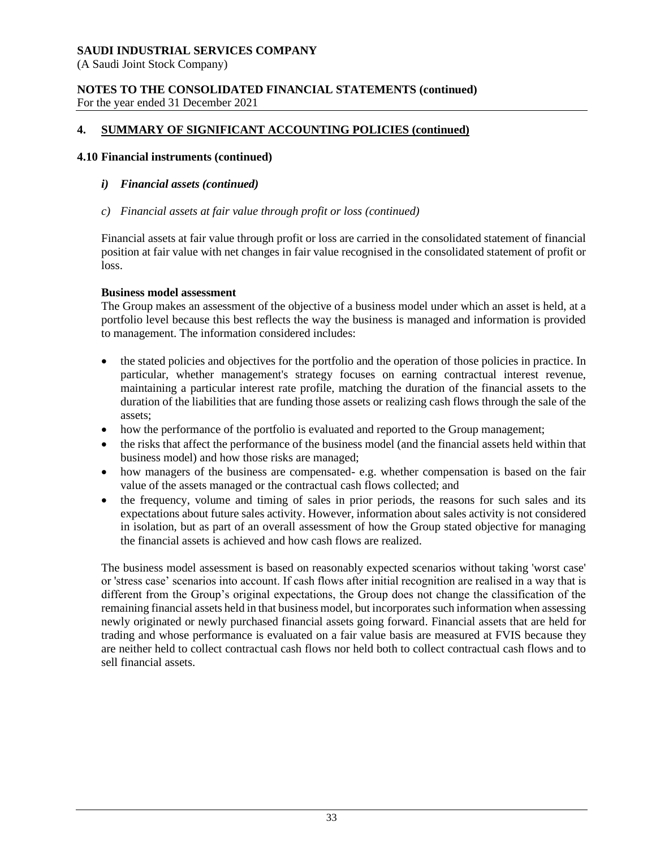(A Saudi Joint Stock Company)

#### **NOTES TO THE CONSOLIDATED FINANCIAL STATEMENTS (continued)** For the year ended 31 December 2021

# **4. SUMMARY OF SIGNIFICANT ACCOUNTING POLICIES (continued)**

#### **4.10 Financial instruments (continued)**

#### *i) Financial assets (continued)*

*c) Financial assets at fair value through profit or loss (continued)*

Financial assets at fair value through profit or loss are carried in the consolidated statement of financial position at fair value with net changes in fair value recognised in the consolidated statement of profit or loss.

#### **Business model assessment**

The Group makes an assessment of the objective of a business model under which an asset is held, at a portfolio level because this best reflects the way the business is managed and information is provided to management. The information considered includes:

- the stated policies and objectives for the portfolio and the operation of those policies in practice. In particular, whether management's strategy focuses on earning contractual interest revenue, maintaining a particular interest rate profile, matching the duration of the financial assets to the duration of the liabilities that are funding those assets or realizing cash flows through the sale of the assets;
- how the performance of the portfolio is evaluated and reported to the Group management;
- the risks that affect the performance of the business model (and the financial assets held within that business model) and how those risks are managed;
- how managers of the business are compensated- e.g. whether compensation is based on the fair value of the assets managed or the contractual cash flows collected; and
- the frequency, volume and timing of sales in prior periods, the reasons for such sales and its expectations about future sales activity. However, information about sales activity is not considered in isolation, but as part of an overall assessment of how the Group stated objective for managing the financial assets is achieved and how cash flows are realized.

The business model assessment is based on reasonably expected scenarios without taking 'worst case' or 'stress case' scenarios into account. If cash flows after initial recognition are realised in a way that is different from the Group's original expectations, the Group does not change the classification of the remaining financial assets held in that business model, but incorporates such information when assessing newly originated or newly purchased financial assets going forward. Financial assets that are held for trading and whose performance is evaluated on a fair value basis are measured at FVIS because they are neither held to collect contractual cash flows nor held both to collect contractual cash flows and to sell financial assets.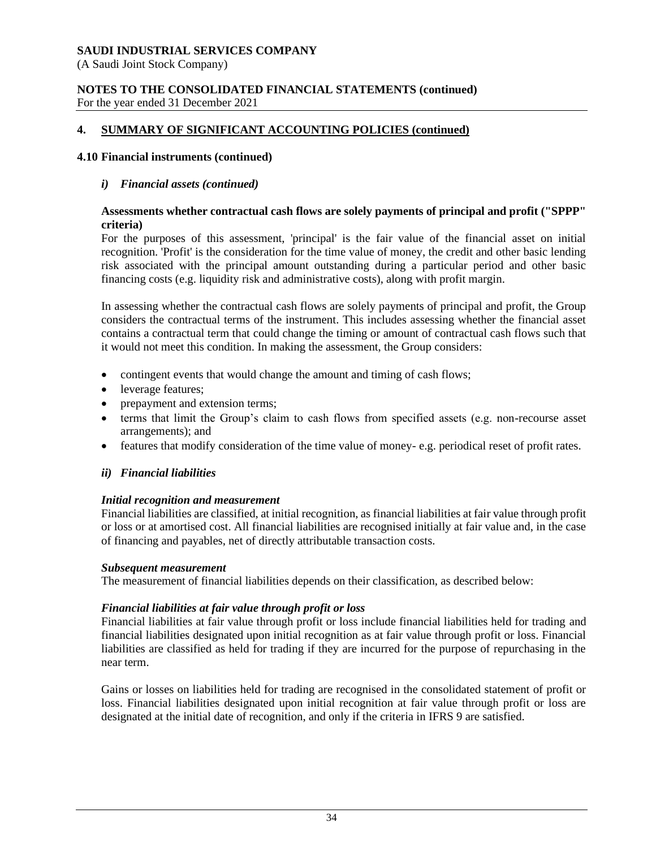(A Saudi Joint Stock Company)

#### **NOTES TO THE CONSOLIDATED FINANCIAL STATEMENTS (continued)** For the year ended 31 December 2021

# **4. SUMMARY OF SIGNIFICANT ACCOUNTING POLICIES (continued)**

#### **4.10 Financial instruments (continued)**

#### *i) Financial assets (continued)*

#### **Assessments whether contractual cash flows are solely payments of principal and profit ("SPPP" criteria)**

For the purposes of this assessment, 'principal' is the fair value of the financial asset on initial recognition. 'Profit' is the consideration for the time value of money, the credit and other basic lending risk associated with the principal amount outstanding during a particular period and other basic financing costs (e.g. liquidity risk and administrative costs), along with profit margin.

In assessing whether the contractual cash flows are solely payments of principal and profit, the Group considers the contractual terms of the instrument. This includes assessing whether the financial asset contains a contractual term that could change the timing or amount of contractual cash flows such that it would not meet this condition. In making the assessment, the Group considers:

- contingent events that would change the amount and timing of cash flows;
- leverage features;
- prepayment and extension terms;
- terms that limit the Group's claim to cash flows from specified assets (e.g. non-recourse asset arrangements); and
- features that modify consideration of the time value of money- e.g. periodical reset of profit rates.

#### *ii) Financial liabilities*

#### *Initial recognition and measurement*

Financial liabilities are classified, at initial recognition, as financial liabilities at fair value through profit or loss or at amortised cost. All financial liabilities are recognised initially at fair value and, in the case of financing and payables, net of directly attributable transaction costs.

#### *Subsequent measurement*

The measurement of financial liabilities depends on their classification, as described below:

#### *Financial liabilities at fair value through profit or loss*

Financial liabilities at fair value through profit or loss include financial liabilities held for trading and financial liabilities designated upon initial recognition as at fair value through profit or loss. Financial liabilities are classified as held for trading if they are incurred for the purpose of repurchasing in the near term.

Gains or losses on liabilities held for trading are recognised in the consolidated statement of profit or loss. Financial liabilities designated upon initial recognition at fair value through profit or loss are designated at the initial date of recognition, and only if the criteria in IFRS 9 are satisfied.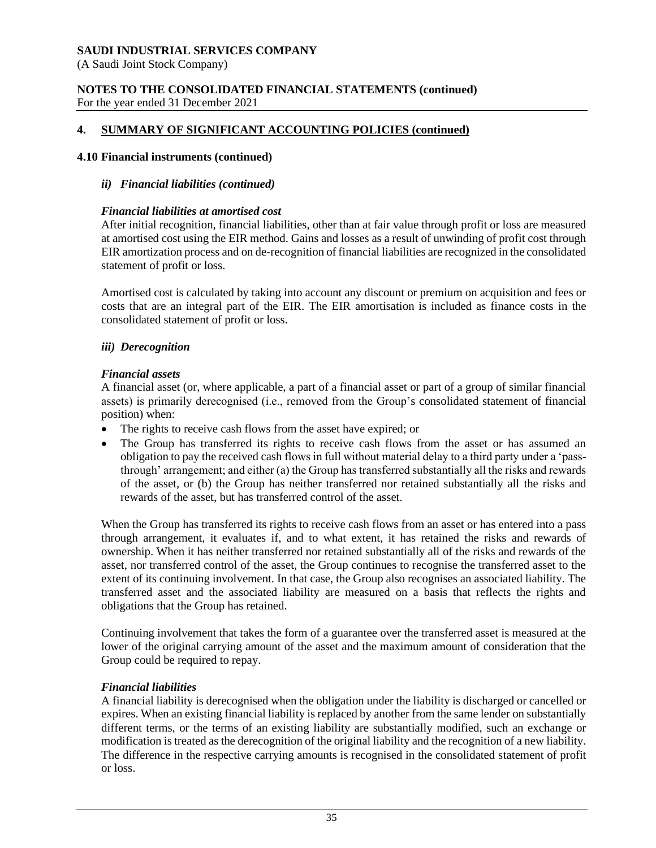(A Saudi Joint Stock Company)

### **NOTES TO THE CONSOLIDATED FINANCIAL STATEMENTS (continued)** For the year ended 31 December 2021

# **4. SUMMARY OF SIGNIFICANT ACCOUNTING POLICIES (continued)**

# **4.10 Financial instruments (continued)**

# *ii) Financial liabilities (continued)*

# *Financial liabilities at amortised cost*

After initial recognition, financial liabilities, other than at fair value through profit or loss are measured at amortised cost using the EIR method. Gains and losses as a result of unwinding of profit cost through EIR amortization process and on de-recognition of financial liabilities are recognized in the consolidated statement of profit or loss.

Amortised cost is calculated by taking into account any discount or premium on acquisition and fees or costs that are an integral part of the EIR. The EIR amortisation is included as finance costs in the consolidated statement of profit or loss.

# *iii) Derecognition*

# *Financial assets*

A financial asset (or, where applicable, a part of a financial asset or part of a group of similar financial assets) is primarily derecognised (i.e., removed from the Group's consolidated statement of financial position) when:

- The rights to receive cash flows from the asset have expired; or
- The Group has transferred its rights to receive cash flows from the asset or has assumed an obligation to pay the received cash flows in full without material delay to a third party under a 'passthrough' arrangement; and either (a) the Group has transferred substantially all the risks and rewards of the asset, or (b) the Group has neither transferred nor retained substantially all the risks and rewards of the asset, but has transferred control of the asset.

When the Group has transferred its rights to receive cash flows from an asset or has entered into a pass through arrangement, it evaluates if, and to what extent, it has retained the risks and rewards of ownership. When it has neither transferred nor retained substantially all of the risks and rewards of the asset, nor transferred control of the asset, the Group continues to recognise the transferred asset to the extent of its continuing involvement. In that case, the Group also recognises an associated liability. The transferred asset and the associated liability are measured on a basis that reflects the rights and obligations that the Group has retained.

Continuing involvement that takes the form of a guarantee over the transferred asset is measured at the lower of the original carrying amount of the asset and the maximum amount of consideration that the Group could be required to repay.

# *Financial liabilities*

A financial liability is derecognised when the obligation under the liability is discharged or cancelled or expires. When an existing financial liability is replaced by another from the same lender on substantially different terms, or the terms of an existing liability are substantially modified, such an exchange or modification is treated as the derecognition of the original liability and the recognition of a new liability. The difference in the respective carrying amounts is recognised in the consolidated statement of profit or loss.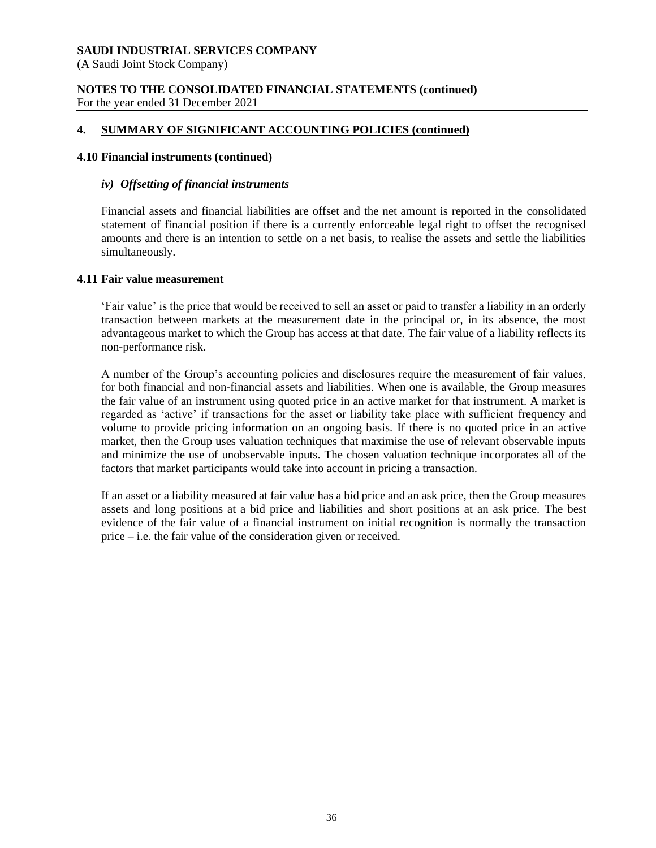(A Saudi Joint Stock Company)

### **NOTES TO THE CONSOLIDATED FINANCIAL STATEMENTS (continued)** For the year ended 31 December 2021

# **4. SUMMARY OF SIGNIFICANT ACCOUNTING POLICIES (continued)**

### **4.10 Financial instruments (continued)**

### *iv) Offsetting of financial instruments*

Financial assets and financial liabilities are offset and the net amount is reported in the consolidated statement of financial position if there is a currently enforceable legal right to offset the recognised amounts and there is an intention to settle on a net basis, to realise the assets and settle the liabilities simultaneously.

### **4.11 Fair value measurement**

'Fair value' is the price that would be received to sell an asset or paid to transfer a liability in an orderly transaction between markets at the measurement date in the principal or, in its absence, the most advantageous market to which the Group has access at that date. The fair value of a liability reflects its non-performance risk.

A number of the Group's accounting policies and disclosures require the measurement of fair values, for both financial and non-financial assets and liabilities. When one is available, the Group measures the fair value of an instrument using quoted price in an active market for that instrument. A market is regarded as 'active' if transactions for the asset or liability take place with sufficient frequency and volume to provide pricing information on an ongoing basis. If there is no quoted price in an active market, then the Group uses valuation techniques that maximise the use of relevant observable inputs and minimize the use of unobservable inputs. The chosen valuation technique incorporates all of the factors that market participants would take into account in pricing a transaction.

If an asset or a liability measured at fair value has a bid price and an ask price, then the Group measures assets and long positions at a bid price and liabilities and short positions at an ask price. The best evidence of the fair value of a financial instrument on initial recognition is normally the transaction price – i.e. the fair value of the consideration given or received.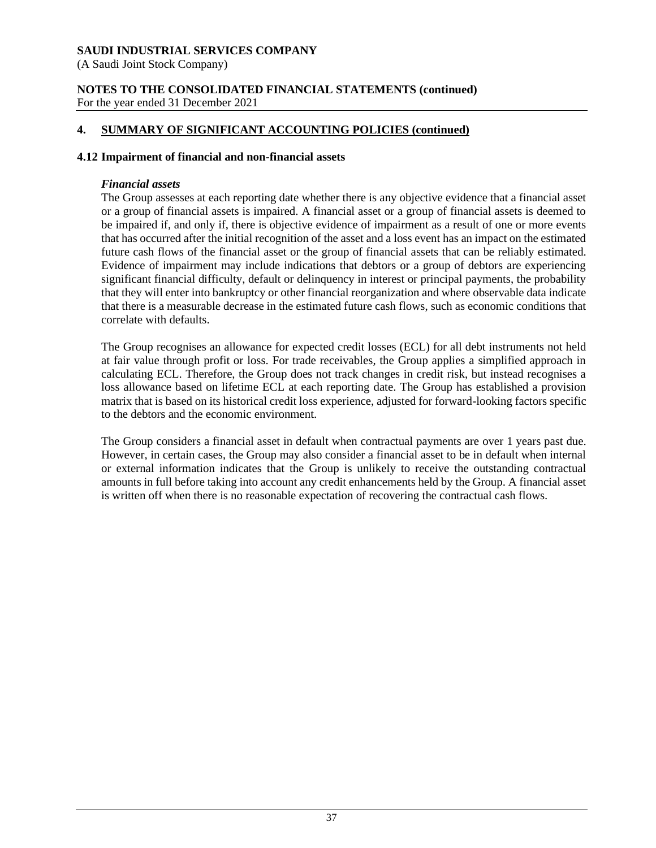(A Saudi Joint Stock Company)

### **NOTES TO THE CONSOLIDATED FINANCIAL STATEMENTS (continued)** For the year ended 31 December 2021

# **4. SUMMARY OF SIGNIFICANT ACCOUNTING POLICIES (continued)**

# **4.12 Impairment of financial and non-financial assets**

# *Financial assets*

The Group assesses at each reporting date whether there is any objective evidence that a financial asset or a group of financial assets is impaired. A financial asset or a group of financial assets is deemed to be impaired if, and only if, there is objective evidence of impairment as a result of one or more events that has occurred after the initial recognition of the asset and a loss event has an impact on the estimated future cash flows of the financial asset or the group of financial assets that can be reliably estimated. Evidence of impairment may include indications that debtors or a group of debtors are experiencing significant financial difficulty, default or delinquency in interest or principal payments, the probability that they will enter into bankruptcy or other financial reorganization and where observable data indicate that there is a measurable decrease in the estimated future cash flows, such as economic conditions that correlate with defaults.

The Group recognises an allowance for expected credit losses (ECL) for all debt instruments not held at fair value through profit or loss. For trade receivables, the Group applies a simplified approach in calculating ECL. Therefore, the Group does not track changes in credit risk, but instead recognises a loss allowance based on lifetime ECL at each reporting date. The Group has established a provision matrix that is based on its historical credit loss experience, adjusted for forward-looking factors specific to the debtors and the economic environment.

The Group considers a financial asset in default when contractual payments are over 1 years past due. However, in certain cases, the Group may also consider a financial asset to be in default when internal or external information indicates that the Group is unlikely to receive the outstanding contractual amounts in full before taking into account any credit enhancements held by the Group. A financial asset is written off when there is no reasonable expectation of recovering the contractual cash flows.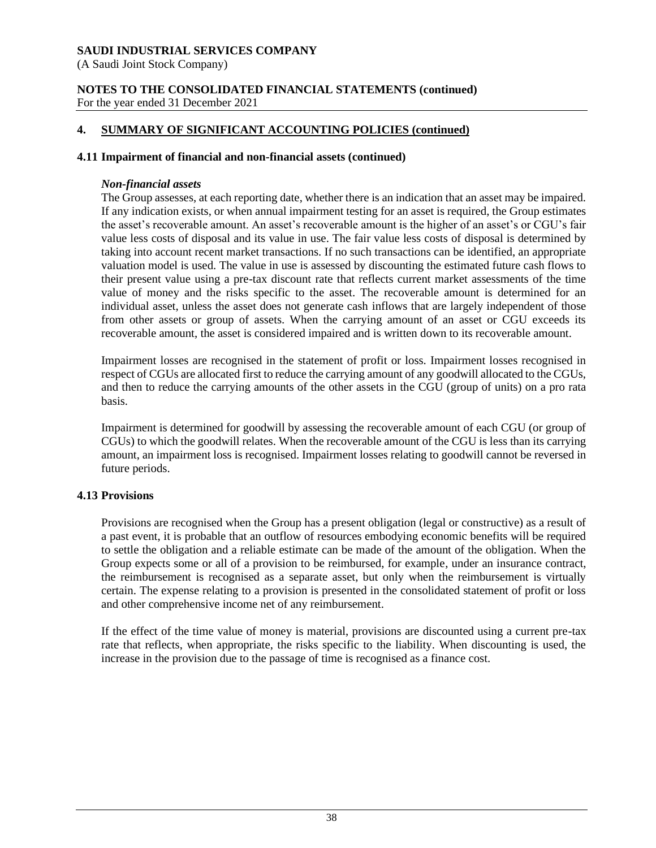(A Saudi Joint Stock Company)

### **NOTES TO THE CONSOLIDATED FINANCIAL STATEMENTS (continued)** For the year ended 31 December 2021

# **4. SUMMARY OF SIGNIFICANT ACCOUNTING POLICIES (continued)**

### **4.11 Impairment of financial and non-financial assets (continued)**

### *Non-financial assets*

The Group assesses, at each reporting date, whether there is an indication that an asset may be impaired. If any indication exists, or when annual impairment testing for an asset is required, the Group estimates the asset's recoverable amount. An asset's recoverable amount is the higher of an asset's or CGU's fair value less costs of disposal and its value in use. The fair value less costs of disposal is determined by taking into account recent market transactions. If no such transactions can be identified, an appropriate valuation model is used. The value in use is assessed by discounting the estimated future cash flows to their present value using a pre-tax discount rate that reflects current market assessments of the time value of money and the risks specific to the asset. The recoverable amount is determined for an individual asset, unless the asset does not generate cash inflows that are largely independent of those from other assets or group of assets. When the carrying amount of an asset or CGU exceeds its recoverable amount, the asset is considered impaired and is written down to its recoverable amount.

Impairment losses are recognised in the statement of profit or loss. Impairment losses recognised in respect of CGUs are allocated first to reduce the carrying amount of any goodwill allocated to the CGUs, and then to reduce the carrying amounts of the other assets in the CGU (group of units) on a pro rata basis.

Impairment is determined for goodwill by assessing the recoverable amount of each CGU (or group of CGUs) to which the goodwill relates. When the recoverable amount of the CGU is less than its carrying amount, an impairment loss is recognised. Impairment losses relating to goodwill cannot be reversed in future periods.

### **4.13 Provisions**

Provisions are recognised when the Group has a present obligation (legal or constructive) as a result of a past event, it is probable that an outflow of resources embodying economic benefits will be required to settle the obligation and a reliable estimate can be made of the amount of the obligation. When the Group expects some or all of a provision to be reimbursed, for example, under an insurance contract, the reimbursement is recognised as a separate asset, but only when the reimbursement is virtually certain. The expense relating to a provision is presented in the consolidated statement of profit or loss and other comprehensive income net of any reimbursement.

If the effect of the time value of money is material, provisions are discounted using a current pre-tax rate that reflects, when appropriate, the risks specific to the liability. When discounting is used, the increase in the provision due to the passage of time is recognised as a finance cost.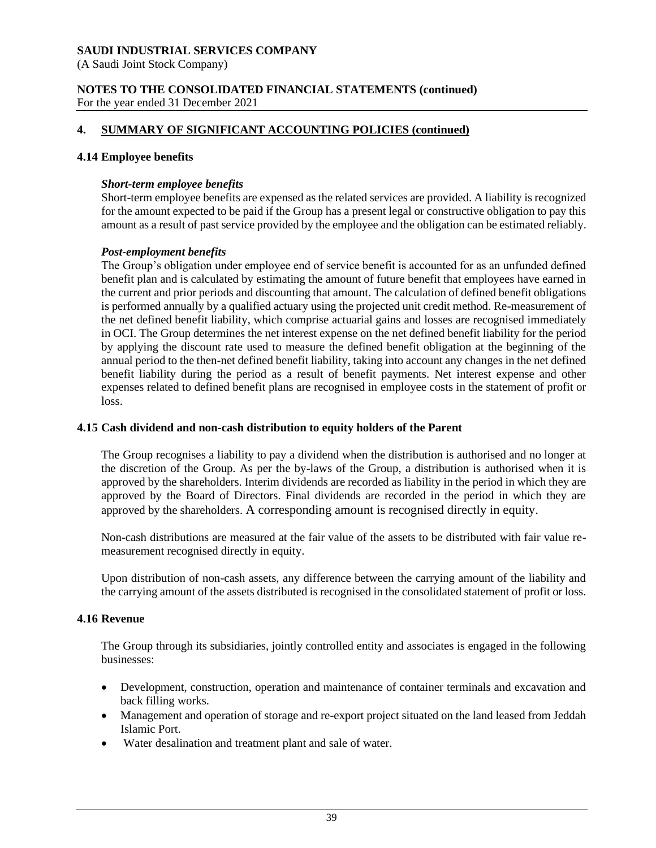(A Saudi Joint Stock Company)

### **NOTES TO THE CONSOLIDATED FINANCIAL STATEMENTS (continued)** For the year ended 31 December 2021

# **4. SUMMARY OF SIGNIFICANT ACCOUNTING POLICIES (continued)**

### **4.14 Employee benefits**

### *Short-term employee benefits*

Short-term employee benefits are expensed as the related services are provided. A liability is recognized for the amount expected to be paid if the Group has a present legal or constructive obligation to pay this amount as a result of past service provided by the employee and the obligation can be estimated reliably.

### *Post-employment benefits*

The Group's obligation under employee end of service benefit is accounted for as an unfunded defined benefit plan and is calculated by estimating the amount of future benefit that employees have earned in the current and prior periods and discounting that amount. The calculation of defined benefit obligations is performed annually by a qualified actuary using the projected unit credit method. Re-measurement of the net defined benefit liability, which comprise actuarial gains and losses are recognised immediately in OCI. The Group determines the net interest expense on the net defined benefit liability for the period by applying the discount rate used to measure the defined benefit obligation at the beginning of the annual period to the then-net defined benefit liability, taking into account any changes in the net defined benefit liability during the period as a result of benefit payments. Net interest expense and other expenses related to defined benefit plans are recognised in employee costs in the statement of profit or loss.

#### **4.15 Cash dividend and non-cash distribution to equity holders of the Parent**

The Group recognises a liability to pay a dividend when the distribution is authorised and no longer at the discretion of the Group. As per the by-laws of the Group, a distribution is authorised when it is approved by the shareholders. Interim dividends are recorded as liability in the period in which they are approved by the Board of Directors. Final dividends are recorded in the period in which they are approved by the shareholders. A corresponding amount is recognised directly in equity.

Non-cash distributions are measured at the fair value of the assets to be distributed with fair value remeasurement recognised directly in equity.

Upon distribution of non-cash assets, any difference between the carrying amount of the liability and the carrying amount of the assets distributed is recognised in the consolidated statement of profit or loss.

### **4.16 Revenue**

The Group through its subsidiaries, jointly controlled entity and associates is engaged in the following businesses:

- Development, construction, operation and maintenance of container terminals and excavation and back filling works.
- Management and operation of storage and re-export project situated on the land leased from Jeddah Islamic Port.
- Water desalination and treatment plant and sale of water.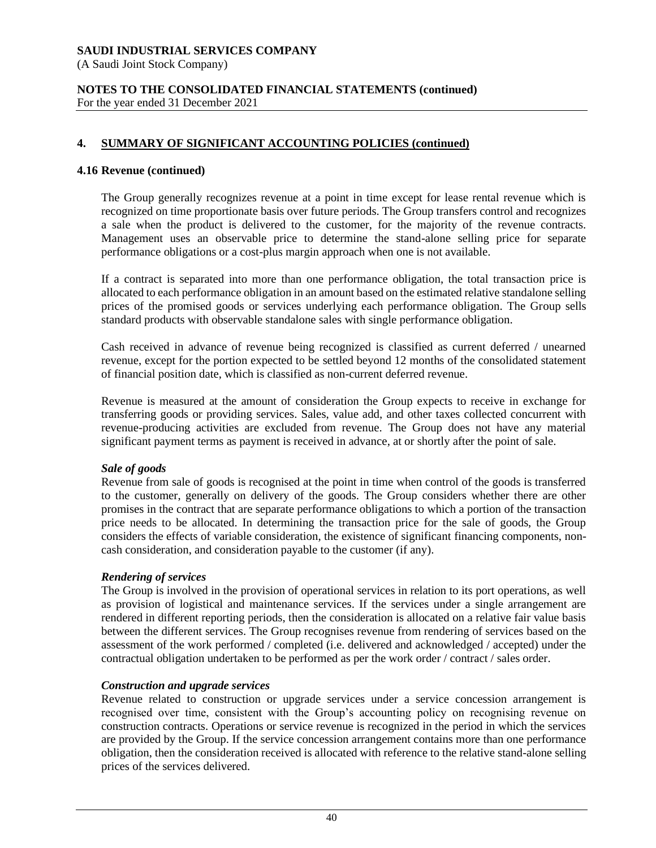(A Saudi Joint Stock Company)

### **NOTES TO THE CONSOLIDATED FINANCIAL STATEMENTS (continued)** For the year ended 31 December 2021

# **4. SUMMARY OF SIGNIFICANT ACCOUNTING POLICIES (continued)**

### **4.16 Revenue (continued)**

The Group generally recognizes revenue at a point in time except for lease rental revenue which is recognized on time proportionate basis over future periods. The Group transfers control and recognizes a sale when the product is delivered to the customer, for the majority of the revenue contracts. Management uses an observable price to determine the stand-alone selling price for separate performance obligations or a cost-plus margin approach when one is not available.

If a contract is separated into more than one performance obligation, the total transaction price is allocated to each performance obligation in an amount based on the estimated relative standalone selling prices of the promised goods or services underlying each performance obligation. The Group sells standard products with observable standalone sales with single performance obligation.

Cash received in advance of revenue being recognized is classified as current deferred / unearned revenue, except for the portion expected to be settled beyond 12 months of the consolidated statement of financial position date, which is classified as non-current deferred revenue.

Revenue is measured at the amount of consideration the Group expects to receive in exchange for transferring goods or providing services. Sales, value add, and other taxes collected concurrent with revenue-producing activities are excluded from revenue. The Group does not have any material significant payment terms as payment is received in advance, at or shortly after the point of sale.

### *Sale of goods*

Revenue from sale of goods is recognised at the point in time when control of the goods is transferred to the customer, generally on delivery of the goods. The Group considers whether there are other promises in the contract that are separate performance obligations to which a portion of the transaction price needs to be allocated. In determining the transaction price for the sale of goods, the Group considers the effects of variable consideration, the existence of significant financing components, noncash consideration, and consideration payable to the customer (if any).

### *Rendering of services*

The Group is involved in the provision of operational services in relation to its port operations, as well as provision of logistical and maintenance services. If the services under a single arrangement are rendered in different reporting periods, then the consideration is allocated on a relative fair value basis between the different services. The Group recognises revenue from rendering of services based on the assessment of the work performed / completed (i.e. delivered and acknowledged / accepted) under the contractual obligation undertaken to be performed as per the work order / contract / sales order.

### *Construction and upgrade services*

Revenue related to construction or upgrade services under a service concession arrangement is recognised over time, consistent with the Group's accounting policy on recognising revenue on construction contracts. Operations or service revenue is recognized in the period in which the services are provided by the Group. If the service concession arrangement contains more than one performance obligation, then the consideration received is allocated with reference to the relative stand-alone selling prices of the services delivered.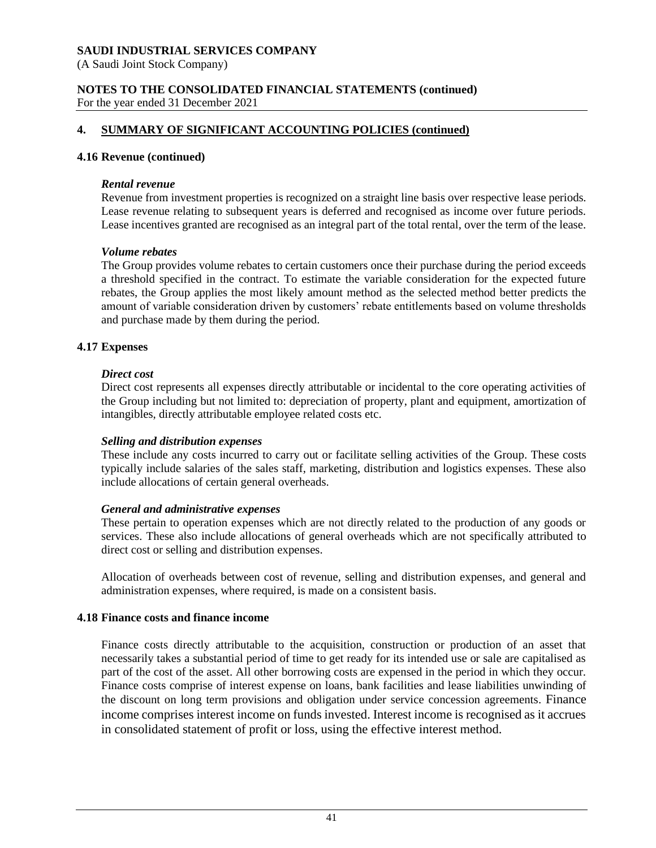(A Saudi Joint Stock Company)

# **NOTES TO THE CONSOLIDATED FINANCIAL STATEMENTS (continued)**

For the year ended 31 December 2021

# **4. SUMMARY OF SIGNIFICANT ACCOUNTING POLICIES (continued)**

### **4.16 Revenue (continued)**

### *Rental revenue*

Revenue from investment properties is recognized on a straight line basis over respective lease periods. Lease revenue relating to subsequent years is deferred and recognised as income over future periods. Lease incentives granted are recognised as an integral part of the total rental, over the term of the lease.

### *Volume rebates*

The Group provides volume rebates to certain customers once their purchase during the period exceeds a threshold specified in the contract. To estimate the variable consideration for the expected future rebates, the Group applies the most likely amount method as the selected method better predicts the amount of variable consideration driven by customers' rebate entitlements based on volume thresholds and purchase made by them during the period.

### **4.17 Expenses**

### *Direct cost*

Direct cost represents all expenses directly attributable or incidental to the core operating activities of the Group including but not limited to: depreciation of property, plant and equipment, amortization of intangibles, directly attributable employee related costs etc.

### *Selling and distribution expenses*

These include any costs incurred to carry out or facilitate selling activities of the Group. These costs typically include salaries of the sales staff, marketing, distribution and logistics expenses. These also include allocations of certain general overheads.

### *General and administrative expenses*

These pertain to operation expenses which are not directly related to the production of any goods or services. These also include allocations of general overheads which are not specifically attributed to direct cost or selling and distribution expenses.

Allocation of overheads between cost of revenue, selling and distribution expenses, and general and administration expenses, where required, is made on a consistent basis.

### **4.18 Finance costs and finance income**

Finance costs directly attributable to the acquisition, construction or production of an asset that necessarily takes a substantial period of time to get ready for its intended use or sale are capitalised as part of the cost of the asset. All other borrowing costs are expensed in the period in which they occur. Finance costs comprise of interest expense on loans, bank facilities and lease liabilities unwinding of the discount on long term provisions and obligation under service concession agreements. Finance income comprises interest income on funds invested. Interest income is recognised as it accrues in consolidated statement of profit or loss, using the effective interest method.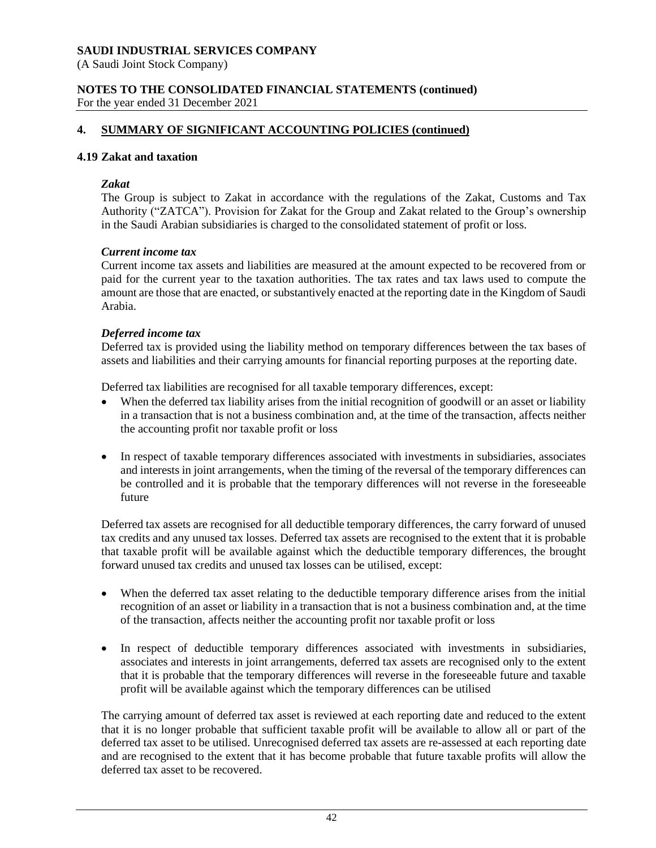(A Saudi Joint Stock Company)

### **NOTES TO THE CONSOLIDATED FINANCIAL STATEMENTS (continued)** For the year ended 31 December 2021

# **4. SUMMARY OF SIGNIFICANT ACCOUNTING POLICIES (continued)**

### **4.19 Zakat and taxation**

### *Zakat*

The Group is subject to Zakat in accordance with the regulations of the Zakat, Customs and Tax Authority ("ZATCA"). Provision for Zakat for the Group and Zakat related to the Group's ownership in the Saudi Arabian subsidiaries is charged to the consolidated statement of profit or loss.

### *Current income tax*

Current income tax assets and liabilities are measured at the amount expected to be recovered from or paid for the current year to the taxation authorities. The tax rates and tax laws used to compute the amount are those that are enacted, or substantively enacted at the reporting date in the Kingdom of Saudi Arabia.

### *Deferred income tax*

Deferred tax is provided using the liability method on temporary differences between the tax bases of assets and liabilities and their carrying amounts for financial reporting purposes at the reporting date.

Deferred tax liabilities are recognised for all taxable temporary differences, except:

- When the deferred tax liability arises from the initial recognition of goodwill or an asset or liability in a transaction that is not a business combination and, at the time of the transaction, affects neither the accounting profit nor taxable profit or loss
- In respect of taxable temporary differences associated with investments in subsidiaries, associates and interests in joint arrangements, when the timing of the reversal of the temporary differences can be controlled and it is probable that the temporary differences will not reverse in the foreseeable future

Deferred tax assets are recognised for all deductible temporary differences, the carry forward of unused tax credits and any unused tax losses. Deferred tax assets are recognised to the extent that it is probable that taxable profit will be available against which the deductible temporary differences, the brought forward unused tax credits and unused tax losses can be utilised, except:

- When the deferred tax asset relating to the deductible temporary difference arises from the initial recognition of an asset or liability in a transaction that is not a business combination and, at the time of the transaction, affects neither the accounting profit nor taxable profit or loss
- In respect of deductible temporary differences associated with investments in subsidiaries, associates and interests in joint arrangements, deferred tax assets are recognised only to the extent that it is probable that the temporary differences will reverse in the foreseeable future and taxable profit will be available against which the temporary differences can be utilised

The carrying amount of deferred tax asset is reviewed at each reporting date and reduced to the extent that it is no longer probable that sufficient taxable profit will be available to allow all or part of the deferred tax asset to be utilised. Unrecognised deferred tax assets are re-assessed at each reporting date and are recognised to the extent that it has become probable that future taxable profits will allow the deferred tax asset to be recovered.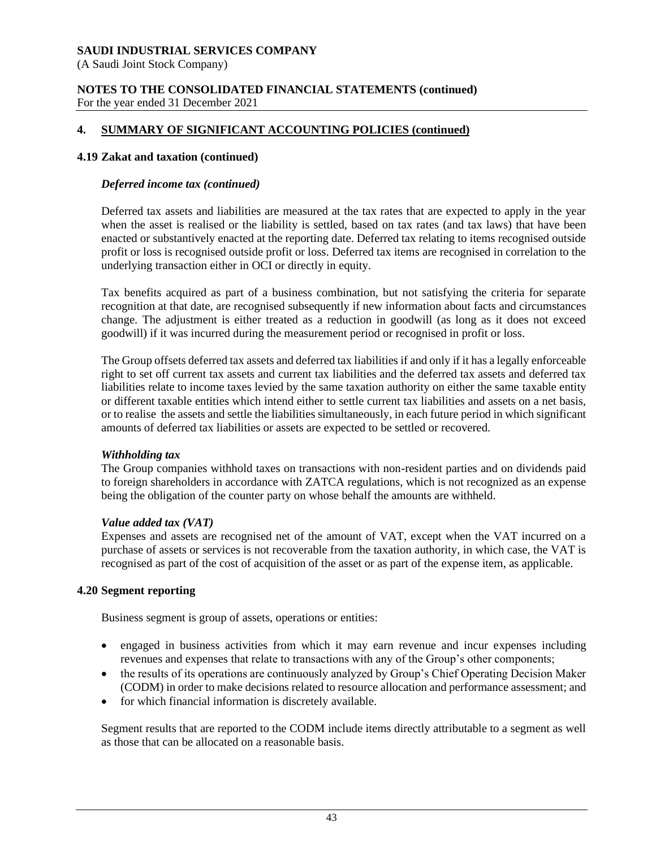(A Saudi Joint Stock Company)

### **NOTES TO THE CONSOLIDATED FINANCIAL STATEMENTS (continued)** For the year ended 31 December 2021

# **4. SUMMARY OF SIGNIFICANT ACCOUNTING POLICIES (continued)**

### **4.19 Zakat and taxation (continued)**

### *Deferred income tax (continued)*

Deferred tax assets and liabilities are measured at the tax rates that are expected to apply in the year when the asset is realised or the liability is settled, based on tax rates (and tax laws) that have been enacted or substantively enacted at the reporting date. Deferred tax relating to items recognised outside profit or loss is recognised outside profit or loss. Deferred tax items are recognised in correlation to the underlying transaction either in OCI or directly in equity.

Tax benefits acquired as part of a business combination, but not satisfying the criteria for separate recognition at that date, are recognised subsequently if new information about facts and circumstances change. The adjustment is either treated as a reduction in goodwill (as long as it does not exceed goodwill) if it was incurred during the measurement period or recognised in profit or loss.

The Group offsets deferred tax assets and deferred tax liabilities if and only if it has a legally enforceable right to set off current tax assets and current tax liabilities and the deferred tax assets and deferred tax liabilities relate to income taxes levied by the same taxation authority on either the same taxable entity or different taxable entities which intend either to settle current tax liabilities and assets on a net basis, or to realise the assets and settle the liabilities simultaneously, in each future period in which significant amounts of deferred tax liabilities or assets are expected to be settled or recovered.

### *Withholding tax*

The Group companies withhold taxes on transactions with non-resident parties and on dividends paid to foreign shareholders in accordance with ZATCA regulations, which is not recognized as an expense being the obligation of the counter party on whose behalf the amounts are withheld.

#### *Value added tax (VAT)*

Expenses and assets are recognised net of the amount of VAT, except when the VAT incurred on a purchase of assets or services is not recoverable from the taxation authority, in which case, the VAT is recognised as part of the cost of acquisition of the asset or as part of the expense item, as applicable.

### **4.20 Segment reporting**

Business segment is group of assets, operations or entities:

- engaged in business activities from which it may earn revenue and incur expenses including revenues and expenses that relate to transactions with any of the Group's other components;
- the results of its operations are continuously analyzed by Group's Chief Operating Decision Maker (CODM) in order to make decisions related to resource allocation and performance assessment; and
- for which financial information is discretely available.

Segment results that are reported to the CODM include items directly attributable to a segment as well as those that can be allocated on a reasonable basis.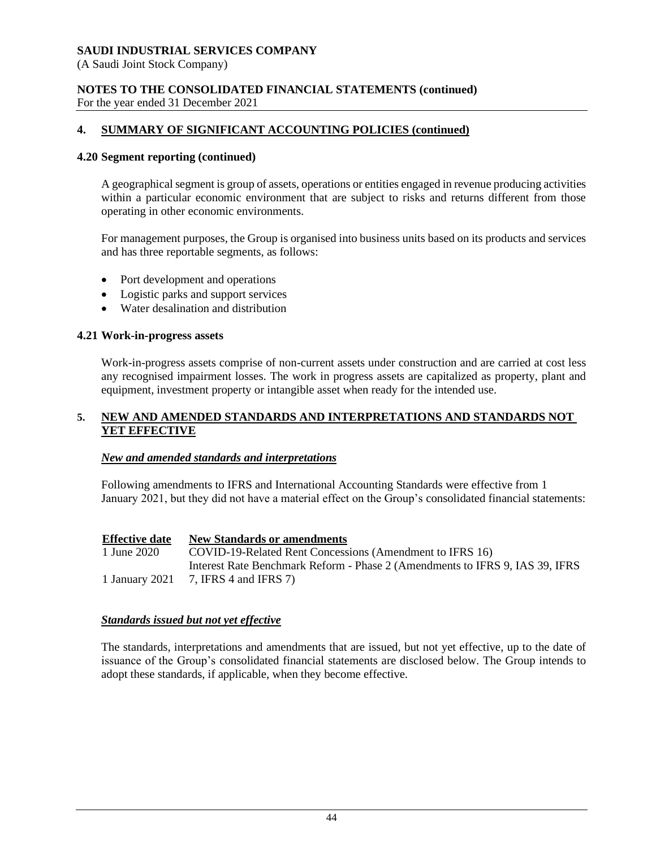(A Saudi Joint Stock Company)

### **NOTES TO THE CONSOLIDATED FINANCIAL STATEMENTS (continued)** For the year ended 31 December 2021

# **4. SUMMARY OF SIGNIFICANT ACCOUNTING POLICIES (continued)**

### **4.20 Segment reporting (continued)**

A geographical segment is group of assets, operations or entities engaged in revenue producing activities within a particular economic environment that are subject to risks and returns different from those operating in other economic environments.

For management purposes, the Group is organised into business units based on its products and services and has three reportable segments, as follows:

- Port development and operations
- Logistic parks and support services
- Water desalination and distribution

### **4.21 Work-in-progress assets**

Work-in-progress assets comprise of non-current assets under construction and are carried at cost less any recognised impairment losses. The work in progress assets are capitalized as property, plant and equipment, investment property or intangible asset when ready for the intended use.

### **5. NEW AND AMENDED STANDARDS AND INTERPRETATIONS AND STANDARDS NOT YET EFFECTIVE**

#### *New and amended standards and interpretations*

Following amendments to IFRS and International Accounting Standards were effective from 1 January 2021, but they did not have a material effect on the Group's consolidated financial statements:

**Effective date New Standards or amendments** 1 June 2020 COVID-19-Related Rent Concessions (Amendment to IFRS 16) 1 January 2021 Interest Rate Benchmark Reform - Phase 2 (Amendments to IFRS 9, IAS 39, IFRS 7, IFRS 4 and IFRS 7)

### *Standards issued but not yet effective*

The standards, interpretations and amendments that are issued, but not yet effective, up to the date of issuance of the Group's consolidated financial statements are disclosed below. The Group intends to adopt these standards, if applicable, when they become effective.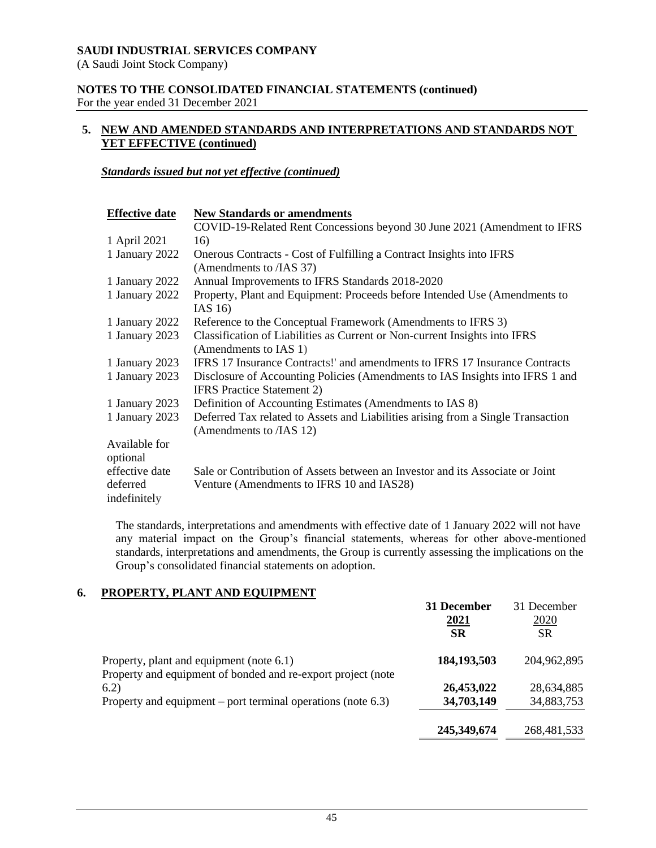(A Saudi Joint Stock Company)

### **NOTES TO THE CONSOLIDATED FINANCIAL STATEMENTS (continued)** For the year ended 31 December 2021

# **5. NEW AND AMENDED STANDARDS AND INTERPRETATIONS AND STANDARDS NOT YET EFFECTIVE (continued)**

### *Standards issued but not yet effective (continued)*

| <b>Effective date</b>     | <b>New Standards or amendments</b>                                                                                 |
|---------------------------|--------------------------------------------------------------------------------------------------------------------|
|                           | COVID-19-Related Rent Concessions beyond 30 June 2021 (Amendment to IFRS                                           |
| 1 April 2021              | 16)                                                                                                                |
| 1 January 2022            | Onerous Contracts - Cost of Fulfilling a Contract Insights into IFRS<br>(Amendments to /IAS 37)                    |
| 1 January 2022            | Annual Improvements to IFRS Standards 2018-2020                                                                    |
| 1 January 2022            | Property, Plant and Equipment: Proceeds before Intended Use (Amendments to<br>IAS $16$                             |
| 1 January 2022            | Reference to the Conceptual Framework (Amendments to IFRS 3)                                                       |
| 1 January 2023            | Classification of Liabilities as Current or Non-current Insights into IFRS<br>(Amendments to IAS 1)                |
| 1 January 2023            | IFRS 17 Insurance Contracts!' and amendments to IFRS 17 Insurance Contracts                                        |
| 1 January 2023            | Disclosure of Accounting Policies (Amendments to IAS Insights into IFRS 1 and<br><b>IFRS</b> Practice Statement 2) |
| 1 January 2023            | Definition of Accounting Estimates (Amendments to IAS 8)                                                           |
| 1 January 2023            | Deferred Tax related to Assets and Liabilities arising from a Single Transaction<br>(Amendments to /IAS 12)        |
| Available for<br>optional |                                                                                                                    |
| effective date            | Sale or Contribution of Assets between an Investor and its Associate or Joint                                      |
| deferred<br>indefinitely  | Venture (Amendments to IFRS 10 and IAS28)                                                                          |

The standards, interpretations and amendments with effective date of 1 January 2022 will not have any material impact on the Group's financial statements, whereas for other above-mentioned standards, interpretations and amendments, the Group is currently assessing the implications on the Group's consolidated financial statements on adoption.

# **6. PROPERTY, PLANT AND EQUIPMENT**

|                                                                      | 31 December   | 31 December   |
|----------------------------------------------------------------------|---------------|---------------|
|                                                                      | 2021          | 2020          |
|                                                                      | <b>SR</b>     | SR            |
| Property, plant and equipment (note 6.1)                             | 184, 193, 503 | 204,962,895   |
| Property and equipment of bonded and re-export project (note<br>6.2) | 26,453,022    | 28,634,885    |
| Property and equipment – port terminal operations (note $6.3$ )      | 34,703,149    | 34,883,753    |
|                                                                      | 245,349,674   | 268, 481, 533 |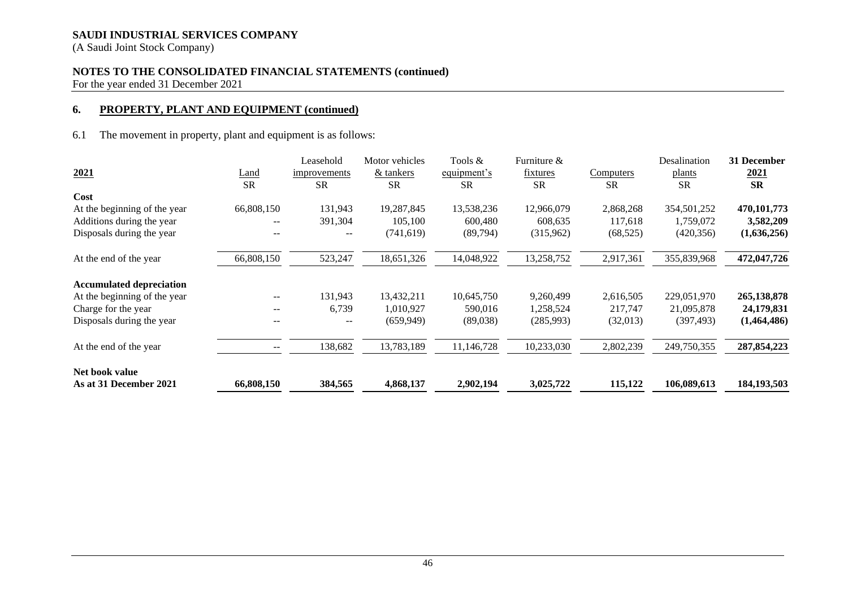(A Saudi Joint Stock Company)

# **NOTES TO THE CONSOLIDATED FINANCIAL STATEMENTS (continued)**

For the year ended 31 December 2021

# **6. PROPERTY, PLANT AND EQUIPMENT (continued)**

6.1 The movement in property, plant and equipment is as follows:

|                                 |             | Leasehold    | Motor vehicles | Tools &     | Furniture & |           | Desalination | 31 December   |
|---------------------------------|-------------|--------------|----------------|-------------|-------------|-----------|--------------|---------------|
| 2021                            | <u>Land</u> | improvements | & tankers      | equipment's | fixtures    | Computers | plants       | 2021          |
|                                 | <b>SR</b>   | <b>SR</b>    | <b>SR</b>      | <b>SR</b>   | <b>SR</b>   | <b>SR</b> | <b>SR</b>    | <b>SR</b>     |
| Cost                            |             |              |                |             |             |           |              |               |
| At the beginning of the year    | 66,808,150  | 131,943      | 19,287,845     | 13,538,236  | 12,966,079  | 2,868,268 | 354,501,252  | 470,101,773   |
| Additions during the year       | $- -$       | 391,304      | 105,100        | 600,480     | 608,635     | 117,618   | 1,759,072    | 3,582,209     |
| Disposals during the year       | --          | --           | (741, 619)     | (89,794)    | (315,962)   | (68, 525) | (420, 356)   | (1,636,256)   |
| At the end of the year          | 66,808,150  | 523,247      | 18,651,326     | 14,048,922  | 13,258,752  | 2,917,361 | 355,839,968  | 472,047,726   |
| <b>Accumulated depreciation</b> |             |              |                |             |             |           |              |               |
| At the beginning of the year    | $--$        | 131,943      | 13,432,211     | 10,645,750  | 9,260,499   | 2,616,505 | 229,051,970  | 265,138,878   |
| Charge for the year             | --          | 6,739        | 1,010,927      | 590,016     | 1,258,524   | 217,747   | 21,095,878   | 24,179,831    |
| Disposals during the year       | --          | --           | (659, 949)     | (89,038)    | (285,993)   | (32,013)  | (397, 493)   | (1,464,486)   |
| At the end of the year          | --          | 138,682      | 13,783,189     | 11,146,728  | 10,233,030  | 2,802,239 | 249,750,355  | 287, 854, 223 |
| Net book value                  |             |              |                |             |             |           |              |               |
| As at 31 December 2021          | 66,808,150  | 384,565      | 4,868,137      | 2,902,194   | 3,025,722   | 115,122   | 106,089,613  | 184, 193, 503 |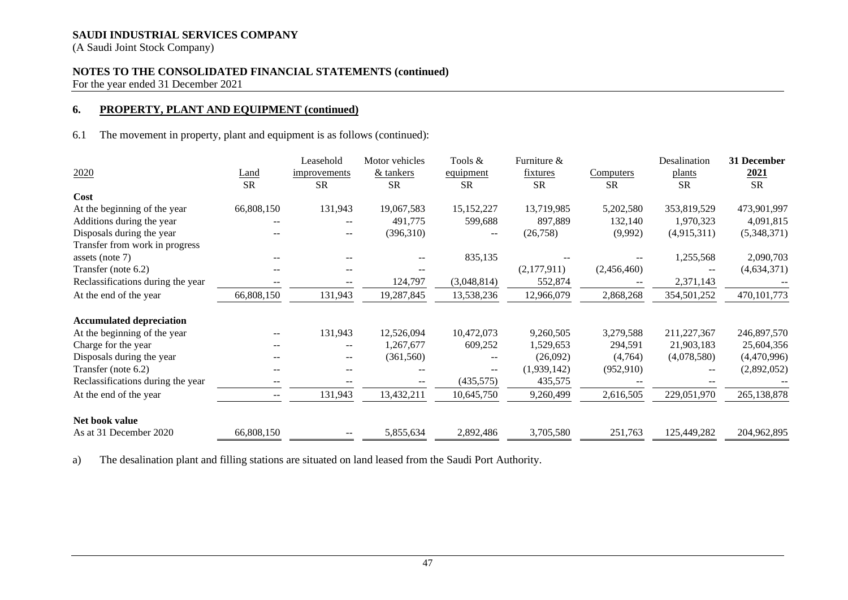(A Saudi Joint Stock Company)

# **NOTES TO THE CONSOLIDATED FINANCIAL STATEMENTS (continued)**

For the year ended 31 December 2021

### **6. PROPERTY, PLANT AND EQUIPMENT (continued)**

6.1 The movement in property, plant and equipment is as follows (continued):

|                                   |                          | Leasehold    | Motor vehicles | Tools &                  | Furniture &     |                  | Desalination  | 31 December   |
|-----------------------------------|--------------------------|--------------|----------------|--------------------------|-----------------|------------------|---------------|---------------|
| 2020                              | <u>Land</u>              | improvements | & tankers      | equipment                | <u>fixtures</u> | <b>Computers</b> | <u>plants</u> | <u>2021</u>   |
|                                   | <b>SR</b>                | <b>SR</b>    | <b>SR</b>      | <b>SR</b>                | <b>SR</b>       | <b>SR</b>        | <b>SR</b>     | <b>SR</b>     |
| Cost                              |                          |              |                |                          |                 |                  |               |               |
| At the beginning of the year      | 66,808,150               | 131,943      | 19,067,583     | 15,152,227               | 13,719,985      | 5,202,580        | 353,819,529   | 473,901,997   |
| Additions during the year         | --                       |              | 491,775        | 599,688                  | 897,889         | 132,140          | 1,970,323     | 4,091,815     |
| Disposals during the year         | --                       | $- -$        | (396,310)      | $\overline{\phantom{m}}$ | (26,758)        | (9,992)          | (4,915,311)   | (5,348,371)   |
| Transfer from work in progress    |                          |              |                |                          |                 |                  |               |               |
| assets (note $7$ )                | $- -$                    |              | $-$            | 835,135                  |                 |                  | 1,255,568     | 2,090,703     |
| Transfer (note 6.2)               | $- -$                    |              |                |                          | (2,177,911)     | (2,456,460)      |               | (4,634,371)   |
| Reclassifications during the year |                          |              | 124,797        | (3,048,814)              | 552,874         |                  | 2,371,143     |               |
| At the end of the year            | 66,808,150               | 131,943      | 19,287,845     | 13,538,236               | 12,966,079      | 2,868,268        | 354,501,252   | 470, 101, 773 |
|                                   |                          |              |                |                          |                 |                  |               |               |
| <b>Accumulated depreciation</b>   |                          |              |                |                          |                 |                  |               |               |
| At the beginning of the year      | $\overline{\phantom{a}}$ | 131,943      | 12,526,094     | 10,472,073               | 9,260,505       | 3,279,588        | 211,227,367   | 246,897,570   |
| Charge for the year               | --                       | $- -$        | 1,267,677      | 609,252                  | 1,529,653       | 294,591          | 21,903,183    | 25,604,356    |
| Disposals during the year         | --                       | $- -$        | (361, 560)     |                          | (26,092)        | (4,764)          | (4,078,580)   | (4,470,996)   |
| Transfer (note 6.2)               |                          |              |                |                          | (1,939,142)     | (952, 910)       |               | (2,892,052)   |
| Reclassifications during the year |                          |              |                | (435,575)                | 435,575         |                  |               |               |
| At the end of the year            | $- -$                    | 131,943      | 13,432,211     | 10,645,750               | 9,260,499       | 2,616,505        | 229,051,970   | 265,138,878   |
| Net book value                    |                          |              |                |                          |                 |                  |               |               |
| As at 31 December 2020            | 66,808,150               |              | 5,855,634      | 2,892,486                | 3,705,580       | 251,763          | 125,449,282   | 204,962,895   |

a) The desalination plant and filling stations are situated on land leased from the Saudi Port Authority.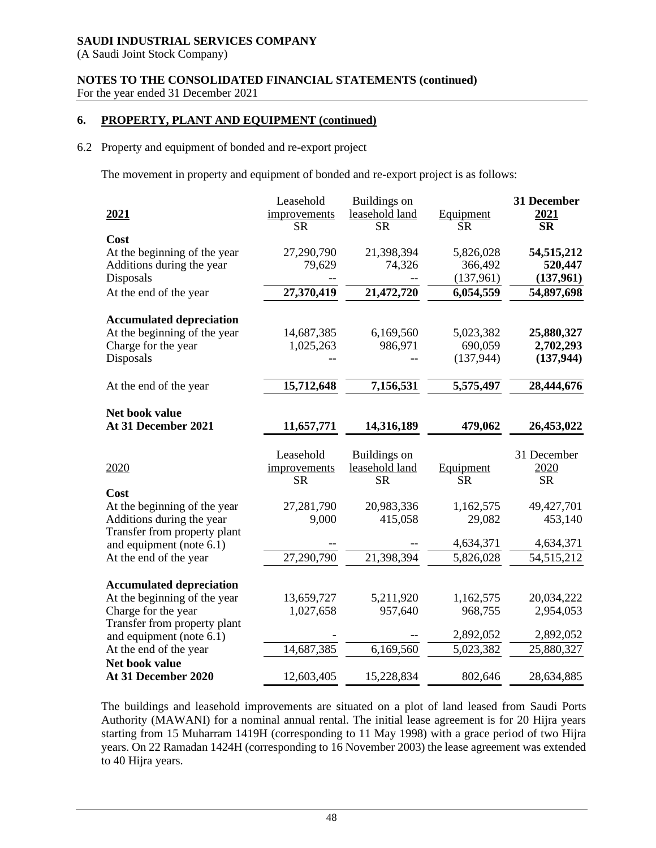(A Saudi Joint Stock Company)

# **NOTES TO THE CONSOLIDATED FINANCIAL STATEMENTS (continued)** For the year ended 31 December 2021

# **6. PROPERTY, PLANT AND EQUIPMENT (continued)**

# 6.2 Property and equipment of bonded and re-export project

The movement in property and equipment of bonded and re-export project is as follows:

|                                 | Leasehold    | Buildings on   |            | 31 December  |
|---------------------------------|--------------|----------------|------------|--------------|
| 2021                            | improvements | leasehold land | Equipment  | 2021         |
|                                 | <b>SR</b>    | <b>SR</b>      | <b>SR</b>  | <b>SR</b>    |
| Cost                            |              |                |            |              |
| At the beginning of the year    | 27,290,790   | 21,398,394     | 5,826,028  | 54, 515, 212 |
| Additions during the year       | 79,629       | 74,326         | 366,492    | 520,447      |
| Disposals                       |              |                | (137,961)  | (137,961)    |
| At the end of the year          | 27,370,419   | 21,472,720     | 6,054,559  | 54,897,698   |
|                                 |              |                |            |              |
| <b>Accumulated depreciation</b> |              |                |            |              |
| At the beginning of the year    | 14,687,385   | 6,169,560      | 5,023,382  | 25,880,327   |
| Charge for the year             | 1,025,263    | 986,971        | 690,059    | 2,702,293    |
| Disposals                       |              |                | (137, 944) | (137, 944)   |
|                                 |              |                |            |              |
| At the end of the year          | 15,712,648   | 7,156,531      | 5,575,497  | 28,444,676   |
|                                 |              |                |            |              |
| Net book value                  |              |                |            |              |
| At 31 December 2021             | 11,657,771   | 14,316,189     | 479,062    | 26,453,022   |
|                                 |              |                |            |              |
|                                 | Leasehold    | Buildings on   |            | 31 December  |
| 2020                            | improvements | leasehold land | Equipment  | 2020         |
|                                 | <b>SR</b>    | <b>SR</b>      | <b>SR</b>  | <b>SR</b>    |
| Cost                            |              |                |            |              |
| At the beginning of the year    | 27,281,790   | 20,983,336     | 1,162,575  | 49,427,701   |
| Additions during the year       | 9,000        | 415,058        | 29,082     | 453,140      |
| Transfer from property plant    |              |                |            |              |
| and equipment (note 6.1)        |              |                | 4,634,371  | 4,634,371    |
| At the end of the year          | 27,290,790   | 21,398,394     | 5,826,028  | 54, 515, 212 |
|                                 |              |                |            |              |
| <b>Accumulated depreciation</b> |              |                |            |              |
|                                 |              |                |            |              |
| At the beginning of the year    | 13,659,727   | 5,211,920      | 1,162,575  | 20,034,222   |
| Charge for the year             | 1,027,658    | 957,640        | 968,755    | 2,954,053    |
| Transfer from property plant    |              |                |            |              |
| and equipment (note 6.1)        |              |                | 2,892,052  | 2,892,052    |
| At the end of the year          | 14,687,385   | 6,169,560      | 5,023,382  | 25,880,327   |
| Net book value                  |              |                |            |              |

The buildings and leasehold improvements are situated on a plot of land leased from Saudi Ports Authority (MAWANI) for a nominal annual rental. The initial lease agreement is for 20 Hijra years starting from 15 Muharram 1419H (corresponding to 11 May 1998) with a grace period of two Hijra years. On 22 Ramadan 1424H (corresponding to 16 November 2003) the lease agreement was extended to 40 Hijra years.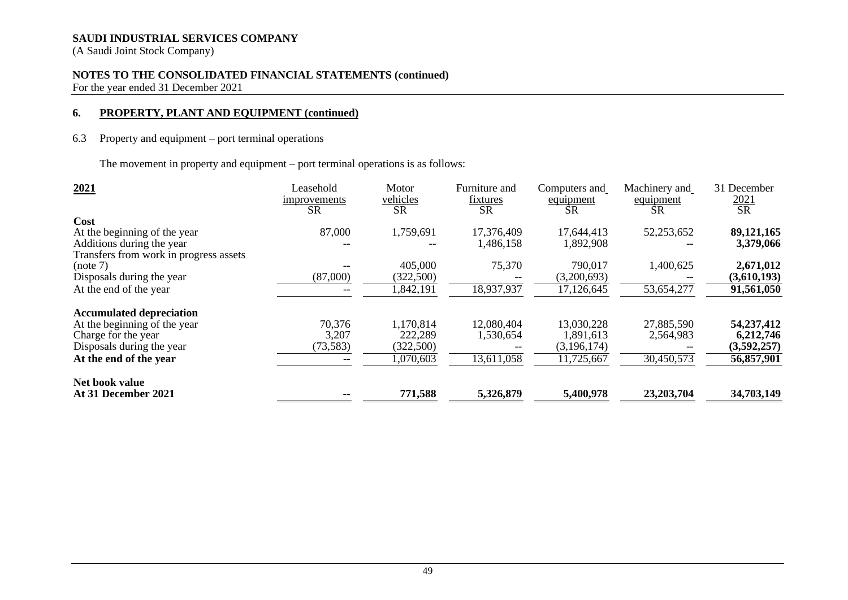(A Saudi Joint Stock Company)

# **NOTES TO THE CONSOLIDATED FINANCIAL STATEMENTS (continued)**

For the year ended 31 December 2021

### **6. PROPERTY, PLANT AND EQUIPMENT (continued)**

# 6.3 Property and equipment – port terminal operations

The movement in property and equipment – port terminal operations is as follows:

| 2021                                   | Leasehold<br>improvements<br><b>SR</b> | Motor<br>vehicles<br><b>SR</b> | Furniture and<br>fixtures<br><b>SR</b> | Computers and<br>equipment<br><b>SR</b> | Machinery and<br>equipment<br><b>SR</b> | 31 December<br><u>2021</u><br><b>SR</b> |
|----------------------------------------|----------------------------------------|--------------------------------|----------------------------------------|-----------------------------------------|-----------------------------------------|-----------------------------------------|
| Cost                                   |                                        |                                |                                        |                                         |                                         |                                         |
| At the beginning of the year           | 87,000                                 | 1,759,691                      | 17,376,409                             | 17,644,413                              | 52,253,652                              | 89,121,165                              |
| Additions during the year              |                                        |                                | 1,486,158                              | 1,892,908                               |                                         | 3,379,066                               |
| Transfers from work in progress assets |                                        |                                |                                        |                                         |                                         |                                         |
| (note 7)                               |                                        | 405,000                        | 75,370                                 | 790,017                                 | 1,400,625                               | 2,671,012                               |
| Disposals during the year              | (87,000)                               | (322,500)                      |                                        | (3,200,693)                             |                                         | (3,610,193)                             |
| At the end of the year                 |                                        | ,842,191                       | 18,937,937                             | 17,126,645                              | 53,654,277                              | 91,561,050                              |
| <b>Accumulated depreciation</b>        |                                        |                                |                                        |                                         |                                         |                                         |
| At the beginning of the year           | 70,376                                 | 1,170,814                      | 12,080,404                             | 13,030,228                              | 27,885,590                              | 54, 237, 412                            |
| Charge for the year                    | 3,207                                  | 222,289                        | 1,530,654                              | 1,891,613                               | 2,564,983                               | 6,212,746                               |
| Disposals during the year              | (73, 583)                              | (322,500)                      |                                        | (3,196,174)                             |                                         | (3,592,257)                             |
| At the end of the year                 |                                        | 1,070,603                      | 13,611,058                             | 11,725,667                              | 30,450,573                              | 56,857,901                              |
| Net book value                         |                                        |                                |                                        |                                         |                                         |                                         |
| At 31 December 2021                    |                                        | 771,588                        | 5,326,879                              | 5,400,978                               | 23,203,704                              | 34,703,149                              |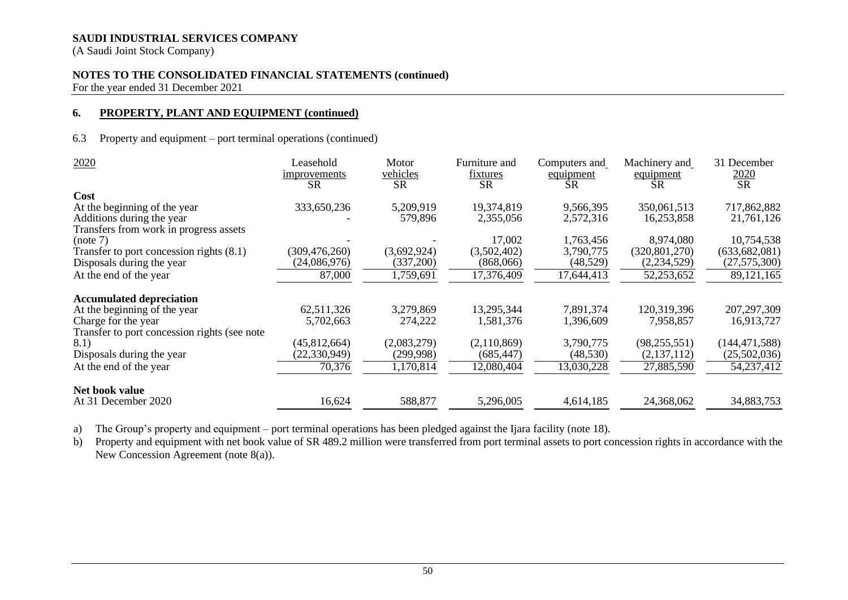(A Saudi Joint Stock Company)

# **NOTES TO THE CONSOLIDATED FINANCIAL STATEMENTS (continued)**

For the year ended 31 December 2021

# **6. PROPERTY, PLANT AND EQUIPMENT (continued)**

#### 6.3 Property and equipment – port terminal operations (continued)

| 2020                                          | Leasehold<br>improvements<br><b>SR</b> | Motor<br>vehicles<br><b>SR</b> | Furniture and<br>fixtures<br><b>SR</b> | Computers and<br>equipment<br><b>SR</b> | Machinery and<br>equipment<br><b>SR</b> | 31 December<br>2020<br>$\overline{\text{SR}}$ |
|-----------------------------------------------|----------------------------------------|--------------------------------|----------------------------------------|-----------------------------------------|-----------------------------------------|-----------------------------------------------|
| <b>Cost</b>                                   |                                        |                                |                                        |                                         |                                         |                                               |
| At the beginning of the year                  | 333,650,236                            | 5,209,919                      | 19,374,819                             | 9,566,395                               | 350,061,513                             | 717,862,882                                   |
| Additions during the year                     |                                        | 579,896                        | 2,355,056                              | 2,572,316                               | 16,253,858                              | 21,761,126                                    |
| Transfers from work in progress assets        |                                        |                                |                                        |                                         |                                         |                                               |
| (note 7)                                      |                                        |                                | 17,002                                 | 1,763,456                               | 8,974,080                               | 10,754,538                                    |
| Transfer to port concession rights (8.1)      | (309, 476, 260)                        | (3,692,924)                    | (3,502,402)                            | 3,790,775                               | (320, 801, 270)                         | (633, 682, 081)                               |
| Disposals during the year                     | (24,086,976)                           | (337,200)                      | (868,066)                              | (48, 529)                               | (2,234,529)                             | (27, 575, 300)                                |
| At the end of the year                        | 87,000                                 | 1,759,691                      | 17,376,409                             | 17,644,413                              | 52,253,652                              | 89,121,165                                    |
| <b>Accumulated depreciation</b>               |                                        |                                |                                        |                                         |                                         |                                               |
| At the beginning of the year                  | 62,511,326                             | 3,279,869                      | 13,295,344                             | 7,891,374                               | 120,319,396                             | 207, 297, 309                                 |
| Charge for the year                           | 5,702,663                              | 274,222                        | 1,581,376                              | 1,396,609                               | 7,958,857                               | 16,913,727                                    |
| Transfer to port concession rights (see note) |                                        |                                |                                        |                                         |                                         |                                               |
| 8.1)                                          | (45, 812, 664)                         | (2,083,279)                    | (2,110,869)                            | 3,790,775                               | (98, 255, 551)                          | (144, 471, 588)                               |
| Disposals during the year                     | (22, 330, 949)                         | (299, 998)                     | (685, 447)                             | (48, 530)                               | (2,137,112)                             | (25,502,036)                                  |
| At the end of the year                        | 70,376                                 | 1,170,814                      | 12,080,404                             | 13,030,228                              | 27,885,590                              | 54,237,412                                    |
| Net book value                                |                                        |                                |                                        |                                         |                                         |                                               |
| At 31 December 2020                           | 16,624                                 | 588,877                        | 5,296,005                              | 4,614,185                               | 24,368,062                              | 34,883,753                                    |

a) The Group's property and equipment – port terminal operations has been pledged against the Ijara facility (note 18).

b) Property and equipment with net book value of SR 489.2 million were transferred from port terminal assets to port concession rights in accordance with the New Concession Agreement (note 8(a)).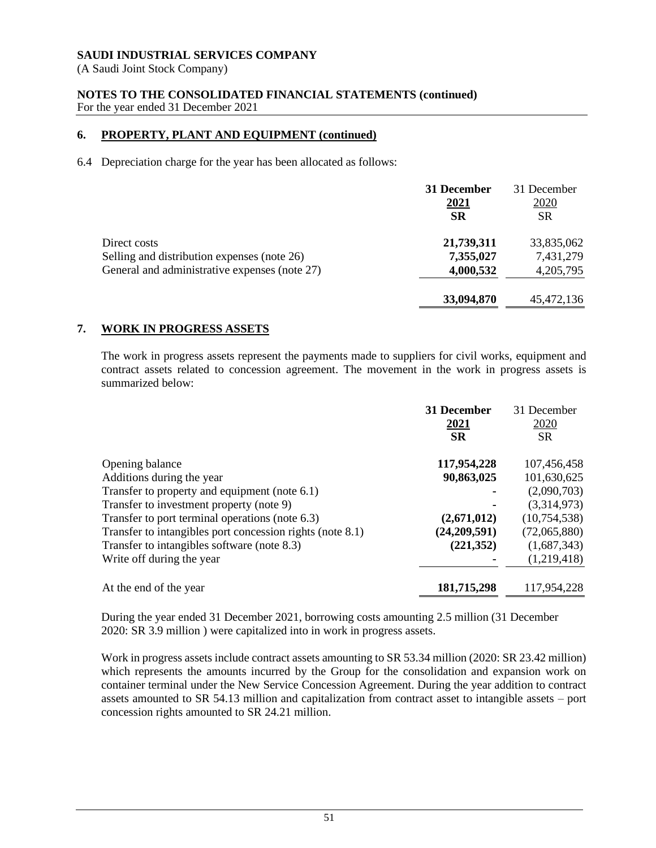(A Saudi Joint Stock Company)

# **NOTES TO THE CONSOLIDATED FINANCIAL STATEMENTS (continued)** For the year ended 31 December 2021

# **6. PROPERTY, PLANT AND EQUIPMENT (continued)**

6.4 Depreciation charge for the year has been allocated as follows:

|                                               | 31 December<br>2021<br><b>SR</b> | 31 December<br><u>2020</u><br><b>SR</b> |
|-----------------------------------------------|----------------------------------|-----------------------------------------|
| Direct costs                                  | 21,739,311                       | 33,835,062                              |
| Selling and distribution expenses (note 26)   | 7,355,027                        | 7,431,279                               |
| General and administrative expenses (note 27) | 4,000,532                        | 4,205,795                               |
|                                               | 33,094,870                       | 45,472,136                              |

# **7. WORK IN PROGRESS ASSETS**

The work in progress assets represent the payments made to suppliers for civil works, equipment and contract assets related to concession agreement. The movement in the work in progress assets is summarized below:

|                                                           | 31 December<br>2021 | 31 December<br>2020 |
|-----------------------------------------------------------|---------------------|---------------------|
|                                                           | <b>SR</b>           | <b>SR</b>           |
| Opening balance                                           | 117,954,228         | 107,456,458         |
| Additions during the year                                 | 90,863,025          | 101,630,625         |
| Transfer to property and equipment (note 6.1)             |                     | (2,090,703)         |
| Transfer to investment property (note 9)                  |                     | (3,314,973)         |
| Transfer to port terminal operations (note 6.3)           | (2,671,012)         | (10,754,538)        |
| Transfer to intangibles port concession rights (note 8.1) | (24,209,591)        | (72,065,880)        |
| Transfer to intangibles software (note 8.3)               | (221, 352)          | (1,687,343)         |
| Write off during the year                                 |                     | (1,219,418)         |
| At the end of the year                                    | 181,715,298         | 117,954,228         |

During the year ended 31 December 2021, borrowing costs amounting 2.5 million (31 December 2020: SR 3.9 million ) were capitalized into in work in progress assets.

Work in progress assets include contract assets amounting to SR 53.34 million (2020: SR 23.42 million) which represents the amounts incurred by the Group for the consolidation and expansion work on container terminal under the New Service Concession Agreement. During the year addition to contract assets amounted to SR 54.13 million and capitalization from contract asset to intangible assets – port concession rights amounted to SR 24.21 million.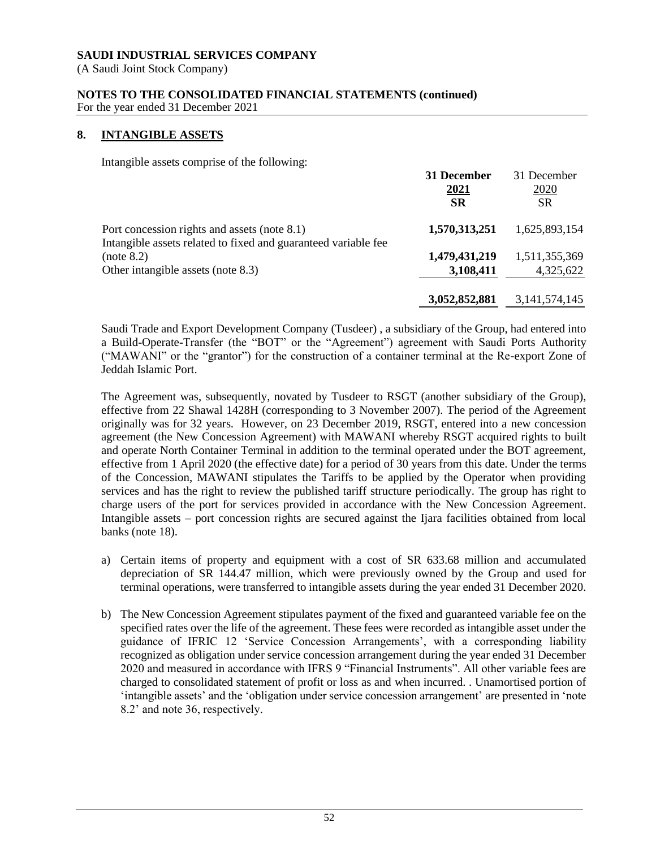(A Saudi Joint Stock Company)

# **NOTES TO THE CONSOLIDATED FINANCIAL STATEMENTS (continued)**

For the year ended 31 December 2021

# **8. INTANGIBLE ASSETS**

Intangible assets comprise of the following:

|                                                                                                                | 31 December<br>2021<br><b>SR</b> | 31 December<br>2020<br><b>SR</b> |
|----------------------------------------------------------------------------------------------------------------|----------------------------------|----------------------------------|
| Port concession rights and assets (note 8.1)<br>Intangible assets related to fixed and guaranteed variable fee | 1,570,313,251                    | 1,625,893,154                    |
| (note 8.2)<br>Other intangible assets (note 8.3)                                                               | 1,479,431,219<br>3,108,411       | 1,511,355,369<br>4,325,622       |
|                                                                                                                | 3,052,852,881                    | 3, 141, 574, 145                 |

Saudi Trade and Export Development Company (Tusdeer) , a subsidiary of the Group, had entered into a Build-Operate-Transfer (the "BOT" or the "Agreement") agreement with Saudi Ports Authority ("MAWANI" or the "grantor") for the construction of a container terminal at the Re-export Zone of Jeddah Islamic Port.

The Agreement was, subsequently, novated by Tusdeer to RSGT (another subsidiary of the Group), effective from 22 Shawal 1428H (corresponding to 3 November 2007). The period of the Agreement originally was for 32 years. However, on 23 December 2019, RSGT, entered into a new concession agreement (the New Concession Agreement) with MAWANI whereby RSGT acquired rights to built and operate North Container Terminal in addition to the terminal operated under the BOT agreement, effective from 1 April 2020 (the effective date) for a period of 30 years from this date. Under the terms of the Concession, MAWANI stipulates the Tariffs to be applied by the Operator when providing services and has the right to review the published tariff structure periodically. The group has right to charge users of the port for services provided in accordance with the New Concession Agreement. Intangible assets – port concession rights are secured against the Ijara facilities obtained from local banks (note 18).

- a) Certain items of property and equipment with a cost of SR 633.68 million and accumulated depreciation of SR 144.47 million, which were previously owned by the Group and used for terminal operations, were transferred to intangible assets during the year ended 31 December 2020.
- b) The New Concession Agreement stipulates payment of the fixed and guaranteed variable fee on the specified rates over the life of the agreement. These fees were recorded as intangible asset under the guidance of IFRIC 12 'Service Concession Arrangements', with a corresponding liability recognized as obligation under service concession arrangement during the year ended 31 December 2020 and measured in accordance with IFRS 9 "Financial Instruments". All other variable fees are charged to consolidated statement of profit or loss as and when incurred. . Unamortised portion of 'intangible assets' and the 'obligation under service concession arrangement' are presented in 'note 8.2' and note 36, respectively.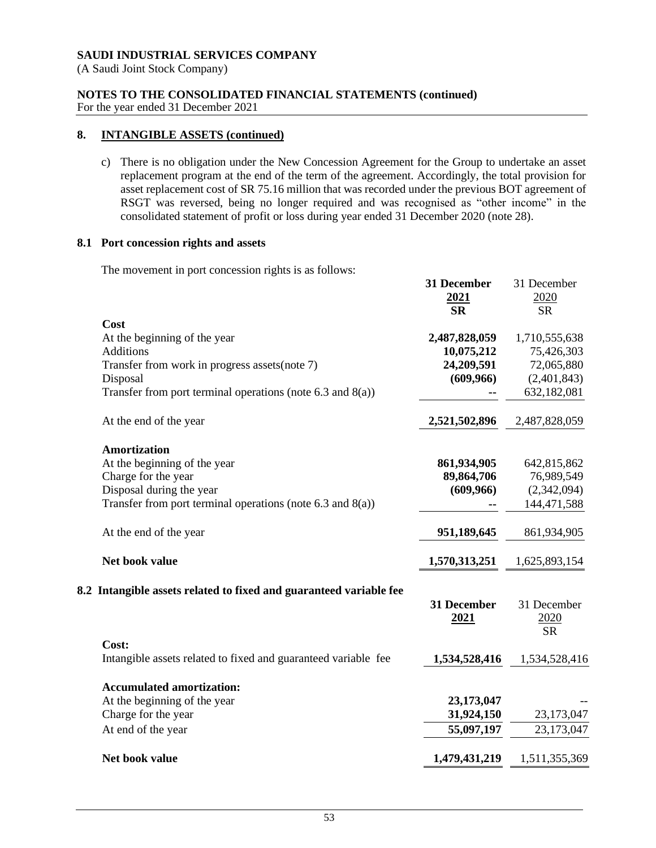(A Saudi Joint Stock Company)

# **NOTES TO THE CONSOLIDATED FINANCIAL STATEMENTS (continued)**

For the year ended 31 December 2021

# **8. INTANGIBLE ASSETS (continued)**

c) There is no obligation under the New Concession Agreement for the Group to undertake an asset replacement program at the end of the term of the agreement. Accordingly, the total provision for asset replacement cost of SR 75.16 million that was recorded under the previous BOT agreement of RSGT was reversed, being no longer required and was recognised as "other income" in the consolidated statement of profit or loss during year ended 31 December 2020 (note 28).

**31 December**

31 December

### **8.1 Port concession rights and assets**

The movement in port concession rights is as follows:

|                                                                         | <u>2021</u><br><b>SR</b> | 2020          |
|-------------------------------------------------------------------------|--------------------------|---------------|
| Cost                                                                    |                          | <b>SR</b>     |
| At the beginning of the year                                            | 2,487,828,059            | 1,710,555,638 |
| <b>Additions</b>                                                        | 10,075,212               | 75,426,303    |
| Transfer from work in progress assets (note 7)                          | 24,209,591               | 72,065,880    |
| Disposal                                                                | (609,966)                | (2,401,843)   |
| Transfer from port terminal operations (note $6.3$ and $8(a)$ )         |                          | 632,182,081   |
| At the end of the year                                                  | 2,521,502,896            | 2,487,828,059 |
| <b>Amortization</b>                                                     |                          |               |
| At the beginning of the year                                            | 861,934,905              | 642,815,862   |
| Charge for the year                                                     | 89,864,706               | 76,989,549    |
| Disposal during the year                                                | (609, 966)               | (2,342,094)   |
| Transfer from port terminal operations (note 6.3 and 8(a))              |                          | 144,471,588   |
| At the end of the year                                                  | 951,189,645              | 861,934,905   |
| Net book value                                                          | 1,570,313,251            | 1,625,893,154 |
| 8.2 Intangible assets related to fixed and guaranteed variable fee      |                          |               |
|                                                                         | 31 December              | 31 December   |
|                                                                         | 2021                     | 2020          |
|                                                                         |                          | <b>SR</b>     |
| Cost:<br>Intangible assets related to fixed and guaranteed variable fee | 1,534,528,416            | 1,534,528,416 |
|                                                                         |                          |               |
| <b>Accumulated amortization:</b>                                        |                          |               |
| At the beginning of the year                                            | 23,173,047               |               |
| Charge for the year                                                     | 31,924,150               | 23,173,047    |
| At end of the year                                                      | 55,097,197               | 23,173,047    |
| Net book value                                                          | 1,479,431,219            | 1,511,355,369 |
|                                                                         |                          |               |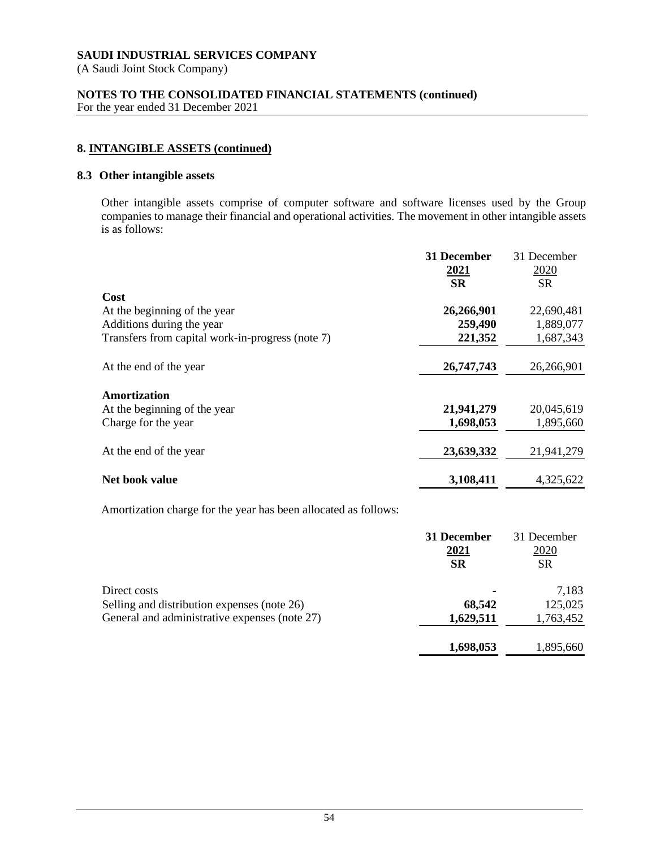(A Saudi Joint Stock Company)

# **NOTES TO THE CONSOLIDATED FINANCIAL STATEMENTS (continued)**

For the year ended 31 December 2021

# **8. INTANGIBLE ASSETS (continued)**

### **8.3 Other intangible assets**

Other intangible assets comprise of computer software and software licenses used by the Group companies to manage their financial and operational activities. The movement in other intangible assets is as follows:

|                                                  | 31 December | 31 December |
|--------------------------------------------------|-------------|-------------|
|                                                  | <u>2021</u> | 2020        |
|                                                  | <b>SR</b>   | <b>SR</b>   |
| Cost                                             |             |             |
| At the beginning of the year                     | 26,266,901  | 22,690,481  |
| Additions during the year                        | 259,490     | 1,889,077   |
| Transfers from capital work-in-progress (note 7) | 221,352     | 1,687,343   |
| At the end of the year                           | 26,747,743  | 26,266,901  |
| Amortization                                     |             |             |
| At the beginning of the year                     | 21,941,279  | 20,045,619  |
| Charge for the year                              | 1,698,053   | 1,895,660   |
| At the end of the year                           | 23,639,332  | 21,941,279  |
| Net book value                                   | 3,108,411   | 4,325,622   |

Amortization charge for the year has been allocated as follows:

|                                               | 31 December | 31 December |
|-----------------------------------------------|-------------|-------------|
|                                               | <u>2021</u> | <u>2020</u> |
|                                               | SR          | SR          |
| Direct costs                                  | ٠           | 7,183       |
| Selling and distribution expenses (note 26)   | 68,542      | 125,025     |
| General and administrative expenses (note 27) | 1,629,511   | 1,763,452   |
|                                               | 1,698,053   | 1,895,660   |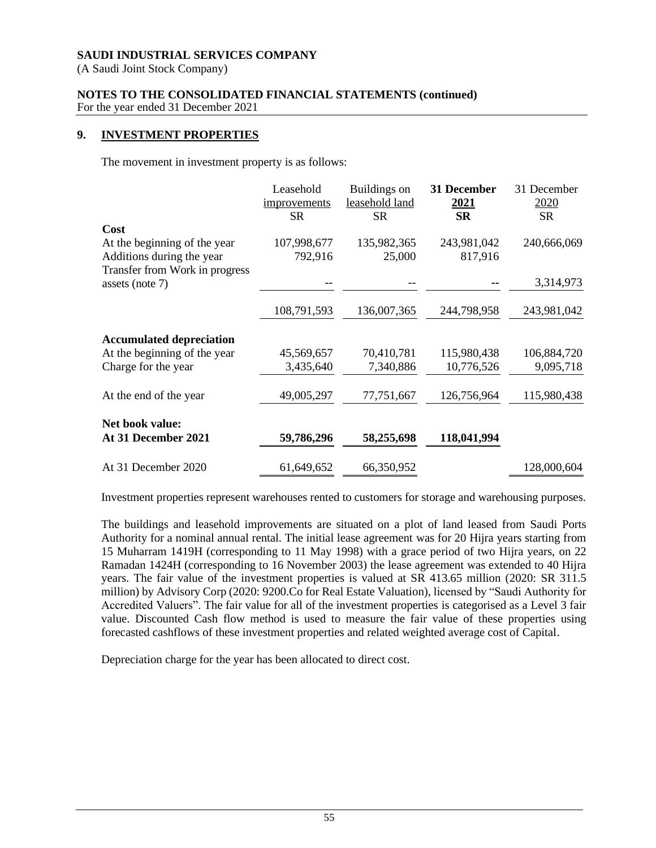(A Saudi Joint Stock Company)

# **NOTES TO THE CONSOLIDATED FINANCIAL STATEMENTS (continued)**

For the year ended 31 December 2021

### **9. INVESTMENT PROPERTIES**

The movement in investment property is as follows:

|                                                                                                     | Leasehold<br>improvements<br><b>SR</b> | Buildings on<br>leasehold land<br><b>SR</b> | 31 December<br><u>2021</u><br><b>SR</b> | 31 December<br>2020<br><b>SR</b> |
|-----------------------------------------------------------------------------------------------------|----------------------------------------|---------------------------------------------|-----------------------------------------|----------------------------------|
| Cost<br>At the beginning of the year<br>Additions during the year<br>Transfer from Work in progress | 107,998,677<br>792,916                 | 135,982,365<br>25,000                       | 243,981,042<br>817,916                  | 240,666,069                      |
| assets (note 7)                                                                                     |                                        |                                             |                                         | 3,314,973                        |
|                                                                                                     | 108,791,593                            | 136,007,365                                 | 244,798,958                             | 243,981,042                      |
| <b>Accumulated depreciation</b>                                                                     |                                        |                                             |                                         |                                  |
| At the beginning of the year                                                                        | 45,569,657                             | 70,410,781                                  | 115,980,438                             | 106,884,720                      |
| Charge for the year                                                                                 | 3,435,640                              | 7,340,886                                   | 10,776,526                              | 9,095,718                        |
| At the end of the year                                                                              | 49,005,297                             | 77,751,667                                  | 126,756,964                             | 115,980,438                      |
| Net book value:<br>At 31 December 2021                                                              | 59,786,296                             | 58,255,698                                  | 118,041,994                             |                                  |
| At 31 December 2020                                                                                 | 61,649,652                             | 66,350,952                                  |                                         | 128,000,604                      |

Investment properties represent warehouses rented to customers for storage and warehousing purposes.

The buildings and leasehold improvements are situated on a plot of land leased from Saudi Ports Authority for a nominal annual rental. The initial lease agreement was for 20 Hijra years starting from 15 Muharram 1419H (corresponding to 11 May 1998) with a grace period of two Hijra years, on 22 Ramadan 1424H (corresponding to 16 November 2003) the lease agreement was extended to 40 Hijra years. The fair value of the investment properties is valued at SR 413.65 million (2020: SR 311.5 million) by Advisory Corp (2020: 9200.Co for Real Estate Valuation), licensed by "Saudi Authority for Accredited Valuers". The fair value for all of the investment properties is categorised as a Level 3 fair value. Discounted Cash flow method is used to measure the fair value of these properties using forecasted cashflows of these investment properties and related weighted average cost of Capital.

Depreciation charge for the year has been allocated to direct cost.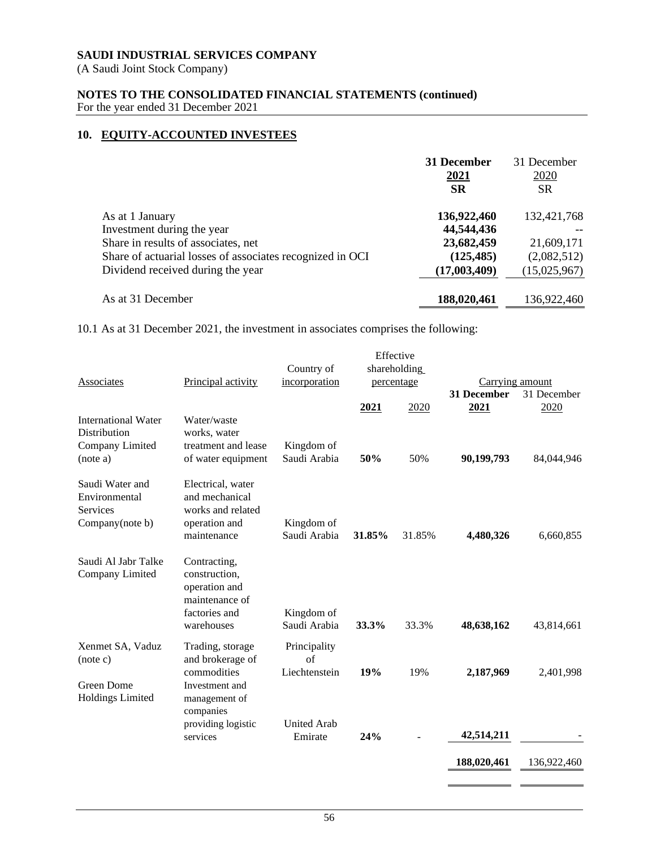(A Saudi Joint Stock Company)

**NOTES TO THE CONSOLIDATED FINANCIAL STATEMENTS (continued)**

# For the year ended 31 December 2021

# **10. EQUITY-ACCOUNTED INVESTEES**

|                                                           | 31 December  | 31 December  |
|-----------------------------------------------------------|--------------|--------------|
|                                                           | 2021         | 2020         |
|                                                           | <b>SR</b>    | <b>SR</b>    |
| As at 1 January                                           | 136,922,460  | 132,421,768  |
| Investment during the year                                | 44,544,436   |              |
| Share in results of associates, net                       | 23,682,459   | 21,609,171   |
| Share of actuarial losses of associates recognized in OCI | (125, 485)   | (2,082,512)  |
| Dividend received during the year                         | (17,003,409) | (15,025,967) |
| As at 31 December                                         | 188,020,461  | 136,922,460  |

10.1 As at 31 December 2021, the investment in associates comprises the following:

| shareholding<br>Country of                                                                                                                                                                                           |                            |
|----------------------------------------------------------------------------------------------------------------------------------------------------------------------------------------------------------------------|----------------------------|
|                                                                                                                                                                                                                      |                            |
| Principal activity<br>incorporation<br><b>Associates</b><br>percentage                                                                                                                                               | Carrying amount            |
|                                                                                                                                                                                                                      | 31 December<br>31 December |
| 2020<br>2021                                                                                                                                                                                                         | 2021<br>2020               |
| International Water<br>Water/waste<br><b>Distribution</b><br>works, water<br>Company Limited<br>treatment and lease<br>Kingdom of<br>Saudi Arabia<br>50%<br>50%<br>(note a)<br>of water equipment                    | 90,199,793<br>84,044,946   |
| Saudi Water and<br>Electrical, water<br>and mechanical<br>Environmental<br>works and related<br><b>Services</b><br>operation and<br>Company(note b)<br>Kingdom of<br>Saudi Arabia<br>31.85%<br>31.85%<br>maintenance | 4,480,326<br>6,660,855     |
| Saudi Al Jabr Talke<br>Contracting,<br>Company Limited<br>construction,<br>operation and<br>maintenance of<br>factories and<br>Kingdom of<br>Saudi Arabia<br>33.3%<br>33.3%<br>warehouses                            | 48,638,162<br>43,814,661   |
| Xenmet SA, Vaduz<br>Trading, storage<br>Principality<br>and brokerage of<br>of<br>(note c)                                                                                                                           |                            |
| 19%<br>commodities<br>Liechtenstein<br>19%<br>Green Dome<br>Investment and<br><b>Holdings Limited</b><br>management of<br>companies                                                                                  | 2,187,969<br>2,401,998     |
| providing logistic<br><b>United Arab</b><br>24%<br>services<br>Emirate                                                                                                                                               | 42,514,211                 |
|                                                                                                                                                                                                                      | 188,020,461<br>136,922,460 |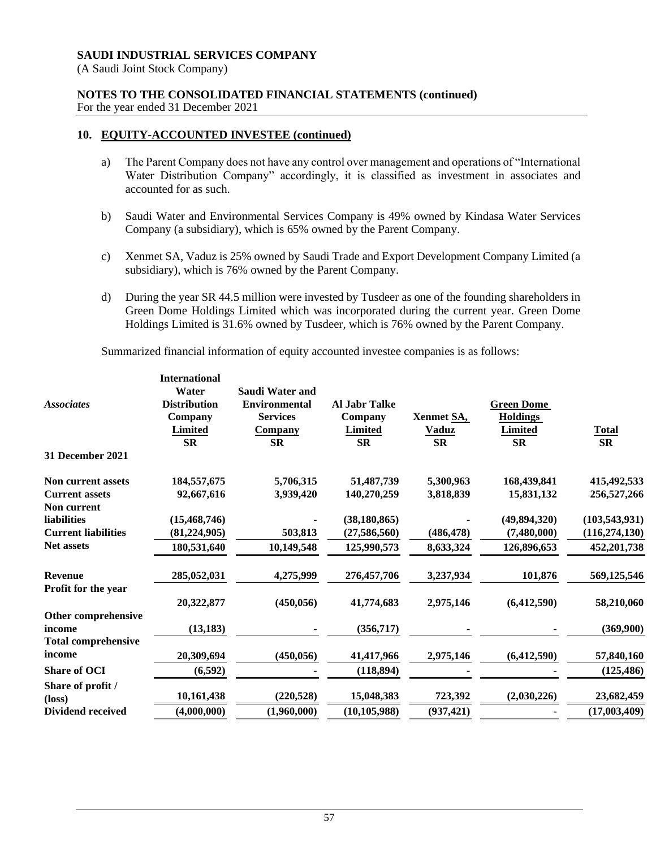(A Saudi Joint Stock Company)

# **NOTES TO THE CONSOLIDATED FINANCIAL STATEMENTS (continued)**

For the year ended 31 December 2021

# **10. EQUITY-ACCOUNTED INVESTEE (continued)**

- a) The Parent Company does not have any control over management and operations of "International Water Distribution Company" accordingly, it is classified as investment in associates and accounted for as such.
- b) Saudi Water and Environmental Services Company is 49% owned by Kindasa Water Services Company (a subsidiary), which is 65% owned by the Parent Company.
- c) Xenmet SA, Vaduz is 25% owned by Saudi Trade and Export Development Company Limited (a subsidiary), which is 76% owned by the Parent Company.
- d) During the year SR 44.5 million were invested by Tusdeer as one of the founding shareholders in Green Dome Holdings Limited which was incorporated during the current year. Green Dome Holdings Limited is 31.6% owned by Tusdeer, which is 76% owned by the Parent Company.

Summarized financial information of equity accounted investee companies is as follows:

|                            | <b>International</b> |                      |                      |              |                   |                 |
|----------------------------|----------------------|----------------------|----------------------|--------------|-------------------|-----------------|
|                            | Water                | Saudi Water and      |                      |              |                   |                 |
| <b>Associates</b>          | <b>Distribution</b>  | <b>Environmental</b> | <b>Al Jahr Talke</b> |              | <b>Green Dome</b> |                 |
|                            | Company              | <b>Services</b>      | Company              | Xenmet SA,   | <b>Holdings</b>   |                 |
|                            | Limited              | <b>Company</b>       | Limited              | <b>Vaduz</b> | Limited           | <b>Total</b>    |
|                            | <b>SR</b>            | <b>SR</b>            | <b>SR</b>            | <b>SR</b>    | <b>SR</b>         | <b>SR</b>       |
| <b>31 December 2021</b>    |                      |                      |                      |              |                   |                 |
| Non current assets         | 184,557,675          | 5,706,315            | 51,487,739           | 5,300,963    | 168,439,841       | 415, 492, 533   |
| <b>Current assets</b>      | 92,667,616           | 3,939,420            | 140,270,259          | 3,818,839    | 15,831,132        | 256,527,266     |
| Non current                |                      |                      |                      |              |                   |                 |
| liabilities                | (15, 468, 746)       |                      | (38, 180, 865)       |              | (49, 894, 320)    | (103, 543, 931) |
| <b>Current liabilities</b> | (81, 224, 905)       | 503,813              | (27, 586, 560)       | (486, 478)   | (7,480,000)       | (116, 274, 130) |
| <b>Net assets</b>          | 180,531,640          | 10,149,548           | 125,990,573          | 8,633,324    | 126,896,653       | 452,201,738     |
| <b>Revenue</b>             |                      |                      |                      |              |                   |                 |
|                            | 285,052,031          | 4,275,999            | 276,457,706          | 3,237,934    | 101,876           | 569,125,546     |
| Profit for the year        |                      |                      |                      |              |                   |                 |
|                            | 20,322,877           | (450, 056)           | 41,774,683           | 2,975,146    | (6,412,590)       | 58,210,060      |
| Other comprehensive        |                      |                      |                      |              |                   |                 |
| income                     | (13, 183)            |                      | (356, 717)           |              |                   | (369,900)       |
| <b>Total comprehensive</b> |                      |                      |                      |              |                   |                 |
| income                     | 20,309,694           | (450, 056)           | 41,417,966           | 2,975,146    | (6,412,590)       | 57,840,160      |
| <b>Share of OCI</b>        | (6, 592)             |                      | (118, 894)           |              |                   | (125, 486)      |
| Share of profit /          |                      |                      |                      |              |                   |                 |
| $(\text{loss})$            | 10,161,438           | (220, 528)           | 15,048,383           | 723,392      | (2,030,226)       | 23,682,459      |
| <b>Dividend received</b>   | (4.000.000)          | (1,960,000)          | (10, 105, 988)       | (937, 421)   |                   | (17,003,409)    |
|                            |                      |                      |                      |              |                   |                 |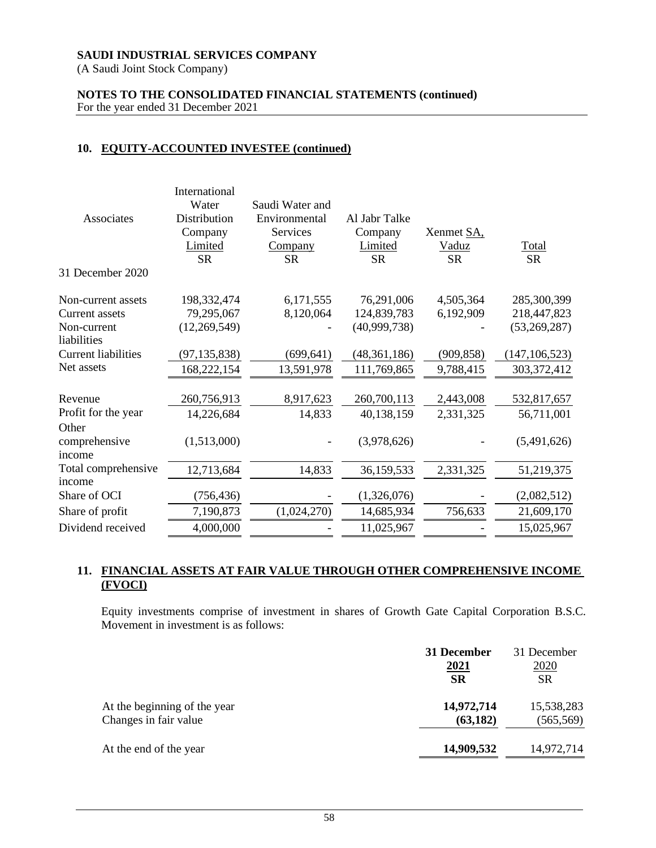(A Saudi Joint Stock Company)

### **NOTES TO THE CONSOLIDATED FINANCIAL STATEMENTS (continued)** For the year ended 31 December 2021

### **10. EQUITY-ACCOUNTED INVESTEE (continued)**

| Associates                       | International<br>Water<br>Distribution<br>Company<br>Limited<br><b>SR</b> | Saudi Water and<br>Environmental<br>Services<br><b>Company</b><br>SR | Al Jabr Talke<br>Company<br><b>Limited</b><br>SR | Xenmet SA,<br><u>Vaduz</u><br><b>SR</b> | <b>Total</b><br><b>SR</b> |
|----------------------------------|---------------------------------------------------------------------------|----------------------------------------------------------------------|--------------------------------------------------|-----------------------------------------|---------------------------|
| 31 December 2020                 |                                                                           |                                                                      |                                                  |                                         |                           |
| Non-current assets               | 198,332,474                                                               | 6,171,555                                                            | 76,291,006                                       | 4,505,364                               | 285,300,399               |
| <b>Current assets</b>            | 79,295,067                                                                | 8,120,064                                                            | 124,839,783                                      | 6,192,909                               | 218,447,823               |
| Non-current<br>liabilities       | (12,269,549)                                                              |                                                                      | (40,999,738)                                     |                                         | (53,269,287)              |
| <b>Current liabilities</b>       | (97, 135, 838)                                                            | (699, 641)                                                           | (48, 361, 186)                                   | (909, 858)                              | (147, 106, 523)           |
| Net assets                       | 168,222,154                                                               | 13,591,978                                                           | 111,769,865                                      | 9,788,415                               | 303, 372, 412             |
| Revenue                          | 260,756,913                                                               | 8,917,623                                                            | 260,700,113                                      | 2,443,008                               | 532,817,657               |
| Profit for the year              | 14,226,684                                                                | 14,833                                                               | 40,138,159                                       | 2,331,325                               | 56,711,001                |
| Other<br>comprehensive<br>income | (1,513,000)                                                               |                                                                      | (3,978,626)                                      |                                         | (5,491,626)               |
| Total comprehensive              | 12,713,684                                                                | 14,833                                                               | 36,159,533                                       | 2,331,325                               | 51,219,375                |
| income                           |                                                                           |                                                                      |                                                  |                                         |                           |
| Share of OCI                     | (756, 436)                                                                |                                                                      | (1,326,076)                                      |                                         | (2,082,512)               |
| Share of profit                  | 7,190,873                                                                 | (1,024,270)                                                          | 14,685,934                                       | 756,633                                 | 21,609,170                |
| Dividend received                | 4,000,000                                                                 |                                                                      | 11,025,967                                       |                                         | 15,025,967                |

### **11. FINANCIAL ASSETS AT FAIR VALUE THROUGH OTHER COMPREHENSIVE INCOME (FVOCI)**

Equity investments comprise of investment in shares of Growth Gate Capital Corporation B.S.C. Movement in investment is as follows:

|                              | 31 December<br><u>2021</u><br><b>SR</b> | 31 December<br>2020<br><b>SR</b> |
|------------------------------|-----------------------------------------|----------------------------------|
| At the beginning of the year | 14,972,714                              | 15,538,283                       |
| Changes in fair value        | (63, 182)                               | (565, 569)                       |
| At the end of the year       | 14,909,532                              | 14,972,714                       |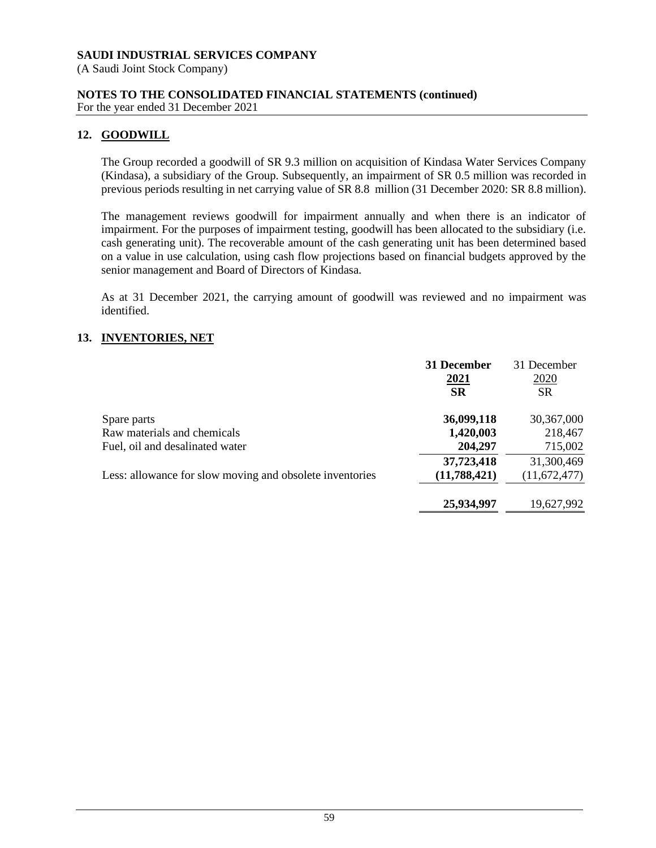(A Saudi Joint Stock Company)

**NOTES TO THE CONSOLIDATED FINANCIAL STATEMENTS (continued)** For the year ended 31 December 2021

# **12. GOODWILL**

The Group recorded a goodwill of SR 9.3 million on acquisition of Kindasa Water Services Company (Kindasa), a subsidiary of the Group. Subsequently, an impairment of SR 0.5 million was recorded in previous periods resulting in net carrying value of SR 8.8 million (31 December 2020: SR 8.8 million).

The management reviews goodwill for impairment annually and when there is an indicator of impairment. For the purposes of impairment testing, goodwill has been allocated to the subsidiary (i.e. cash generating unit). The recoverable amount of the cash generating unit has been determined based on a value in use calculation, using cash flow projections based on financial budgets approved by the senior management and Board of Directors of Kindasa.

As at 31 December 2021, the carrying amount of goodwill was reviewed and no impairment was identified.

# **13. INVENTORIES, NET**

|                                                          | 31 December<br>2021 | 31 December<br>2020 |
|----------------------------------------------------------|---------------------|---------------------|
|                                                          | <b>SR</b>           | <b>SR</b>           |
| Spare parts                                              | 36,099,118          | 30,367,000          |
| Raw materials and chemicals                              | 1,420,003           | 218,467             |
| Fuel, oil and desalinated water                          | 204,297             | 715,002             |
|                                                          | 37,723,418          | 31,300,469          |
| Less: allowance for slow moving and obsolete inventories | (11,788,421)        | (11,672,477)        |
|                                                          | 25,934,997          | 19,627,992          |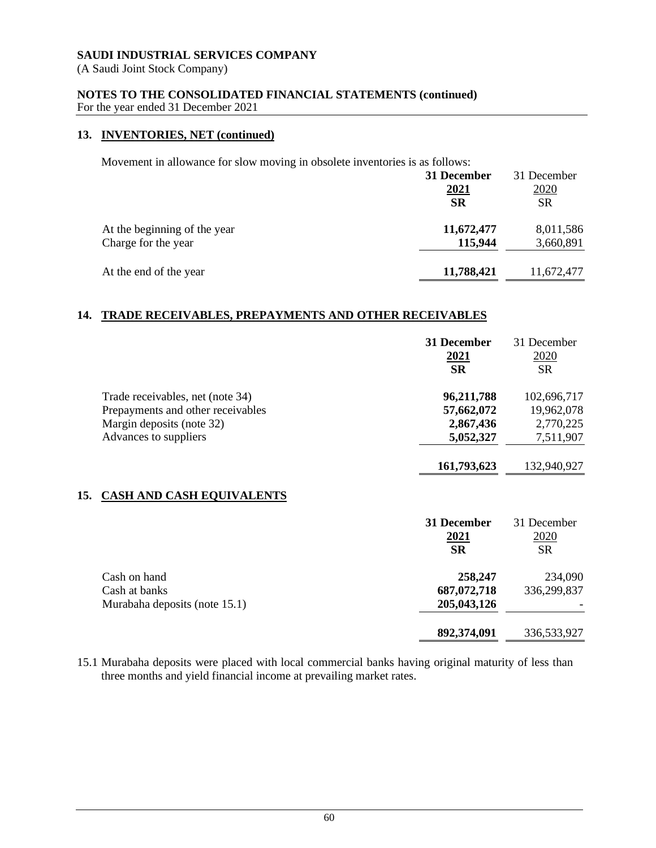(A Saudi Joint Stock Company)

# **NOTES TO THE CONSOLIDATED FINANCIAL STATEMENTS (continued)**

For the year ended 31 December 2021

### **13. INVENTORIES, NET (continued)**

Movement in allowance for slow moving in obsolete inventories is as follows:

|                              | 31 December       | 31 December       |
|------------------------------|-------------------|-------------------|
|                              | 2021<br><b>SR</b> | 2020<br><b>SR</b> |
| At the beginning of the year | 11,672,477        | 8,011,586         |
| Charge for the year          | 115,944           | 3,660,891         |
| At the end of the year       | 11,788,421        | 11,672,477        |

# **14. TRADE RECEIVABLES, PREPAYMENTS AND OTHER RECEIVABLES**

|     |                                                                                                    | 31 December<br><u>2021</u><br><b>SR</b> | 31 December<br>2020<br><b>SR</b>       |
|-----|----------------------------------------------------------------------------------------------------|-----------------------------------------|----------------------------------------|
|     | Trade receivables, net (note 34)<br>Prepayments and other receivables<br>Margin deposits (note 32) | 96,211,788<br>57,662,072<br>2,867,436   | 102,696,717<br>19,962,078<br>2,770,225 |
|     | Advances to suppliers                                                                              | 5,052,327<br>161,793,623                | 7,511,907<br>132,940,927               |
| 15. | <b>CASH AND CASH EQUIVALENTS</b>                                                                   |                                         |                                        |
|     |                                                                                                    | 31 December<br><u>2021</u><br><b>SR</b> | 31 December<br>2020<br><b>SR</b>       |
|     | Cash on hand<br>Cash at banks<br>Murabaha deposits (note 15.1)                                     | 258,247<br>687,072,718<br>205,043,126   | 234,090<br>336,299,837                 |

15.1 Murabaha deposits were placed with local commercial banks having original maturity of less than three months and yield financial income at prevailing market rates.

**892,374,091** 336,533,927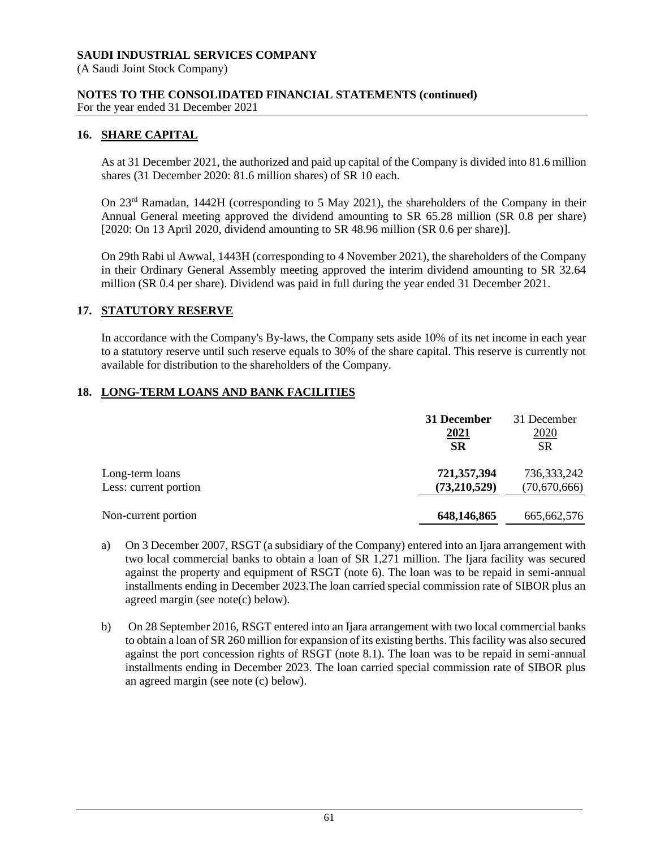(A Saudi Joint Stock Company)

# **NOTES TO THE CONSOLIDATED FINANCIAL STATEMENTS (continued)**

For the year ended 31 December 2021

# **16. SHARE CAPITAL**

As at 31 December 2021, the authorized and paid up capital of the Company is divided into 81.6 million shares (31 December 2020: 81.6 million shares) of SR 10 each.

On 23rd Ramadan, 1442H (corresponding to 5 May 2021), the shareholders of the Company in their Annual General meeting approved the dividend amounting to SR 65.28 million (SR 0.8 per share) [2020: On 13 April 2020, dividend amounting to SR 48.96 million (SR 0.6 per share)].

On 29th Rabi ul Awwal, 1443H (corresponding to 4 November 2021), the shareholders of the Company in their Ordinary General Assembly meeting approved the interim dividend amounting to SR 32.64 million (SR 0.4 per share). Dividend was paid in full during the year ended 31 December 2021.

# **17. STATUTORY RESERVE**

In accordance with the Company's By-laws, the Company sets aside 10% of its net income in each year to a statutory reserve until such reserve equals to 30% of the share capital. This reserve is currently not available for distribution to the shareholders of the Company.

# **18. LONG-TERM LOANS AND BANK FACILITIES**

|                       | 31 December<br><u>2021</u><br><b>SR</b> | 31 December<br><u>2020</u><br><b>SR</b> |
|-----------------------|-----------------------------------------|-----------------------------------------|
| Long-term loans       | 721,357,394                             | 736,333,242                             |
| Less: current portion | (73,210,529)                            | (70,670,666)                            |
| Non-current portion   | 648,146,865                             | 665, 662, 576                           |

- a) On 3 December 2007, RSGT (a subsidiary of the Company) entered into an Ijara arrangement with two local commercial banks to obtain a loan of SR 1,271 million. The Ijara facility was secured against the property and equipment of RSGT (note 6). The loan was to be repaid in semi-annual installments ending in December 2023.The loan carried special commission rate of SIBOR plus an agreed margin (see note(c) below).
- b) On 28 September 2016, RSGT entered into an Ijara arrangement with two local commercial banks to obtain a loan of SR 260 million for expansion of its existing berths. This facility was also secured against the port concession rights of RSGT (note 8.1). The loan was to be repaid in semi-annual installments ending in December 2023. The loan carried special commission rate of SIBOR plus an agreed margin (see note (c) below).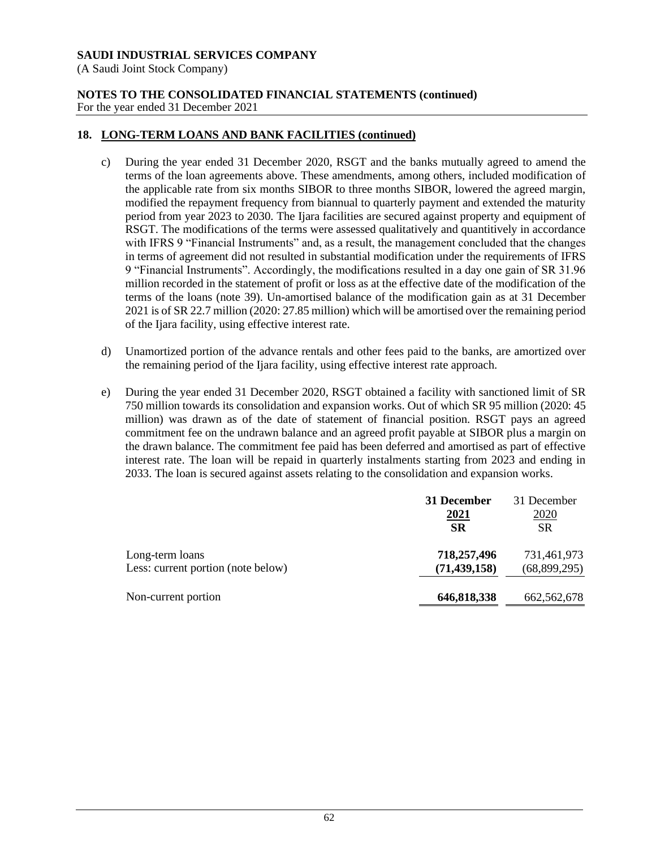(A Saudi Joint Stock Company)

### **NOTES TO THE CONSOLIDATED FINANCIAL STATEMENTS (continued)** For the year ended 31 December 2021

# **18. LONG-TERM LOANS AND BANK FACILITIES (continued)**

- c) During the year ended 31 December 2020, RSGT and the banks mutually agreed to amend the terms of the loan agreements above. These amendments, among others, included modification of the applicable rate from six months SIBOR to three months SIBOR, lowered the agreed margin, modified the repayment frequency from biannual to quarterly payment and extended the maturity period from year 2023 to 2030. The Ijara facilities are secured against property and equipment of RSGT. The modifications of the terms were assessed qualitatively and quantitively in accordance with IFRS 9 "Financial Instruments" and, as a result, the management concluded that the changes in terms of agreement did not resulted in substantial modification under the requirements of IFRS 9 "Financial Instruments". Accordingly, the modifications resulted in a day one gain of SR 31.96 million recorded in the statement of profit or loss as at the effective date of the modification of the terms of the loans (note 39). Un-amortised balance of the modification gain as at 31 December 2021 is of SR 22.7 million (2020: 27.85 million) which will be amortised over the remaining period of the Ijara facility, using effective interest rate.
- d) Unamortized portion of the advance rentals and other fees paid to the banks, are amortized over the remaining period of the Ijara facility, using effective interest rate approach.
- e) During the year ended 31 December 2020, RSGT obtained a facility with sanctioned limit of SR 750 million towards its consolidation and expansion works. Out of which SR 95 million (2020: 45 million) was drawn as of the date of statement of financial position. RSGT pays an agreed commitment fee on the undrawn balance and an agreed profit payable at SIBOR plus a margin on the drawn balance. The commitment fee paid has been deferred and amortised as part of effective interest rate. The loan will be repaid in quarterly instalments starting from 2023 and ending in 2033. The loan is secured against assets relating to the consolidation and expansion works.

|                                    | 31 December    | 31 December  |
|------------------------------------|----------------|--------------|
|                                    | <u>2021</u>    | <u>2020</u>  |
|                                    | <b>SR</b>      | <b>SR</b>    |
| Long-term loans                    | 718,257,496    | 731,461,973  |
| Less: current portion (note below) | (71, 439, 158) | (68,899,295) |
| Non-current portion                | 646,818,338    | 662,562,678  |
|                                    |                |              |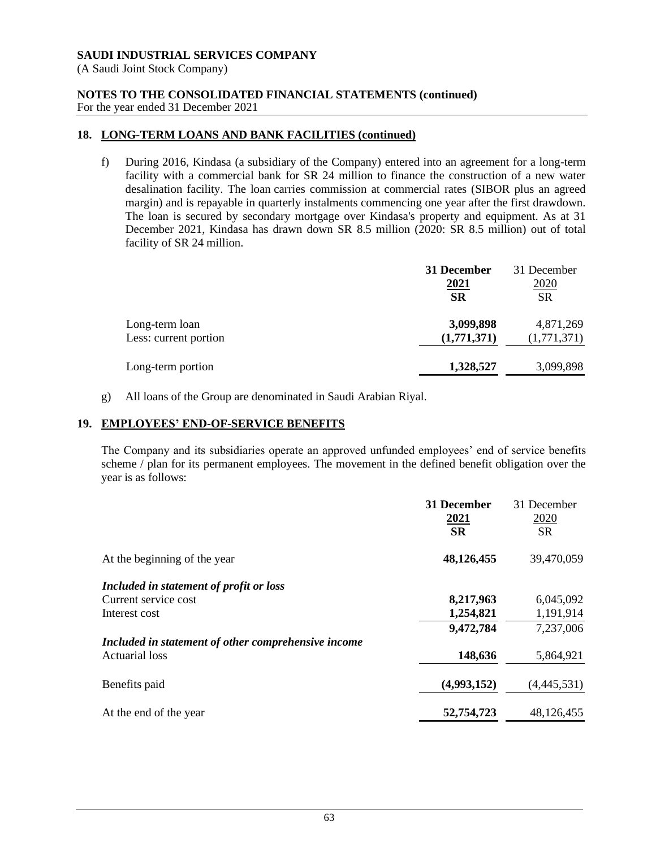(A Saudi Joint Stock Company)

### **NOTES TO THE CONSOLIDATED FINANCIAL STATEMENTS (continued)** For the year ended 31 December 2021

# **18. LONG-TERM LOANS AND BANK FACILITIES (continued)**

f) During 2016, Kindasa (a subsidiary of the Company) entered into an agreement for a long-term facility with a commercial bank for SR 24 million to finance the construction of a new water desalination facility. The loan carries commission at commercial rates (SIBOR plus an agreed margin) and is repayable in quarterly instalments commencing one year after the first drawdown. The loan is secured by secondary mortgage over Kindasa's property and equipment. As at 31 December 2021, Kindasa has drawn down SR 8.5 million (2020: SR 8.5 million) out of total facility of SR 24 million.

|                       | 31 December | 31 December |
|-----------------------|-------------|-------------|
|                       | 2021        | 2020        |
|                       | <b>SR</b>   | <b>SR</b>   |
| Long-term loan        | 3,099,898   | 4,871,269   |
| Less: current portion | (1,771,371) | (1,771,371) |
| Long-term portion     | 1,328,527   | 3,099,898   |
|                       |             |             |

g) All loans of the Group are denominated in Saudi Arabian Riyal.

### **19. EMPLOYEES' END-OF-SERVICE BENEFITS**

The Company and its subsidiaries operate an approved unfunded employees' end of service benefits scheme / plan for its permanent employees. The movement in the defined benefit obligation over the year is as follows:

|                                                     | <b>31 December</b><br><u>2021</u> | 31 December<br>2020 |
|-----------------------------------------------------|-----------------------------------|---------------------|
|                                                     | <b>SR</b>                         | <b>SR</b>           |
| At the beginning of the year                        | 48,126,455                        | 39,470,059          |
| Included in statement of profit or loss             |                                   |                     |
| Current service cost                                | 8,217,963                         | 6,045,092           |
| Interest cost                                       | 1,254,821                         | 1,191,914           |
|                                                     | 9,472,784                         | 7,237,006           |
| Included in statement of other comprehensive income |                                   |                     |
| Actuarial loss                                      | 148,636                           | 5,864,921           |
| Benefits paid                                       | (4,993,152)                       | (4,445,531)         |
| At the end of the year                              | 52,754,723                        | 48,126,455          |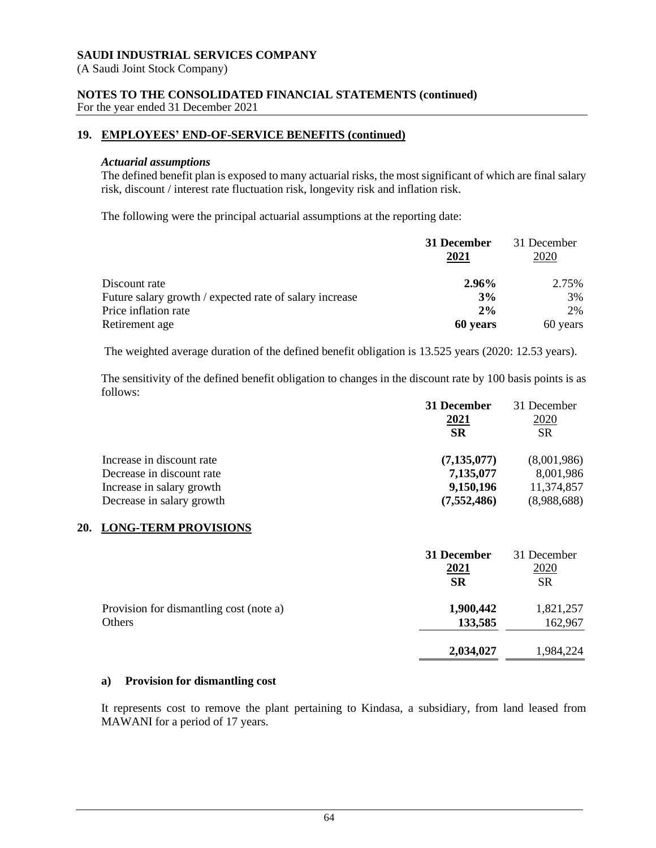(A Saudi Joint Stock Company)

# **NOTES TO THE CONSOLIDATED FINANCIAL STATEMENTS (continued)**

For the year ended 31 December 2021

# **19. EMPLOYEES' END-OF-SERVICE BENEFITS (continued)**

### *Actuarial assumptions*

The defined benefit plan is exposed to many actuarial risks, the most significant of which are final salary risk, discount / interest rate fluctuation risk, longevity risk and inflation risk.

The following were the principal actuarial assumptions at the reporting date:

|                                                         | 31 December<br>2021 | 31 December<br>2020 |
|---------------------------------------------------------|---------------------|---------------------|
| Discount rate                                           | 2.96%               | 2.75%               |
| Future salary growth / expected rate of salary increase | 3%                  | 3%                  |
| Price inflation rate                                    | 2%                  | 2%                  |
| Retirement age                                          | 60 years            | 60 years            |

The weighted average duration of the defined benefit obligation is 13.525 years (2020: 12.53 years).

The sensitivity of the defined benefit obligation to changes in the discount rate by 100 basis points is as follows:

|                           | 31 December   | 31 December |
|---------------------------|---------------|-------------|
|                           | <u>2021</u>   | <u>2020</u> |
|                           | <b>SR</b>     | <b>SR</b>   |
| Increase in discount rate | (7, 135, 077) | (8,001,986) |
| Decrease in discount rate | 7,135,077     | 8,001,986   |
| Increase in salary growth | 9,150,196     | 11,374,857  |
| Decrease in salary growth | (7, 552, 486) | (8,988,688) |

### **20. LONG-TERM PROVISIONS**

|                                         | 31 December<br>2021<br><b>SR</b> | 31 December<br>2020<br><b>SR</b> |
|-----------------------------------------|----------------------------------|----------------------------------|
| Provision for dismantling cost (note a) | 1,900,442                        | 1,821,257                        |
| Others                                  | 133,585                          | 162,967                          |
|                                         | 2,034,027                        | 1,984,224                        |

### **a) Provision for dismantling cost**

It represents cost to remove the plant pertaining to Kindasa, a subsidiary, from land leased from MAWANI for a period of 17 years.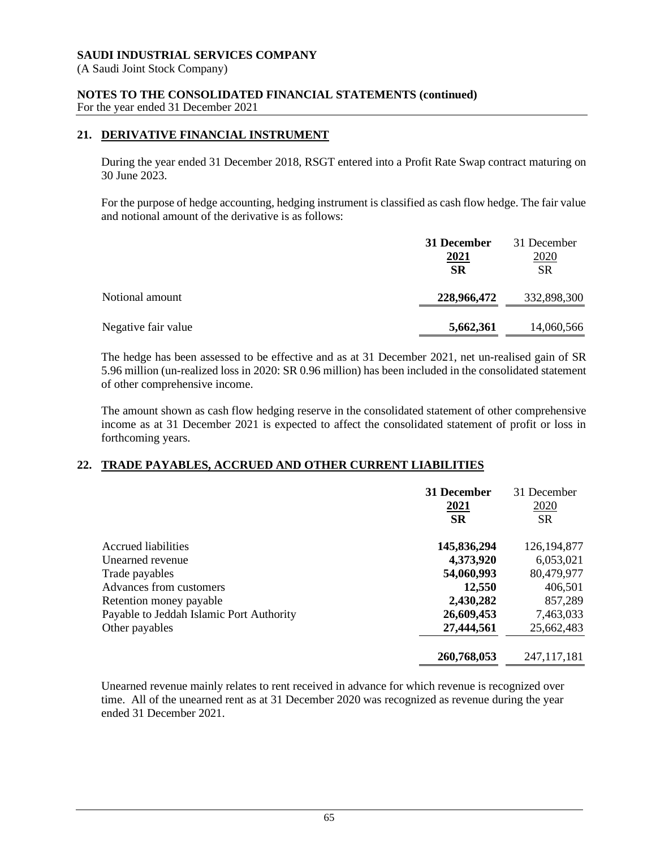(A Saudi Joint Stock Company)

# **NOTES TO THE CONSOLIDATED FINANCIAL STATEMENTS (continued)**

For the year ended 31 December 2021

# **21. DERIVATIVE FINANCIAL INSTRUMENT**

During the year ended 31 December 2018, RSGT entered into a Profit Rate Swap contract maturing on 30 June 2023.

For the purpose of hedge accounting, hedging instrument is classified as cash flow hedge. The fair value and notional amount of the derivative is as follows:

|                     | 31 December<br><u>2021</u><br><b>SR</b> | 31 December<br><u>2020</u><br><b>SR</b> |
|---------------------|-----------------------------------------|-----------------------------------------|
| Notional amount     | 228,966,472                             | 332,898,300                             |
| Negative fair value | 5,662,361                               | 14,060,566                              |

The hedge has been assessed to be effective and as at 31 December 2021, net un-realised gain of SR 5.96 million (un-realized loss in 2020: SR 0.96 million) has been included in the consolidated statement of other comprehensive income.

The amount shown as cash flow hedging reserve in the consolidated statement of other comprehensive income as at 31 December 2021 is expected to affect the consolidated statement of profit or loss in forthcoming years.

# **22. TRADE PAYABLES, ACCRUED AND OTHER CURRENT LIABILITIES**

|                                          | 31 December<br><u>2021</u><br><b>SR</b> | 31 December<br>2020<br><b>SR</b> |
|------------------------------------------|-----------------------------------------|----------------------------------|
| <b>Accrued liabilities</b>               | 145,836,294                             | 126, 194, 877                    |
| Unearned revenue                         | 4,373,920                               | 6,053,021                        |
| Trade payables                           | 54,060,993                              | 80,479,977                       |
| Advances from customers                  | 12,550                                  | 406,501                          |
| Retention money payable                  | 2,430,282                               | 857,289                          |
| Payable to Jeddah Islamic Port Authority | 26,609,453                              | 7,463,033                        |
| Other payables                           | 27,444,561                              | 25,662,483                       |
|                                          | 260,768,053                             | 247, 117, 181                    |

Unearned revenue mainly relates to rent received in advance for which revenue is recognized over time. All of the unearned rent as at 31 December 2020 was recognized as revenue during the year ended 31 December 2021.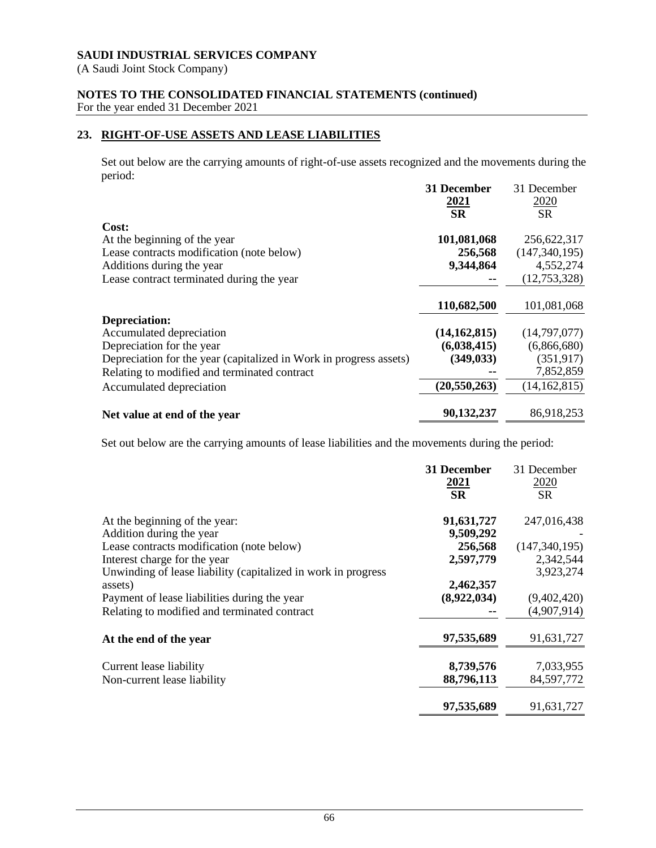(A Saudi Joint Stock Company)

# **NOTES TO THE CONSOLIDATED FINANCIAL STATEMENTS (continued)**

For the year ended 31 December 2021

# **23. RIGHT-OF-USE ASSETS AND LEASE LIABILITIES**

Set out below are the carrying amounts of right-of-use assets recognized and the movements during the period:

|                                                                    | 31 December<br><u>2021</u> | 31 December<br>2020 |
|--------------------------------------------------------------------|----------------------------|---------------------|
|                                                                    | <b>SR</b>                  | <b>SR</b>           |
| Cost:                                                              |                            |                     |
| At the beginning of the year                                       | 101,081,068                | 256,622,317         |
| Lease contracts modification (note below)                          | 256,568                    | (147, 340, 195)     |
| Additions during the year                                          | 9,344,864                  | 4,552,274           |
| Lease contract terminated during the year                          |                            | (12,753,328)        |
|                                                                    | 110,682,500                | 101,081,068         |
| Depreciation:                                                      |                            |                     |
| Accumulated depreciation                                           | (14, 162, 815)             | (14,797,077)        |
| Depreciation for the year                                          | (6,038,415)                | (6,866,680)         |
| Depreciation for the year (capitalized in Work in progress assets) | (349, 033)                 | (351, 917)          |
| Relating to modified and terminated contract                       |                            | 7,852,859           |
| Accumulated depreciation                                           | (20, 550, 263)             | (14, 162, 815)      |
| Net value at end of the year                                       | 90,132,237                 | 86,918,253          |

Set out below are the carrying amounts of lease liabilities and the movements during the period:

|                                                               | 31 December<br><u>2021</u><br><b>SR</b> | 31 December<br>2020<br><b>SR</b> |
|---------------------------------------------------------------|-----------------------------------------|----------------------------------|
| At the beginning of the year:                                 | 91,631,727                              | 247,016,438                      |
| Addition during the year                                      | 9,509,292                               |                                  |
| Lease contracts modification (note below)                     | 256,568                                 | (147, 340, 195)                  |
| Interest charge for the year                                  | 2,597,779                               | 2,342,544                        |
| Unwinding of lease liability (capitalized in work in progress |                                         | 3,923,274                        |
| assets)                                                       | 2,462,357                               |                                  |
| Payment of lease liabilities during the year                  | (8,922,034)                             | (9,402,420)                      |
| Relating to modified and terminated contract                  |                                         | (4,907,914)                      |
| At the end of the year                                        | 97,535,689                              | 91,631,727                       |
| Current lease liability                                       | 8,739,576                               | 7,033,955                        |
| Non-current lease liability                                   | 88,796,113                              | 84,597,772                       |
|                                                               | 97,535,689                              | 91,631,727                       |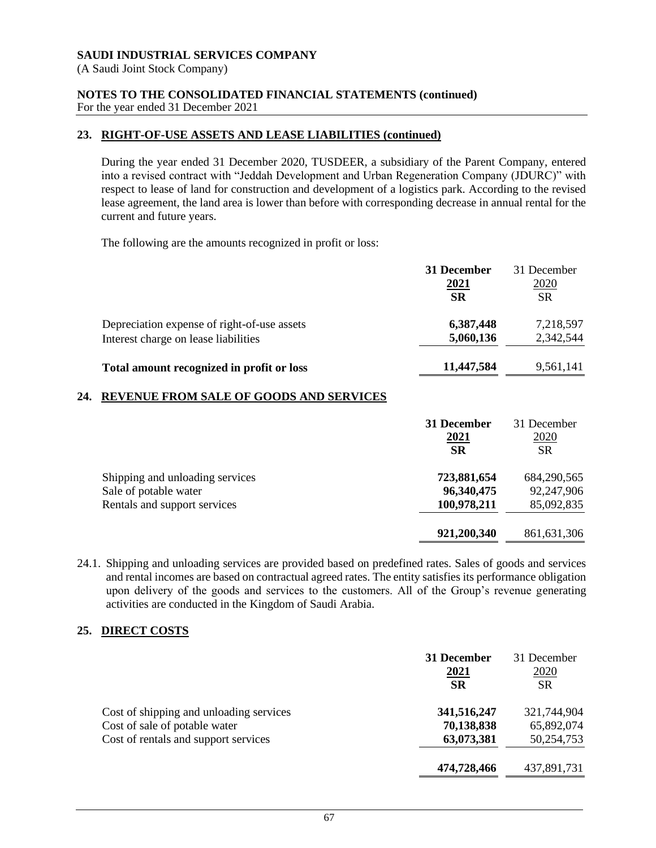(A Saudi Joint Stock Company)

### **NOTES TO THE CONSOLIDATED FINANCIAL STATEMENTS (continued)** For the year ended 31 December 2021

# **23. RIGHT-OF-USE ASSETS AND LEASE LIABILITIES (continued)**

During the year ended 31 December 2020, TUSDEER, a subsidiary of the Parent Company, entered into a revised contract with "Jeddah Development and Urban Regeneration Company (JDURC)" with respect to lease of land for construction and development of a logistics park. According to the revised lease agreement, the land area is lower than before with corresponding decrease in annual rental for the current and future years.

The following are the amounts recognized in profit or loss:

|                                             | 31 December | 31 December |
|---------------------------------------------|-------------|-------------|
|                                             | 2021        | <u>2020</u> |
|                                             | <b>SR</b>   | <b>SR</b>   |
| Depreciation expense of right-of-use assets | 6,387,448   | 7,218,597   |
| Interest charge on lease liabilities        | 5,060,136   | 2,342,544   |
| Total amount recognized in profit or loss   | 11,447,584  | 9,561,141   |

# **24. REVENUE FROM SALE OF GOODS AND SERVICES**

|                                                                                          | 31 December<br>2021<br><b>SR</b>         | 31 December<br>2020<br><b>SR</b>        |
|------------------------------------------------------------------------------------------|------------------------------------------|-----------------------------------------|
| Shipping and unloading services<br>Sale of potable water<br>Rentals and support services | 723,881,654<br>96,340,475<br>100,978,211 | 684,290,565<br>92,247,906<br>85,092,835 |
|                                                                                          | 921,200,340                              | 861, 631, 306                           |

24.1. Shipping and unloading services are provided based on predefined rates. Sales of goods and services and rental incomes are based on contractual agreed rates. The entity satisfies its performance obligation upon delivery of the goods and services to the customers. All of the Group's revenue generating activities are conducted in the Kingdom of Saudi Arabia.

# **25. DIRECT COSTS**

|                                         | 31 December<br>2021<br><b>SR</b> | 31 December<br>2020<br><b>SR</b> |
|-----------------------------------------|----------------------------------|----------------------------------|
| Cost of shipping and unloading services | 341,516,247                      | 321,744,904                      |
| Cost of sale of potable water           | 70,138,838                       | 65,892,074                       |
| Cost of rentals and support services    | 63,073,381                       | 50,254,753                       |
|                                         | 474,728,466                      | 437,891,731                      |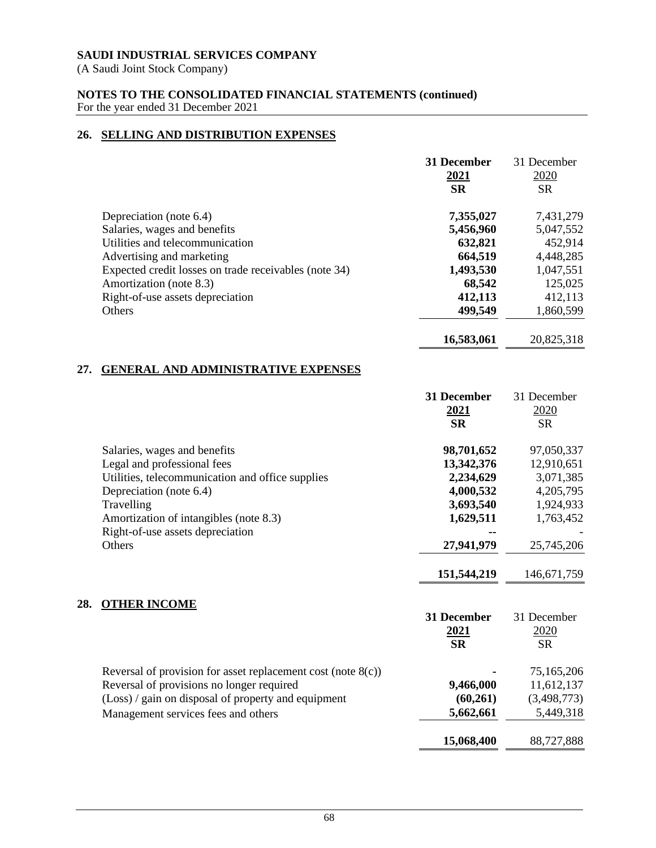(A Saudi Joint Stock Company)

**28.** 

### **NOTES TO THE CONSOLIDATED FINANCIAL STATEMENTS (continued)** For the year ended 31 December 2021

# **26. SELLING AND DISTRIBUTION EXPENSES**

|     |                                                                 | 31 December<br>2021<br><b>SR</b> | 31 December<br>2020<br><b>SR</b> |
|-----|-----------------------------------------------------------------|----------------------------------|----------------------------------|
|     | Depreciation (note 6.4)                                         | 7,355,027                        | 7,431,279                        |
|     | Salaries, wages and benefits                                    | 5,456,960                        | 5,047,552                        |
|     | Utilities and telecommunication                                 | 632,821                          | 452,914                          |
|     | Advertising and marketing                                       | 664,519                          | 4,448,285                        |
|     | Expected credit losses on trade receivables (note 34)           | 1,493,530                        | 1,047,551                        |
|     | Amortization (note 8.3)                                         | 68,542                           | 125,025                          |
|     | Right-of-use assets depreciation                                | 412,113                          | 412,113                          |
|     | Others                                                          | 499,549                          | 1,860,599                        |
|     |                                                                 | 16,583,061                       | 20,825,318                       |
| 27. | <b>GENERAL AND ADMINISTRATIVE EXPENSES</b>                      |                                  |                                  |
|     |                                                                 | 31 December<br>2021<br><b>SR</b> | 31 December<br>2020<br><b>SR</b> |
|     | Salaries, wages and benefits                                    | 98,701,652                       | 97,050,337                       |
|     | Legal and professional fees                                     | 13,342,376                       | 12,910,651                       |
|     | Utilities, telecommunication and office supplies                | 2,234,629                        | 3,071,385                        |
|     | Depreciation (note 6.4)                                         | 4,000,532                        | 4,205,795                        |
|     | Travelling                                                      | 3,693,540                        | 1,924,933                        |
|     | Amortization of intangibles (note 8.3)                          | 1,629,511                        | 1,763,452                        |
|     | Right-of-use assets depreciation                                |                                  |                                  |
|     | Others                                                          | 27,941,979                       | 25,745,206                       |
|     |                                                                 | 151,544,219                      | 146, 671, 759                    |
| 28. | <b>OTHER INCOME</b>                                             |                                  |                                  |
|     |                                                                 | 31 December                      | 31 December                      |
|     |                                                                 | 2021                             | 2020                             |
|     |                                                                 | <b>SR</b>                        | <b>SR</b>                        |
|     | Reversal of provision for asset replacement cost (note $8(c)$ ) |                                  | 75,165,206                       |
|     | Reversal of provisions no longer required                       | 9,466,000                        | 11,612,137                       |
|     | (Loss) / gain on disposal of property and equipment             | (60,261)                         | (3,498,773)                      |
|     | Management services fees and others                             | 5,662,661                        | 5,449,318                        |

**15,068,400** 88,727,888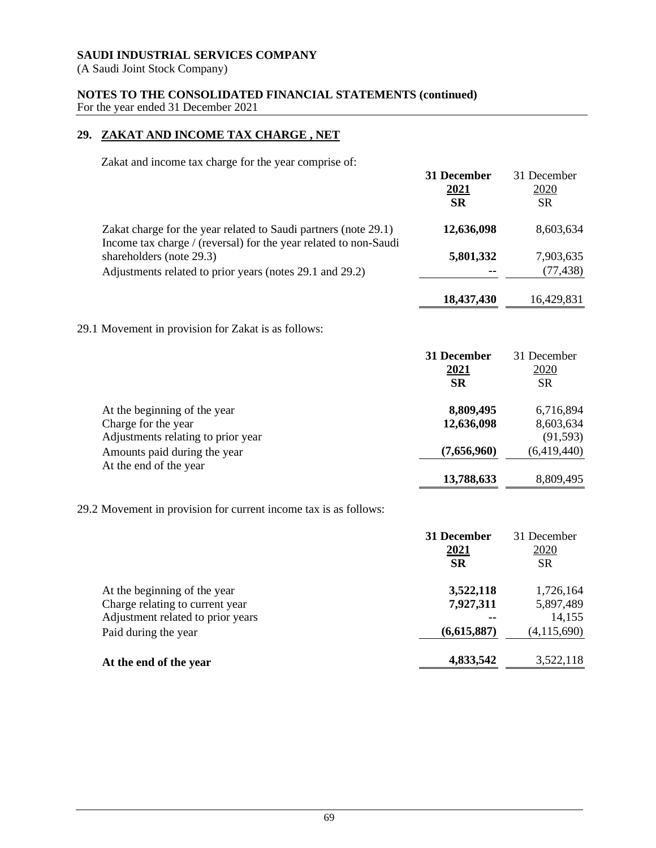(A Saudi Joint Stock Company)

# **NOTES TO THE CONSOLIDATED FINANCIAL STATEMENTS (continued)** For the year ended 31 December 2021

# **29. ZAKAT AND INCOME TAX CHARGE , NET**

Zakat and income tax charge for the year comprise of:

|                                                                                                                                     | 31 December<br>2021<br><b>SR</b> | 31 December<br>2020<br><b>SR</b> |
|-------------------------------------------------------------------------------------------------------------------------------------|----------------------------------|----------------------------------|
| Zakat charge for the year related to Saudi partners (note 29.1)<br>Income tax charge / (reversal) for the year related to non-Saudi | 12,636,098                       | 8,603,634                        |
| shareholders (note 29.3)                                                                                                            | 5,801,332                        | 7,903,635                        |
| Adjustments related to prior years (notes 29.1 and 29.2)                                                                            |                                  | (77, 438)                        |
|                                                                                                                                     | 18,437,430                       | 16,429,831                       |
| 29.1 Movement in provision for Zakat is as follows:                                                                                 |                                  |                                  |
|                                                                                                                                     | 31 December                      | 31 December<br>2020              |
|                                                                                                                                     | <u>2021</u><br><b>SR</b>         | <b>SR</b>                        |
| At the beginning of the year                                                                                                        | 8,809,495                        | 6,716,894                        |
| Charge for the year                                                                                                                 | 12,636,098                       | 8,603,634                        |
| Adjustments relating to prior year                                                                                                  |                                  | (91, 593)                        |
| Amounts paid during the year                                                                                                        | (7,656,960)                      | (6,419,440)                      |
| At the end of the year                                                                                                              | 13,788,633                       | 8,809,495                        |
| 29.2 Movement in provision for current income tax is as follows:                                                                    |                                  |                                  |
|                                                                                                                                     | 31 December                      | 31 December                      |
|                                                                                                                                     | <u>2021</u>                      | 2020                             |
|                                                                                                                                     | <b>SR</b>                        | <b>SR</b>                        |

| 4,833,542   | 3,522,118   |
|-------------|-------------|
| (6,615,887) | (4,115,690) |
| $\sim$      | 14,155      |
| 7,927,311   | 5,897,489   |
| 3,522,118   | 1,726,164   |
|             |             |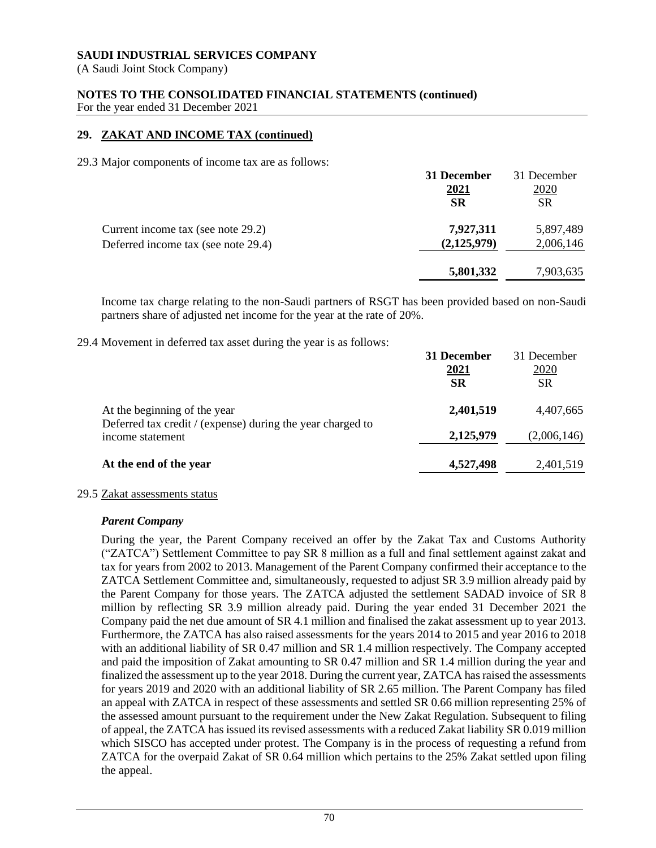(A Saudi Joint Stock Company)

# **NOTES TO THE CONSOLIDATED FINANCIAL STATEMENTS (continued)**

For the year ended 31 December 2021

# **29. ZAKAT AND INCOME TAX (continued)**

29.3 Major components of income tax are as follows:

|                                     | 31 December   | 31 December |
|-------------------------------------|---------------|-------------|
|                                     | 2021          | 2020        |
|                                     | <b>SR</b>     | <b>SR</b>   |
| Current income tax (see note 29.2)  | 7,927,311     | 5,897,489   |
| Deferred income tax (see note 29.4) | (2, 125, 979) | 2,006,146   |
|                                     | 5,801,332     | 7,903,635   |
|                                     |               |             |

Income tax charge relating to the non-Saudi partners of RSGT has been provided based on non-Saudi partners share of adjusted net income for the year at the rate of 20%.

29.4 Movement in deferred tax asset during the year is as follows:

|                                                                                | 31 December<br>2021<br><b>SR</b> | 31 December<br>2020<br><b>SR</b> |
|--------------------------------------------------------------------------------|----------------------------------|----------------------------------|
| At the beginning of the year                                                   | 2,401,519                        | 4,407,665                        |
| Deferred tax credit / (expense) during the year charged to<br>income statement | 2,125,979                        | (2,006,146)                      |
| At the end of the year                                                         | 4,527,498                        | 2,401,519                        |

### 29.5 Zakat assessments status

### *Parent Company*

During the year, the Parent Company received an offer by the Zakat Tax and Customs Authority ("ZATCA") Settlement Committee to pay SR 8 million as a full and final settlement against zakat and tax for years from 2002 to 2013. Management of the Parent Company confirmed their acceptance to the ZATCA Settlement Committee and, simultaneously, requested to adjust SR 3.9 million already paid by the Parent Company for those years. The ZATCA adjusted the settlement SADAD invoice of SR 8 million by reflecting SR 3.9 million already paid. During the year ended 31 December 2021 the Company paid the net due amount of SR 4.1 million and finalised the zakat assessment up to year 2013. Furthermore, the ZATCA has also raised assessments for the years 2014 to 2015 and year 2016 to 2018 with an additional liability of SR 0.47 million and SR 1.4 million respectively. The Company accepted and paid the imposition of Zakat amounting to SR 0.47 million and SR 1.4 million during the year and finalized the assessment up to the year 2018. During the current year, ZATCA has raised the assessments for years 2019 and 2020 with an additional liability of SR 2.65 million. The Parent Company has filed an appeal with ZATCA in respect of these assessments and settled SR 0.66 million representing 25% of the assessed amount pursuant to the requirement under the New Zakat Regulation. Subsequent to filing of appeal, the ZATCA has issued its revised assessments with a reduced Zakat liability SR 0.019 million which SISCO has accepted under protest. The Company is in the process of requesting a refund from ZATCA for the overpaid Zakat of SR 0.64 million which pertains to the 25% Zakat settled upon filing the appeal.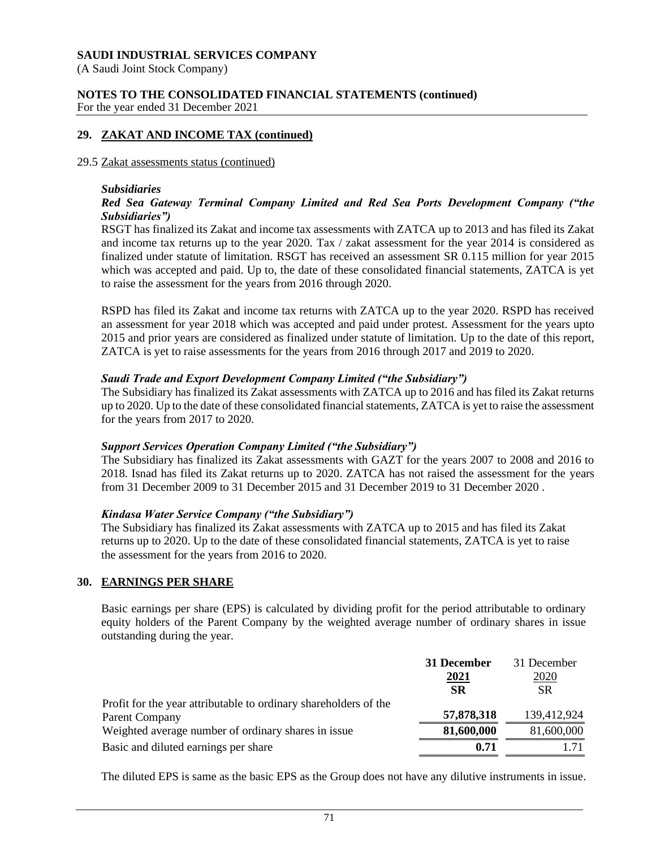(A Saudi Joint Stock Company)

#### **NOTES TO THE CONSOLIDATED FINANCIAL STATEMENTS (continued)** For the year ended 31 December 2021

## **29. ZAKAT AND INCOME TAX (continued)**

#### 29.5 Zakat assessments status (continued)

#### *Subsidiaries*

## *Red Sea Gateway Terminal Company Limited and Red Sea Ports Development Company ("the Subsidiaries")*

RSGT has finalized its Zakat and income tax assessments with ZATCA up to 2013 and has filed its Zakat and income tax returns up to the year 2020. Tax / zakat assessment for the year 2014 is considered as finalized under statute of limitation. RSGT has received an assessment SR 0.115 million for year 2015 which was accepted and paid. Up to, the date of these consolidated financial statements, ZATCA is yet to raise the assessment for the years from 2016 through 2020.

RSPD has filed its Zakat and income tax returns with ZATCA up to the year 2020. RSPD has received an assessment for year 2018 which was accepted and paid under protest. Assessment for the years upto 2015 and prior years are considered as finalized under statute of limitation. Up to the date of this report, ZATCA is yet to raise assessments for the years from 2016 through 2017 and 2019 to 2020.

#### *Saudi Trade and Export Development Company Limited ("the Subsidiary")*

The Subsidiary has finalized its Zakat assessments with ZATCA up to 2016 and has filed its Zakat returns up to 2020. Up to the date of these consolidated financial statements, ZATCA is yet to raise the assessment for the years from 2017 to 2020.

#### *Support Services Operation Company Limited ("the Subsidiary")*

The Subsidiary has finalized its Zakat assessments with GAZT for the years 2007 to 2008 and 2016 to 2018. Isnad has filed its Zakat returns up to 2020. ZATCA has not raised the assessment for the years from 31 December 2009 to 31 December 2015 and 31 December 2019 to 31 December 2020 .

#### *Kindasa Water Service Company ("the Subsidiary")*

The Subsidiary has finalized its Zakat assessments with ZATCA up to 2015 and has filed its Zakat returns up to 2020. Up to the date of these consolidated financial statements, ZATCA is yet to raise the assessment for the years from 2016 to 2020.

#### **30. EARNINGS PER SHARE**

Basic earnings per share (EPS) is calculated by dividing profit for the period attributable to ordinary equity holders of the Parent Company by the weighted average number of ordinary shares in issue outstanding during the year.

|                                                                  | 31 December | 31 December |
|------------------------------------------------------------------|-------------|-------------|
|                                                                  | <u>2021</u> | <u>2020</u> |
|                                                                  | <b>SR</b>   | <b>SR</b>   |
| Profit for the year attributable to ordinary shareholders of the |             |             |
| <b>Parent Company</b>                                            | 57,878,318  | 139,412,924 |
| Weighted average number of ordinary shares in issue              | 81,600,000  | 81,600,000  |
| Basic and diluted earnings per share                             | 0.71        |             |

The diluted EPS is same as the basic EPS as the Group does not have any dilutive instruments in issue.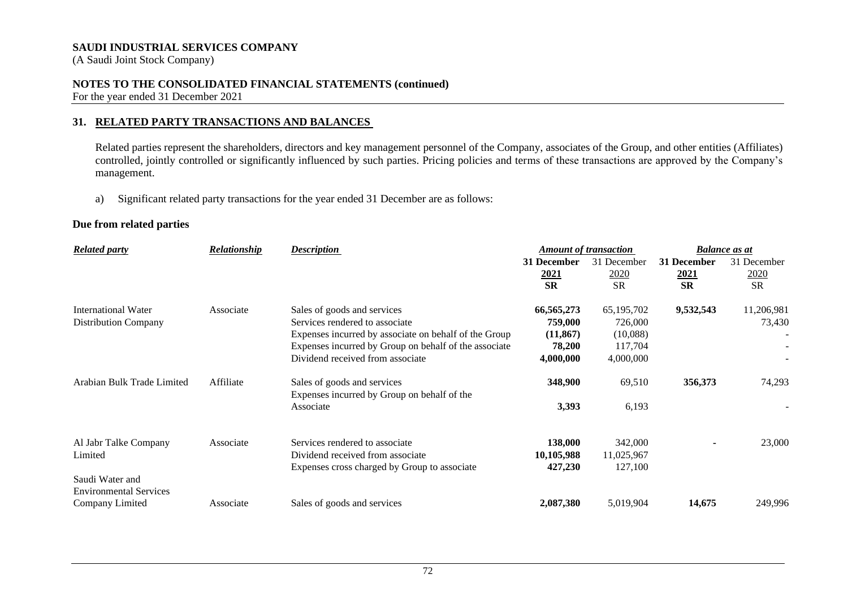(A Saudi Joint Stock Company)

## **NOTES TO THE CONSOLIDATED FINANCIAL STATEMENTS (continued)**

For the year ended 31 December 2021

## **31. RELATED PARTY TRANSACTIONS AND BALANCES**

Related parties represent the shareholders, directors and key management personnel of the Company, associates of the Group, and other entities (Affiliates) controlled, jointly controlled or significantly influenced by such parties. Pricing policies and terms of these transactions are approved by the Company's management.

a) Significant related party transactions for the year ended 31 December are as follows:

## **Due from related parties**

| <b>Related party</b>          | Relationship | <b>Description</b>                                                         | <b>Amount of transaction</b> |             | <b>Balance as at</b> |             |
|-------------------------------|--------------|----------------------------------------------------------------------------|------------------------------|-------------|----------------------|-------------|
|                               |              |                                                                            | 31 December                  | 31 December | 31 December          | 31 December |
|                               |              |                                                                            | 2021                         | <u>2020</u> | <u>2021</u>          | 2020        |
|                               |              |                                                                            | <b>SR</b>                    | <b>SR</b>   | <b>SR</b>            | <b>SR</b>   |
| International Water           | Associate    | Sales of goods and services                                                | 66,565,273                   | 65,195,702  | 9,532,543            | 11,206,981  |
| <b>Distribution Company</b>   |              | Services rendered to associate                                             | 759,000                      | 726,000     |                      | 73,430      |
|                               |              | Expenses incurred by associate on behalf of the Group                      | (11, 867)                    | (10,088)    |                      |             |
|                               |              | Expenses incurred by Group on behalf of the associate                      | 78,200                       | 117,704     |                      |             |
|                               |              | Dividend received from associate                                           | 4,000,000                    | 4,000,000   |                      |             |
| Arabian Bulk Trade Limited    | Affiliate    | Sales of goods and services<br>Expenses incurred by Group on behalf of the | 348,900                      | 69,510      | 356,373              | 74,293      |
|                               |              | Associate                                                                  | 3,393                        | 6,193       |                      |             |
| Al Jabr Talke Company         | Associate    | Services rendered to associate                                             | 138,000                      | 342,000     |                      | 23,000      |
| Limited                       |              | Dividend received from associate                                           | 10,105,988                   | 11,025,967  |                      |             |
|                               |              | Expenses cross charged by Group to associate                               | 427,230                      | 127,100     |                      |             |
| Saudi Water and               |              |                                                                            |                              |             |                      |             |
| <b>Environmental Services</b> |              |                                                                            |                              |             |                      |             |
| Company Limited               | Associate    | Sales of goods and services                                                | 2,087,380                    | 5,019,904   | 14,675               | 249,996     |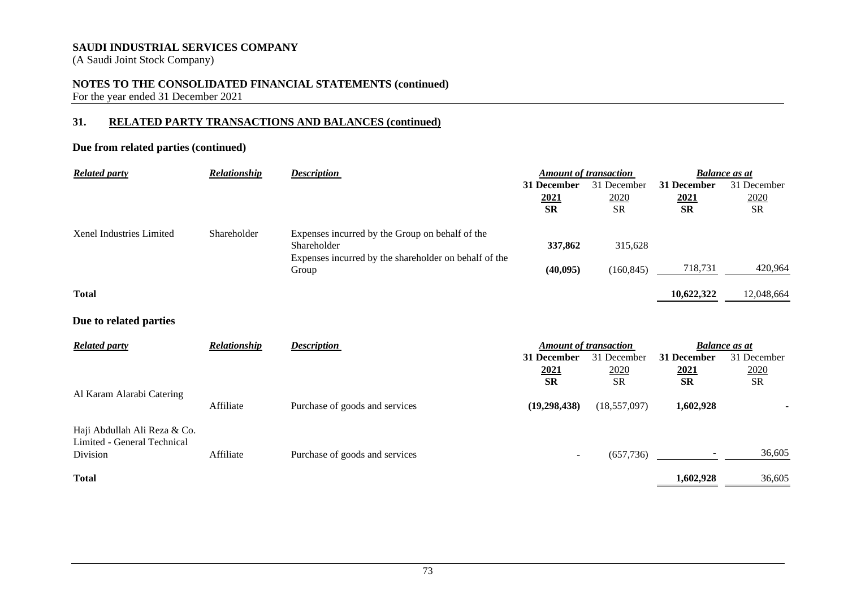(A Saudi Joint Stock Company)

## **NOTES TO THE CONSOLIDATED FINANCIAL STATEMENTS (continued)**

For the year ended 31 December 2021

## **31. RELATED PARTY TRANSACTIONS AND BALANCES (continued)**

## **Due from related parties (continued)**

| <b>Related party</b>     | <b>Relationship</b> | <b>Description</b>                                                   | <b>Amount of transaction</b> |             | <b>Balance</b> as at |             |  |
|--------------------------|---------------------|----------------------------------------------------------------------|------------------------------|-------------|----------------------|-------------|--|
|                          |                     |                                                                      | 31 December                  | 31 December | 31 December          | 31 December |  |
|                          |                     |                                                                      | <u>2021</u>                  | 2020        | <u>2021</u>          | 2020        |  |
|                          |                     |                                                                      | <b>SR</b>                    | <b>SR</b>   | <b>SR</b>            | <b>SR</b>   |  |
| Xenel Industries Limited | Shareholder         | Expenses incurred by the Group on behalf of the                      |                              |             |                      |             |  |
|                          |                     | Shareholder<br>Expenses incurred by the shareholder on behalf of the | 337,862                      | 315,628     |                      |             |  |
|                          |                     | Group                                                                | (40, 095)                    | (160, 845)  | 718,731              | 420,964     |  |
| <b>Total</b>             |                     |                                                                      |                              |             | 10,622,322           | 12,048,664  |  |

## **Due to related parties**

| <b>Related party</b>         | Relationship | <b>Description</b><br><b>Amount of transaction</b> |                          |                |                          | <b>Balance as at</b> |  |
|------------------------------|--------------|----------------------------------------------------|--------------------------|----------------|--------------------------|----------------------|--|
|                              |              |                                                    | 31 December              | 31 December    | 31 December              | 31 December          |  |
|                              |              |                                                    | <u> 2021</u>             | 2020           | <u>2021</u>              | 2020                 |  |
|                              |              |                                                    | <b>SR</b>                | <b>SR</b>      | <b>SR</b>                | <b>SR</b>            |  |
| Al Karam Alarabi Catering    |              |                                                    |                          |                |                          |                      |  |
|                              | Affiliate    | Purchase of goods and services                     | (19, 298, 438)           | (18, 557, 097) | 1,602,928                |                      |  |
| Haji Abdullah Ali Reza & Co. |              |                                                    |                          |                |                          |                      |  |
| Limited - General Technical  |              |                                                    |                          |                |                          |                      |  |
| Division                     | Affiliate    | Purchase of goods and services                     | $\overline{\phantom{a}}$ | (657, 736)     | $\overline{\phantom{a}}$ | 36,605               |  |
| <b>Total</b>                 |              |                                                    |                          |                | 1,602,928                | 36,605               |  |
|                              |              |                                                    |                          |                |                          |                      |  |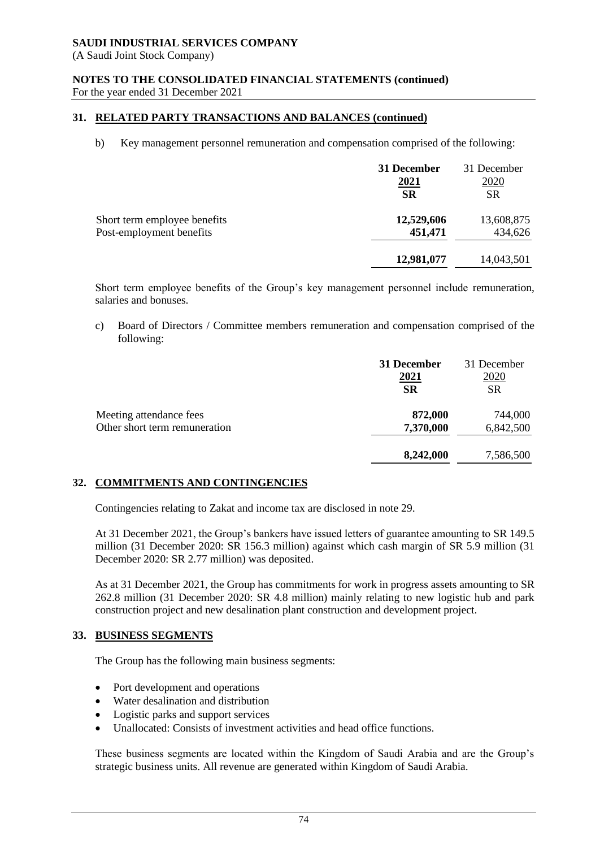(A Saudi Joint Stock Company)

# **NOTES TO THE CONSOLIDATED FINANCIAL STATEMENTS (continued)**

For the year ended 31 December 2021

## **31. RELATED PARTY TRANSACTIONS AND BALANCES (continued)**

b) Key management personnel remuneration and compensation comprised of the following:

|                              | 31 December<br><u>2021</u><br><b>SR</b> | 31 December<br><u>2020</u><br><b>SR</b> |
|------------------------------|-----------------------------------------|-----------------------------------------|
| Short term employee benefits | 12,529,606                              | 13,608,875                              |
| Post-employment benefits     | 451,471                                 | 434,626                                 |
|                              | 12,981,077                              | 14,043,501                              |

Short term employee benefits of the Group's key management personnel include remuneration, salaries and bonuses.

c) Board of Directors / Committee members remuneration and compensation comprised of the following:

|                               | 31 December | 31 December |
|-------------------------------|-------------|-------------|
|                               | 2021        | 2020        |
|                               | <b>SR</b>   | <b>SR</b>   |
| Meeting attendance fees       | 872,000     | 744,000     |
| Other short term remuneration | 7,370,000   | 6,842,500   |
|                               | 8,242,000   | 7,586,500   |

## **32. COMMITMENTS AND CONTINGENCIES**

Contingencies relating to Zakat and income tax are disclosed in note 29.

At 31 December 2021, the Group's bankers have issued letters of guarantee amounting to SR 149.5 million (31 December 2020: SR 156.3 million) against which cash margin of SR 5.9 million (31 December 2020: SR 2.77 million) was deposited.

As at 31 December 2021, the Group has commitments for work in progress assets amounting to SR 262.8 million (31 December 2020: SR 4.8 million) mainly relating to new logistic hub and park construction project and new desalination plant construction and development project.

## **33. BUSINESS SEGMENTS**

The Group has the following main business segments:

- Port development and operations
- Water desalination and distribution
- Logistic parks and support services
- Unallocated: Consists of investment activities and head office functions.

These business segments are located within the Kingdom of Saudi Arabia and are the Group's strategic business units. All revenue are generated within Kingdom of Saudi Arabia.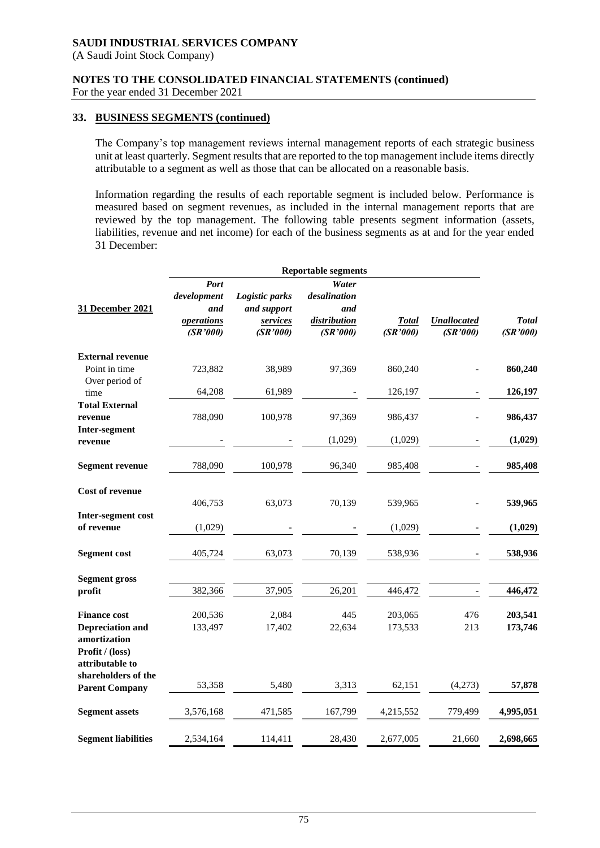(A Saudi Joint Stock Company)

#### **NOTES TO THE CONSOLIDATED FINANCIAL STATEMENTS (continued)**

For the year ended 31 December 2021

#### **33. BUSINESS SEGMENTS (continued)**

The Company's top management reviews internal management reports of each strategic business unit at least quarterly. Segment results that are reported to the top management include items directly attributable to a segment as well as those that can be allocated on a reasonable basis.

Information regarding the results of each reportable segment is included below. Performance is measured based on segment revenues, as included in the internal management reports that are reviewed by the top management. The following table presents segment information (assets, liabilities, revenue and net income) for each of the business segments as at and for the year ended 31 December:

|                                                                                   | <b>Reportable segments</b>    |                                     |                                 |                          |                                |                          |
|-----------------------------------------------------------------------------------|-------------------------------|-------------------------------------|---------------------------------|--------------------------|--------------------------------|--------------------------|
|                                                                                   | Port<br>development           | Logistic parks                      | Water<br>desalination           |                          |                                |                          |
| 31 December 2021                                                                  | and<br>operations<br>(SR'000) | and support<br>services<br>(SR'000) | and<br>distribution<br>(SR'000) | <b>Total</b><br>(SR'000) | <b>Unallocated</b><br>(SR'000) | <b>Total</b><br>(SR'000) |
| <b>External revenue</b><br>Point in time                                          | 723,882                       | 38,989                              | 97,369                          | 860,240                  |                                | 860,240                  |
| Over period of<br>time                                                            | 64,208                        | 61,989                              |                                 | 126,197                  |                                | 126,197                  |
| <b>Total External</b><br>revenue<br><b>Inter-segment</b>                          | 788,090                       | 100,978                             | 97,369                          | 986,437                  |                                | 986,437                  |
| revenue                                                                           |                               |                                     | (1,029)                         | (1,029)                  |                                | (1,029)                  |
| <b>Segment revenue</b>                                                            | 788,090                       | 100,978                             | 96,340                          | 985,408                  |                                | 985,408                  |
| Cost of revenue                                                                   | 406,753                       | 63,073                              | 70,139                          | 539,965                  |                                | 539,965                  |
| Inter-segment cost<br>of revenue                                                  | (1,029)                       |                                     |                                 | (1,029)                  |                                | (1,029)                  |
| <b>Segment cost</b>                                                               | 405,724                       | 63,073                              | 70,139                          | 538,936                  |                                | 538,936                  |
| <b>Segment gross</b><br>profit                                                    | 382,366                       | 37,905                              | 26,201                          | 446,472                  |                                | 446,472                  |
| <b>Finance cost</b><br><b>Depreciation and</b><br>amortization<br>Profit / (loss) | 200,536<br>133,497            | 2,084<br>17,402                     | 445<br>22,634                   | 203,065<br>173,533       | 476<br>213                     | 203,541<br>173,746       |
| attributable to<br>shareholders of the<br><b>Parent Company</b>                   | 53,358                        | 5,480                               | 3,313                           | 62,151                   | (4,273)                        | 57,878                   |
| <b>Segment assets</b>                                                             | 3,576,168                     | 471,585                             | 167,799                         | 4,215,552                | 779,499                        | 4,995,051                |
| <b>Segment liabilities</b>                                                        | 2,534,164                     | 114,411                             | 28,430                          | 2,677,005                | 21,660                         | 2,698,665                |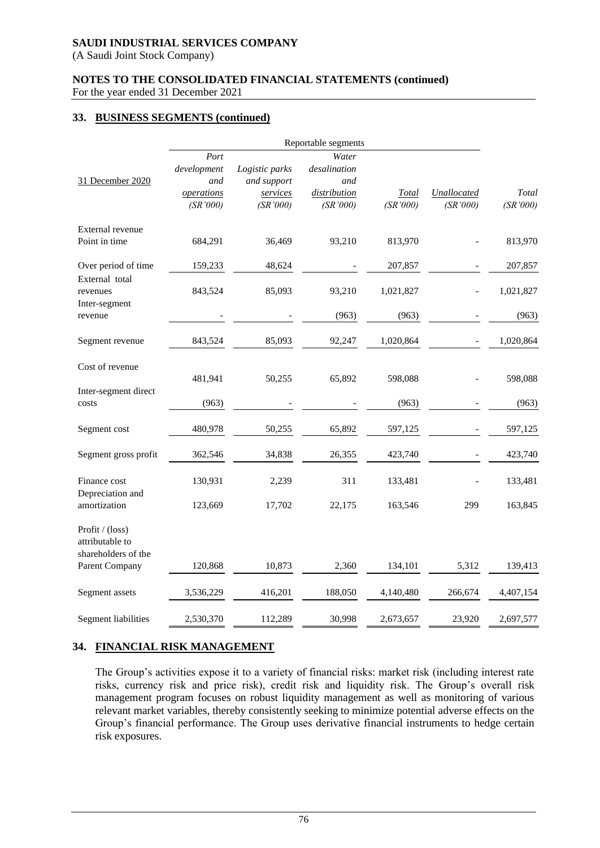(A Saudi Joint Stock Company)

#### **NOTES TO THE CONSOLIDATED FINANCIAL STATEMENTS (continued)**

For the year ended 31 December 2021

## **33. BUSINESS SEGMENTS (continued)**

|             |                | Reportable segments |           |             |           |
|-------------|----------------|---------------------|-----------|-------------|-----------|
| Port        |                | Water               |           |             |           |
| development | Logistic parks | desalination        |           |             |           |
| and         | and support    | and                 |           |             |           |
| operations  | services       | distribution        | Total     | Unallocated | Total     |
| (SR'000)    | (SR'000)       | (SR'000)            | (SR'000)  | (SR'000)    | (SR'000)  |
|             |                |                     |           |             |           |
| 684,291     | 36,469         | 93,210              | 813,970   |             | 813,970   |
| 159,233     | 48,624         |                     | 207,857   |             | 207,857   |
|             |                |                     |           |             |           |
|             |                |                     |           |             | 1,021,827 |
|             |                | (963)               | (963)     |             | (963)     |
| 843,524     | 85,093         | 92,247              | 1,020,864 |             | 1,020,864 |
|             |                |                     |           |             |           |
| 481,941     | 50,255         | 65,892              | 598,088   |             | 598,088   |
| (963)       |                |                     | (963)     |             | (963)     |
| 480,978     | 50,255         | 65,892              | 597,125   |             | 597,125   |
| 362,546     | 34,838         | 26,355              | 423,740   |             | 423,740   |
| 130,931     | 2,239          | 311                 | 133,481   |             | 133,481   |
| 123,669     | 17,702         | 22,175              | 163,546   | 299         | 163,845   |
|             |                |                     |           |             |           |
| 120,868     | 10,873         | 2,360               | 134,101   | 5,312       | 139,413   |
| 3,536,229   | 416,201        | 188,050             | 4,140,480 | 266,674     | 4,407,154 |
| 2,530,370   | 112,289        | 30,998              | 2,673,657 | 23,920      | 2,697,577 |
|             | 843,524        | 85,093              | 93,210    | 1,021,827   |           |

## **34. FINANCIAL RISK MANAGEMENT**

The Group's activities expose it to a variety of financial risks: market risk (including interest rate risks, currency risk and price risk), credit risk and liquidity risk. The Group's overall risk management program focuses on robust liquidity management as well as monitoring of various relevant market variables, thereby consistently seeking to minimize potential adverse effects on the Group's financial performance. The Group uses derivative financial instruments to hedge certain risk exposures.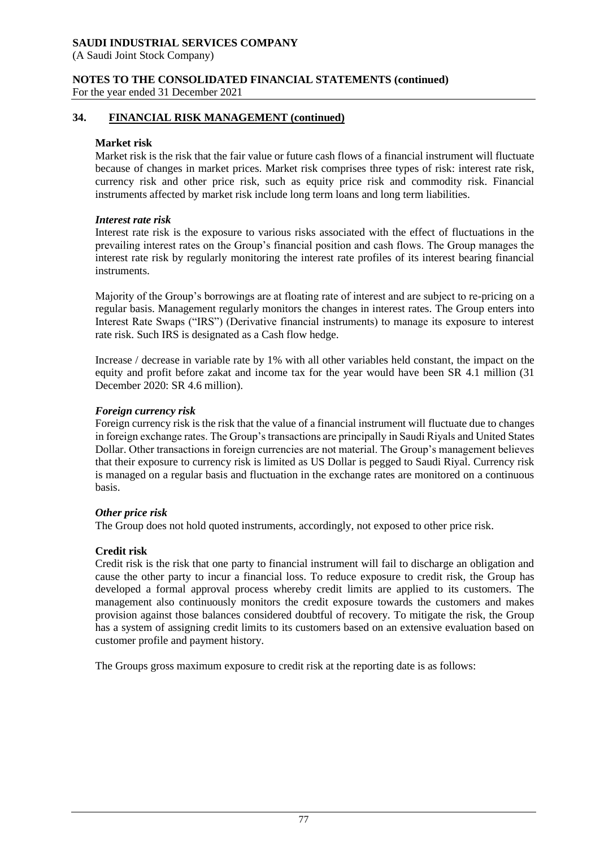(A Saudi Joint Stock Company)

**NOTES TO THE CONSOLIDATED FINANCIAL STATEMENTS (continued)**

For the year ended 31 December 2021

## **34. FINANCIAL RISK MANAGEMENT (continued)**

#### **Market risk**

Market risk is the risk that the fair value or future cash flows of a financial instrument will fluctuate because of changes in market prices. Market risk comprises three types of risk: interest rate risk, currency risk and other price risk, such as equity price risk and commodity risk. Financial instruments affected by market risk include long term loans and long term liabilities.

#### *Interest rate risk*

Interest rate risk is the exposure to various risks associated with the effect of fluctuations in the prevailing interest rates on the Group's financial position and cash flows. The Group manages the interest rate risk by regularly monitoring the interest rate profiles of its interest bearing financial instruments.

Majority of the Group's borrowings are at floating rate of interest and are subject to re-pricing on a regular basis. Management regularly monitors the changes in interest rates. The Group enters into Interest Rate Swaps ("IRS") (Derivative financial instruments) to manage its exposure to interest rate risk. Such IRS is designated as a Cash flow hedge.

Increase / decrease in variable rate by 1% with all other variables held constant, the impact on the equity and profit before zakat and income tax for the year would have been SR 4.1 million (31 December 2020: SR 4.6 million).

#### *Foreign currency risk*

Foreign currency risk is the risk that the value of a financial instrument will fluctuate due to changes in foreign exchange rates. The Group's transactions are principally in Saudi Riyals and United States Dollar. Other transactions in foreign currencies are not material. The Group's management believes that their exposure to currency risk is limited as US Dollar is pegged to Saudi Riyal. Currency risk is managed on a regular basis and fluctuation in the exchange rates are monitored on a continuous basis.

#### *Other price risk*

The Group does not hold quoted instruments, accordingly, not exposed to other price risk.

#### **Credit risk**

Credit risk is the risk that one party to financial instrument will fail to discharge an obligation and cause the other party to incur a financial loss. To reduce exposure to credit risk, the Group has developed a formal approval process whereby credit limits are applied to its customers. The management also continuously monitors the credit exposure towards the customers and makes provision against those balances considered doubtful of recovery. To mitigate the risk, the Group has a system of assigning credit limits to its customers based on an extensive evaluation based on customer profile and payment history.

The Groups gross maximum exposure to credit risk at the reporting date is as follows: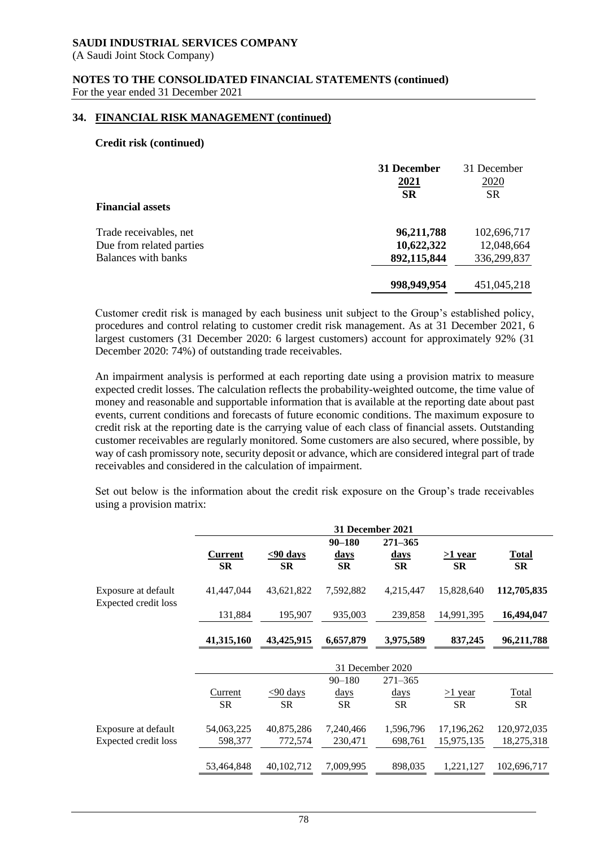(A Saudi Joint Stock Company)

#### **NOTES TO THE CONSOLIDATED FINANCIAL STATEMENTS (continued)** For the year ended 31 December 2021

#### **34. FINANCIAL RISK MANAGEMENT (continued)**

#### **Credit risk (continued)**

|                          | 31 December | 31 December |  |
|--------------------------|-------------|-------------|--|
|                          | <u>2021</u> | <u>2020</u> |  |
|                          | <b>SR</b>   | <b>SR</b>   |  |
| <b>Financial assets</b>  |             |             |  |
| Trade receivables, net   | 96,211,788  | 102,696,717 |  |
| Due from related parties | 10,622,322  | 12,048,664  |  |
| Balances with banks      | 892,115,844 | 336,299,837 |  |
|                          | 998,949,954 | 451,045,218 |  |
|                          |             |             |  |

Customer credit risk is managed by each business unit subject to the Group's established policy, procedures and control relating to customer credit risk management. As at 31 December 2021, 6 largest customers (31 December 2020: 6 largest customers) account for approximately 92% (31 December 2020: 74%) of outstanding trade receivables.

An impairment analysis is performed at each reporting date using a provision matrix to measure expected credit losses. The calculation reflects the probability-weighted outcome, the time value of money and reasonable and supportable information that is available at the reporting date about past events, current conditions and forecasts of future economic conditions. The maximum exposure to credit risk at the reporting date is the carrying value of each class of financial assets. Outstanding customer receivables are regularly monitored. Some customers are also secured, where possible, by way of cash promissory note, security deposit or advance, which are considered integral part of trade receivables and considered in the calculation of impairment.

Set out below is the information about the credit risk exposure on the Group's trade receivables using a provision matrix:

|                                             |                |             | <b>31 December 2021</b> |                  |            |              |
|---------------------------------------------|----------------|-------------|-------------------------|------------------|------------|--------------|
|                                             |                |             | $90 - 180$              | $271 - 365$      |            |              |
|                                             | <b>Current</b> | $< 90$ days | <u>days</u>             | <u>days</u>      | >1 year    | <b>Total</b> |
|                                             | <b>SR</b>      | <b>SR</b>   | <b>SR</b>               | <b>SR</b>        | <b>SR</b>  | <b>SR</b>    |
| Exposure at default<br>Expected credit loss | 41,447,044     | 43,621,822  | 7,592,882               | 4,215,447        | 15,828,640 | 112,705,835  |
|                                             | 131,884        | 195,907     | 935,003                 | 239,858          | 14,991,395 | 16,494,047   |
|                                             | 41,315,160     | 43,425,915  | 6,657,879               | 3,975,589        | 837,245    | 96,211,788   |
|                                             |                |             |                         | 31 December 2020 |            |              |
|                                             |                |             | $90 - 180$              | $271 - 365$      |            |              |
|                                             | Current        | $< 90$ days | $\frac{days}{9}$        | <u>days</u>      | $>1$ year  | Total        |
|                                             | <b>SR</b>      | <b>SR</b>   | SR                      | <b>SR</b>        | SR         | SR           |
| Exposure at default                         | 54,063,225     | 40,875,286  | 7,240,466               | 1,596,796        | 17,196,262 | 120,972,035  |
| <b>Expected credit loss</b>                 | 598,377        | 772,574     | 230,471                 | 698,761          | 15,975,135 | 18,275,318   |
|                                             |                |             |                         |                  |            |              |
|                                             | 53,464,848     | 40,102,712  | 7,009,995               | 898,035          | 1,221,127  | 102,696,717  |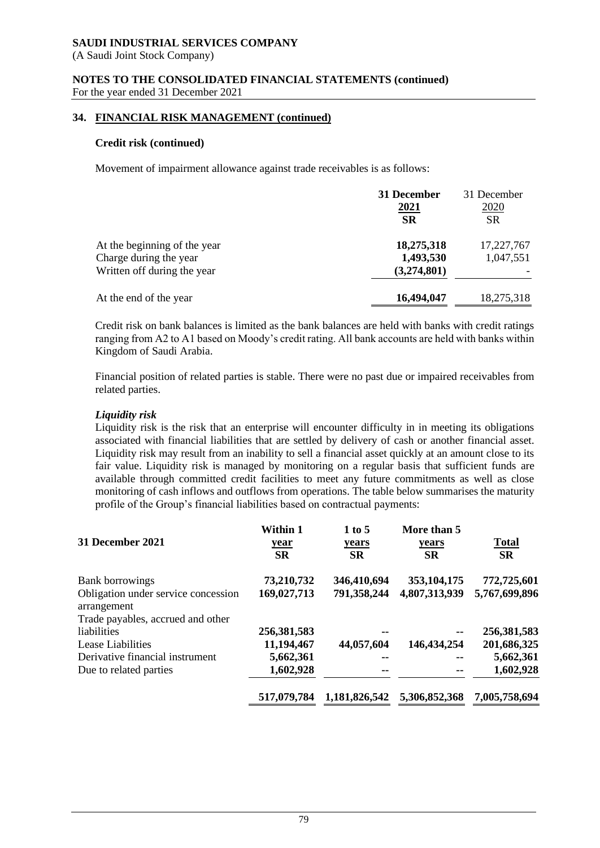(A Saudi Joint Stock Company)

#### **NOTES TO THE CONSOLIDATED FINANCIAL STATEMENTS (continued)** For the year ended 31 December 2021

## **34. FINANCIAL RISK MANAGEMENT (continued)**

#### **Credit risk (continued)**

Movement of impairment allowance against trade receivables is as follows:

|                              | 31 December<br>2021<br><b>SR</b> | 31 December<br><u>2020</u><br><b>SR</b> |
|------------------------------|----------------------------------|-----------------------------------------|
| At the beginning of the year | 18,275,318                       | 17,227,767                              |
| Charge during the year       | 1,493,530                        | 1,047,551                               |
| Written off during the year  | (3,274,801)                      |                                         |
| At the end of the year       | 16,494,047                       | 18,275,318                              |

Credit risk on bank balances is limited as the bank balances are held with banks with credit ratings ranging from A2 to A1 based on Moody's credit rating. All bank accounts are held with banks within Kingdom of Saudi Arabia.

Financial position of related parties is stable. There were no past due or impaired receivables from related parties.

#### *Liquidity risk*

Liquidity risk is the risk that an enterprise will encounter difficulty in in meeting its obligations associated with financial liabilities that are settled by delivery of cash or another financial asset. Liquidity risk may result from an inability to sell a financial asset quickly at an amount close to its fair value. Liquidity risk is managed by monitoring on a regular basis that sufficient funds are available through committed credit facilities to meet any future commitments as well as close monitoring of cash inflows and outflows from operations. The table below summarises the maturity profile of the Group's financial liabilities based on contractual payments:

| 31 December 2021                                   | Within 1<br><u>year</u><br><b>SR</b> | 1 to 5<br>years<br><b>SR</b> | More than 5<br>years<br><b>SR</b> | <b>Total</b><br><b>SR</b> |
|----------------------------------------------------|--------------------------------------|------------------------------|-----------------------------------|---------------------------|
| <b>Bank borrowings</b>                             | 73,210,732                           | 346,410,694                  | 353, 104, 175                     | 772,725,601               |
| Obligation under service concession<br>arrangement | 169,027,713                          | 791,358,244                  | 4,807,313,939                     | 5,767,699,896             |
| Trade payables, accrued and other                  |                                      |                              |                                   |                           |
| liabilities                                        | 256,381,583                          |                              |                                   | 256,381,583               |
| Lease Liabilities                                  | 11,194,467                           | 44,057,604                   | 146, 434, 254                     | 201,686,325               |
| Derivative financial instrument                    | 5,662,361                            |                              |                                   | 5,662,361                 |
| Due to related parties                             | 1,602,928                            |                              |                                   | 1,602,928                 |
|                                                    | 517,079,784                          | 1,181,826,542                | 5,306,852,368                     | 7,005,758,694             |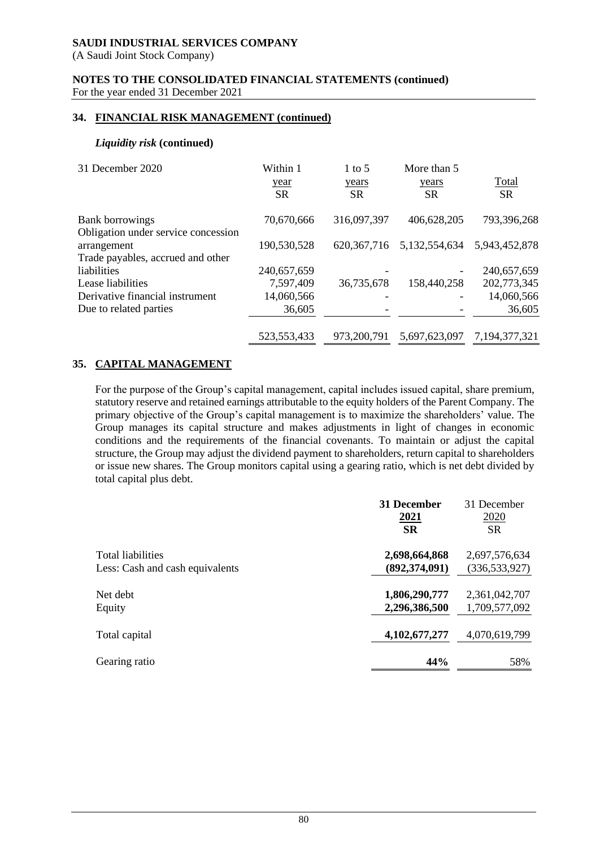(A Saudi Joint Stock Company)

**NOTES TO THE CONSOLIDATED FINANCIAL STATEMENTS (continued)** For the year ended 31 December 2021

## **34. FINANCIAL RISK MANAGEMENT (continued)**

#### *Liquidity risk* **(continued)**

| 31 December 2020                                                                        | Within 1<br>year<br><b>SR</b> | $1$ to 5<br>years<br><b>SR</b> | More than 5<br>years<br><b>SR</b> | Total<br><b>SR</b> |
|-----------------------------------------------------------------------------------------|-------------------------------|--------------------------------|-----------------------------------|--------------------|
| Bank borrowings                                                                         | 70,670,666                    | 316,097,397                    | 406,628,205                       | 793,396,268        |
| Obligation under service concession<br>arrangement<br>Trade payables, accrued and other | 190,530,528                   | 620, 367, 716                  | 5,132,554,634                     | 5,943,452,878      |
| liabilities                                                                             | 240,657,659                   |                                |                                   | 240,657,659        |
| Lease liabilities                                                                       | 7,597,409                     | 36,735,678                     | 158,440,258                       | 202,773,345        |
| Derivative financial instrument                                                         | 14,060,566                    |                                |                                   | 14,060,566         |
| Due to related parties                                                                  | 36,605                        |                                |                                   | 36,605             |
|                                                                                         | 523, 553, 433                 | 973,200,791                    | 5,697,623,097                     | 7,194,377,321      |

## **35. CAPITAL MANAGEMENT**

For the purpose of the Group's capital management, capital includes issued capital, share premium, statutory reserve and retained earnings attributable to the equity holders of the Parent Company. The primary objective of the Group's capital management is to maximize the shareholders' value. The Group manages its capital structure and makes adjustments in light of changes in economic conditions and the requirements of the financial covenants. To maintain or adjust the capital structure, the Group may adjust the dividend payment to shareholders, return capital to shareholders or issue new shares. The Group monitors capital using a gearing ratio, which is net debt divided by total capital plus debt.

|                                 | 31 December       | 31 December       |
|---------------------------------|-------------------|-------------------|
|                                 | 2021<br><b>SR</b> | 2020<br><b>SR</b> |
| <b>Total liabilities</b>        | 2,698,664,868     | 2,697,576,634     |
| Less: Cash and cash equivalents | (892, 374, 091)   | (336, 533, 927)   |
| Net debt                        | 1,806,290,777     | 2,361,042,707     |
| Equity                          | 2,296,386,500     | 1,709,577,092     |
| Total capital                   | 4, 102, 677, 277  | 4,070,619,799     |
| Gearing ratio                   | 44%               | 58%               |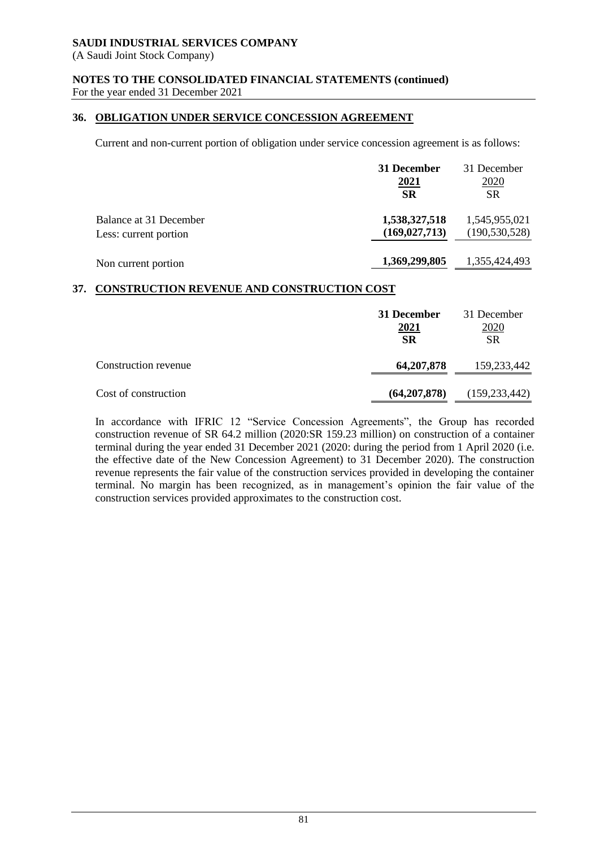(A Saudi Joint Stock Company)

## **NOTES TO THE CONSOLIDATED FINANCIAL STATEMENTS (continued)**

For the year ended 31 December 2021

## **36. OBLIGATION UNDER SERVICE CONCESSION AGREEMENT**

Current and non-current portion of obligation under service concession agreement is as follows:

|                        | 31 December     | 31 December     |
|------------------------|-----------------|-----------------|
|                        | 2021            | 2020            |
|                        | <b>SR</b>       | <b>SR</b>       |
| Balance at 31 December | 1,538,327,518   | 1,545,955,021   |
| Less: current portion  | (169, 027, 713) | (190, 530, 528) |
| Non current portion    | 1,369,299,805   | 1,355,424,493   |

## **37. CONSTRUCTION REVENUE AND CONSTRUCTION COST**

|                      | 31 December<br><u>2021</u><br><b>SR</b> | 31 December<br>2020<br><b>SR</b> |
|----------------------|-----------------------------------------|----------------------------------|
| Construction revenue | 64, 207, 878                            | 159,233,442                      |
| Cost of construction | (64, 207, 878)                          | (159, 233, 442)                  |

In accordance with IFRIC 12 "Service Concession Agreements", the Group has recorded construction revenue of SR 64.2 million (2020:SR 159.23 million) on construction of a container terminal during the year ended 31 December 2021 (2020: during the period from 1 April 2020 (i.e. the effective date of the New Concession Agreement) to 31 December 2020). The construction revenue represents the fair value of the construction services provided in developing the container terminal. No margin has been recognized, as in management's opinion the fair value of the construction services provided approximates to the construction cost.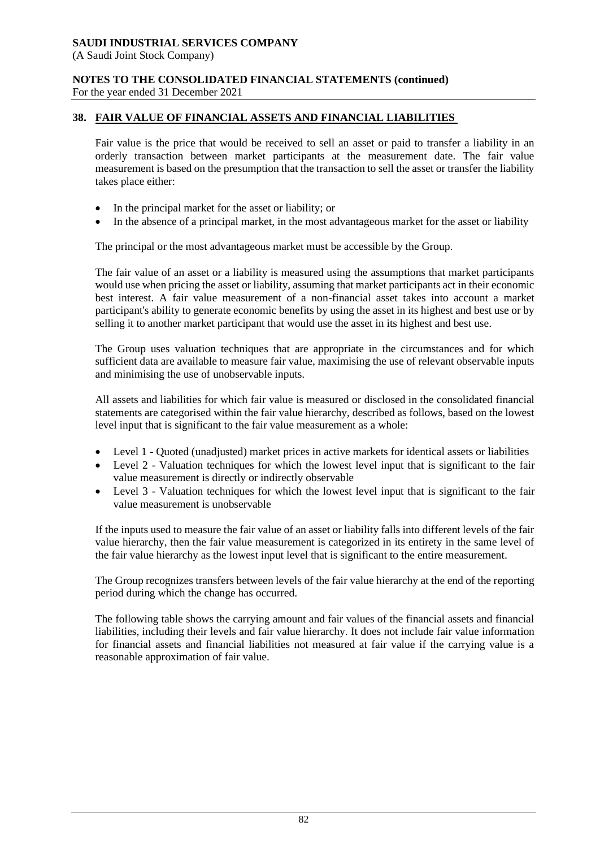(A Saudi Joint Stock Company)

**NOTES TO THE CONSOLIDATED FINANCIAL STATEMENTS (continued)**

For the year ended 31 December 2021

## **38. FAIR VALUE OF FINANCIAL ASSETS AND FINANCIAL LIABILITIES**

Fair value is the price that would be received to sell an asset or paid to transfer a liability in an orderly transaction between market participants at the measurement date. The fair value measurement is based on the presumption that the transaction to sell the asset or transfer the liability takes place either:

- In the principal market for the asset or liability; or
- In the absence of a principal market, in the most advantageous market for the asset or liability

The principal or the most advantageous market must be accessible by the Group.

The fair value of an asset or a liability is measured using the assumptions that market participants would use when pricing the asset or liability, assuming that market participants act in their economic best interest. A fair value measurement of a non-financial asset takes into account a market participant's ability to generate economic benefits by using the asset in its highest and best use or by selling it to another market participant that would use the asset in its highest and best use.

The Group uses valuation techniques that are appropriate in the circumstances and for which sufficient data are available to measure fair value, maximising the use of relevant observable inputs and minimising the use of unobservable inputs.

All assets and liabilities for which fair value is measured or disclosed in the consolidated financial statements are categorised within the fair value hierarchy, described as follows, based on the lowest level input that is significant to the fair value measurement as a whole:

- Level 1 Quoted (unadjusted) market prices in active markets for identical assets or liabilities
- Level 2 Valuation techniques for which the lowest level input that is significant to the fair value measurement is directly or indirectly observable
- Level 3 Valuation techniques for which the lowest level input that is significant to the fair value measurement is unobservable

If the inputs used to measure the fair value of an asset or liability falls into different levels of the fair value hierarchy, then the fair value measurement is categorized in its entirety in the same level of the fair value hierarchy as the lowest input level that is significant to the entire measurement.

The Group recognizes transfers between levels of the fair value hierarchy at the end of the reporting period during which the change has occurred.

The following table shows the carrying amount and fair values of the financial assets and financial liabilities, including their levels and fair value hierarchy. It does not include fair value information for financial assets and financial liabilities not measured at fair value if the carrying value is a reasonable approximation of fair value.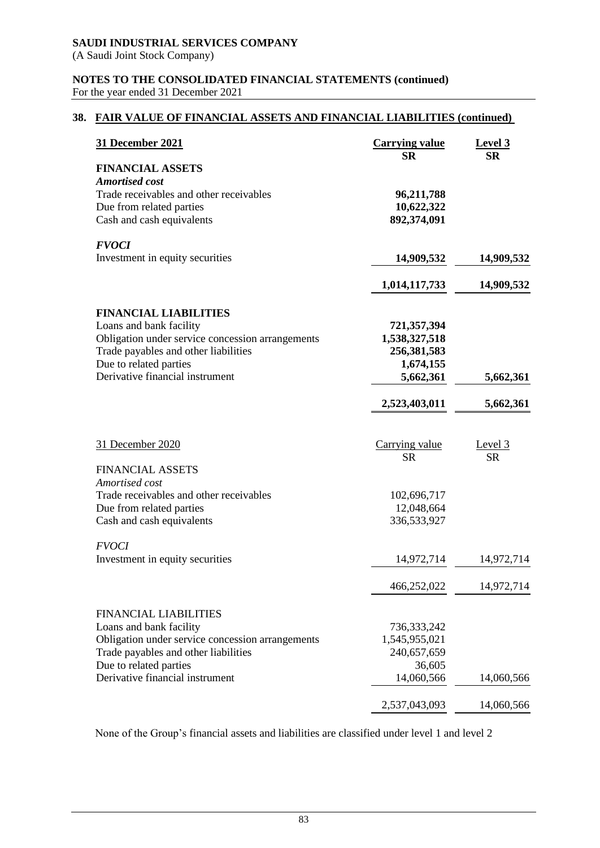(A Saudi Joint Stock Company)

#### **NOTES TO THE CONSOLIDATED FINANCIAL STATEMENTS (continued)** For the year ended 31 December 2021

## **38. FAIR VALUE OF FINANCIAL ASSETS AND FINANCIAL LIABILITIES (continued)**

| <b>31 December 2021</b>                                             | <b>Carrying value</b><br><b>SR</b> | Level 3<br><b>SR</b> |
|---------------------------------------------------------------------|------------------------------------|----------------------|
| <b>FINANCIAL ASSETS</b>                                             |                                    |                      |
| <b>Amortised cost</b>                                               |                                    |                      |
| Trade receivables and other receivables<br>Due from related parties | 96,211,788<br>10,622,322           |                      |
| Cash and cash equivalents                                           | 892,374,091                        |                      |
| <b>FVOCI</b>                                                        |                                    |                      |
| Investment in equity securities                                     | 14,909,532                         | 14,909,532           |
|                                                                     | 1,014,117,733                      | 14,909,532           |
| <b>FINANCIAL LIABILITIES</b>                                        |                                    |                      |
| Loans and bank facility                                             | 721,357,394                        |                      |
| Obligation under service concession arrangements                    | 1,538,327,518                      |                      |
| Trade payables and other liabilities<br>Due to related parties      | 256,381,583<br>1,674,155           |                      |
| Derivative financial instrument                                     | 5,662,361                          | 5,662,361            |
|                                                                     | 2,523,403,011                      | 5,662,361            |
|                                                                     |                                    |                      |
| 31 December 2020                                                    | Carrying value                     | Level 3              |
|                                                                     | <b>SR</b>                          | <b>SR</b>            |
| <b>FINANCIAL ASSETS</b><br>Amortised cost                           |                                    |                      |
| Trade receivables and other receivables                             | 102,696,717                        |                      |
| Due from related parties                                            | 12,048,664                         |                      |
| Cash and cash equivalents                                           | 336,533,927                        |                      |
| <b>FVOCI</b>                                                        |                                    |                      |
| Investment in equity securities                                     | 14,972,714                         | 14,972,714           |
|                                                                     | 466,252,022                        | 14,972,714           |
| <b>FINANCIAL LIABILITIES</b>                                        |                                    |                      |
| Loans and bank facility                                             | 736, 333, 242                      |                      |
| Obligation under service concession arrangements                    | 1,545,955,021                      |                      |
| Trade payables and other liabilities                                | 240,657,659                        |                      |
| Due to related parties<br>Derivative financial instrument           | 36,605<br>14,060,566               | 14,060,566           |
|                                                                     |                                    |                      |
|                                                                     | 2,537,043,093                      | 14,060,566           |

None of the Group's financial assets and liabilities are classified under level 1 and level 2